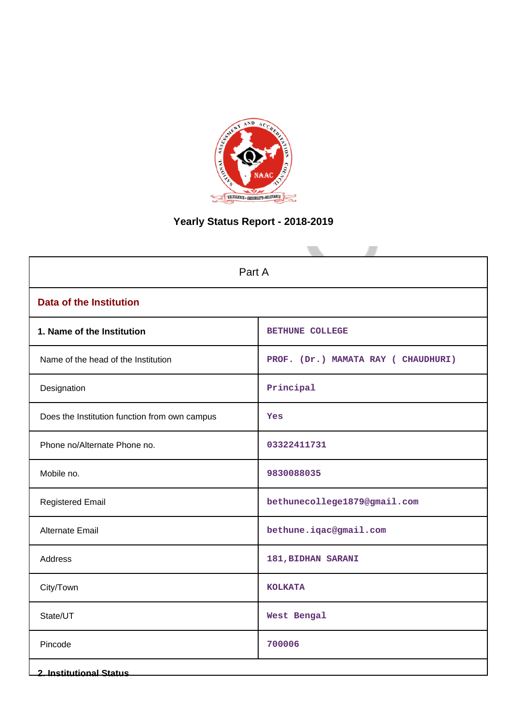

# **Yearly Status Report - 2018-2019**

| Part A                                        |                                     |  |
|-----------------------------------------------|-------------------------------------|--|
| <b>Data of the Institution</b>                |                                     |  |
| 1. Name of the Institution                    | <b>BETHUNE COLLEGE</b>              |  |
| Name of the head of the Institution           | PROF. (Dr.) MAMATA RAY ( CHAUDHURI) |  |
| Designation                                   | Principal                           |  |
| Does the Institution function from own campus | Yes                                 |  |
| Phone no/Alternate Phone no.                  | 03322411731                         |  |
| Mobile no.                                    | 9830088035                          |  |
| <b>Registered Email</b>                       | bethunecollege1879@gmail.com        |  |
| Alternate Email                               | bethune.iqac@gmail.com              |  |
| Address                                       | 181, BIDHAN SARANI                  |  |
| City/Town                                     | <b>KOLKATA</b>                      |  |
| State/UT                                      | West Bengal                         |  |
| Pincode                                       | 700006                              |  |
| <b>2. Institutional Status</b>                |                                     |  |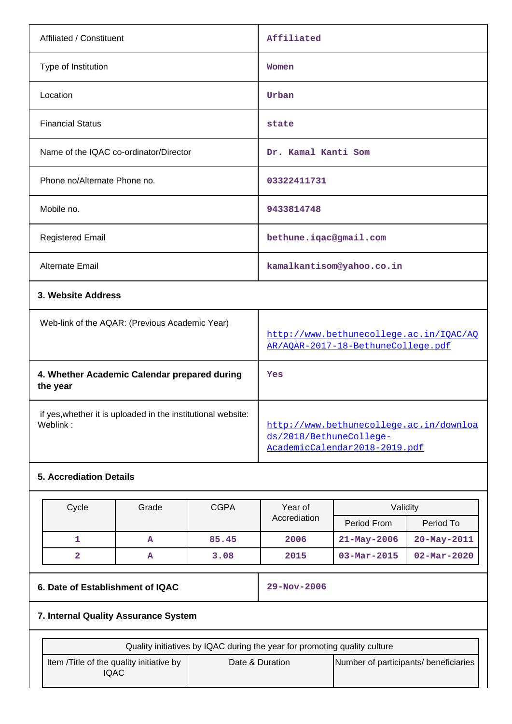| Affiliated / Constituent                                                 | Affiliated                                                                                          |
|--------------------------------------------------------------------------|-----------------------------------------------------------------------------------------------------|
| Type of Institution                                                      | Women                                                                                               |
| Location                                                                 | Urban                                                                                               |
| <b>Financial Status</b>                                                  | state                                                                                               |
| Name of the IQAC co-ordinator/Director                                   | Dr. Kamal Kanti Som                                                                                 |
| Phone no/Alternate Phone no.                                             | 03322411731                                                                                         |
| Mobile no.                                                               | 9433814748                                                                                          |
| <b>Registered Email</b>                                                  | bethune.iqac@gmail.com                                                                              |
| Alternate Email                                                          | kamalkantisom@yahoo.co.in                                                                           |
| 3. Website Address                                                       |                                                                                                     |
| Web-link of the AQAR: (Previous Academic Year)                           | http://www.bethunecollege.ac.in/IOAC/AO<br>AR/AQAR-2017-18-BethuneCollege.pdf                       |
| 4. Whether Academic Calendar prepared during<br>the year                 | Yes                                                                                                 |
| if yes, whether it is uploaded in the institutional website:<br>Weblink: | http://www.bethunecollege.ac.in/downloa<br>ds/2018/BethuneCollege-<br>AcademicCalendar2018-2019.pdf |
| <b>5. Accrediation Details</b>                                           |                                                                                                     |

| Cycle | Grade | <b>CGPA</b> | Validitv<br>Year of |                   |                          |
|-------|-------|-------------|---------------------|-------------------|--------------------------|
|       |       |             | Accrediation        | Period From       | Period To                |
|       | A     | 85.45       | 2006                | $21 - May - 2006$ | 20-May-2011              |
|       | А     | 3.08        | 2015                | $03 - Mar - 2015$ | $02 - \text{Mar} - 2020$ |

# **6. Date of Establishment of IQAC 29-Nov-2006**

## **7. Internal Quality Assurance System**

|                                                   | Quality initiatives by IQAC during the year for promoting quality culture |                                       |
|---------------------------------------------------|---------------------------------------------------------------------------|---------------------------------------|
| Item / Title of the quality initiative by<br>IQAC | Date & Duration                                                           | Number of participants/ beneficiaries |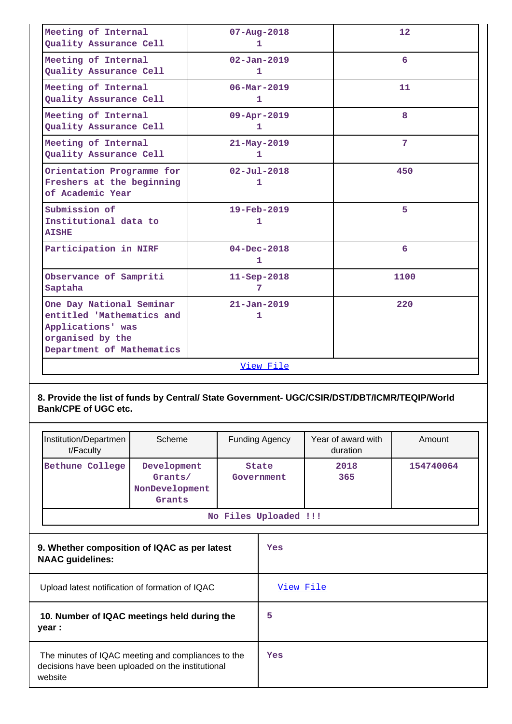| Meeting of Internal<br>Quality Assurance Cell                                                                               | $07 - Aug - 2018$<br>1        | 12   |  |  |  |
|-----------------------------------------------------------------------------------------------------------------------------|-------------------------------|------|--|--|--|
| Meeting of Internal<br>Quality Assurance Cell                                                                               | $02 - Jan - 2019$<br>1        | 6    |  |  |  |
| Meeting of Internal<br>Quality Assurance Cell                                                                               | $06 - \text{Mar} - 2019$<br>1 | 11   |  |  |  |
| Meeting of Internal<br>Quality Assurance Cell                                                                               | $09 - Appr - 2019$<br>1       | 8    |  |  |  |
| Meeting of Internal<br>Quality Assurance Cell                                                                               | $21 - May - 2019$<br>1        | 7    |  |  |  |
| Orientation Programme for<br>Freshers at the beginning<br>of Academic Year                                                  | $02 - Jul - 2018$<br>1        | 450  |  |  |  |
| Submission of<br>Institutional data to<br><b>AISHE</b>                                                                      | $19 - \text{Feb} - 2019$<br>1 | 5    |  |  |  |
| Participation in NIRF                                                                                                       | $04 - Dec - 2018$<br>1        | 6    |  |  |  |
| Observance of Sampriti<br>Saptaha                                                                                           | $11 - \text{Sep} - 2018$<br>7 | 1100 |  |  |  |
| One Day National Seminar<br>entitled 'Mathematics and<br>Applications' was<br>organised by the<br>Department of Mathematics | $21 - Jan - 2019$<br>1        | 220  |  |  |  |
|                                                                                                                             | View File                     |      |  |  |  |

## **8. Provide the list of funds by Central/ State Government- UGC/CSIR/DST/DBT/ICMR/TEQIP/World Bank/CPE of UGC etc.**

| Institution/Departmen<br>t/Faculty                                                                                 | Scheme                                             |           | <b>Funding Agency</b>      | Year of award with<br>duration | Amount    |
|--------------------------------------------------------------------------------------------------------------------|----------------------------------------------------|-----------|----------------------------|--------------------------------|-----------|
| Bethune College                                                                                                    | Development<br>Grants/<br>NonDevelopment<br>Grants |           | <b>State</b><br>Government | 2018<br>365                    | 154740064 |
|                                                                                                                    |                                                    |           | No Files Uploaded !!!      |                                |           |
| 9. Whether composition of IQAC as per latest<br><b>NAAC</b> guidelines:                                            |                                                    | Yes       |                            |                                |           |
| Upload latest notification of formation of IQAC                                                                    |                                                    | View File |                            |                                |           |
| 10. Number of IQAC meetings held during the<br>year :                                                              |                                                    | 5         |                            |                                |           |
| The minutes of IQAC meeting and compliances to the<br>decisions have been uploaded on the institutional<br>website |                                                    |           | Yes                        |                                |           |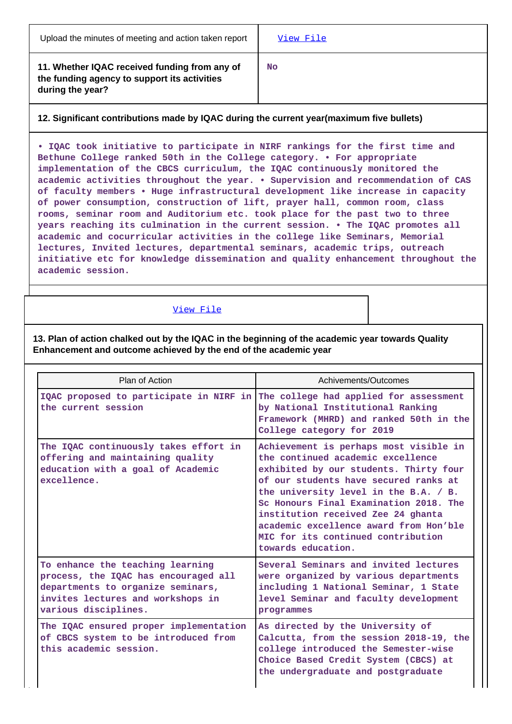**11. Whether IQAC received funding from any of the funding agency to support its activities during the year?**

**No**

## **12. Significant contributions made by IQAC during the current year(maximum five bullets)**

**• IQAC took initiative to participate in NIRF rankings for the first time and Bethune College ranked 50th in the College category. • For appropriate implementation of the CBCS curriculum, the IQAC continuously monitored the academic activities throughout the year. • Supervision and recommendation of CAS of faculty members • Huge infrastructural development like increase in capacity of power consumption, construction of lift, prayer hall, common room, class rooms, seminar room and Auditorium etc. took place for the past two to three years reaching its culmination in the current session. • The IQAC promotes all academic and cocurricular activities in the college like Seminars, Memorial lectures, Invited lectures, departmental seminars, academic trips, outreach initiative etc for knowledge dissemination and quality enhancement throughout the academic session.**

## [View File](https://assessmentonline.naac.gov.in/public/Postacc/Contribution/7424_Contribution.xlsx)

**13. Plan of action chalked out by the IQAC in the beginning of the academic year towards Quality Enhancement and outcome achieved by the end of the academic year**

| Plan of Action                                                                                                                                                             | Achivements/Outcomes                                                                                                                                                                                                                                                                                                                                                                          |
|----------------------------------------------------------------------------------------------------------------------------------------------------------------------------|-----------------------------------------------------------------------------------------------------------------------------------------------------------------------------------------------------------------------------------------------------------------------------------------------------------------------------------------------------------------------------------------------|
| IQAC proposed to participate in NIRF in<br>the current session                                                                                                             | The college had applied for assessment<br>by National Institutional Ranking<br>Framework (MHRD) and ranked 50th in the<br>College category for 2019                                                                                                                                                                                                                                           |
| The IQAC continuously takes effort in<br>offering and maintaining quality<br>education with a goal of Academic<br>excellence.                                              | Achievement is perhaps most visible in<br>the continued academic excellence<br>exhibited by our students. Thirty four<br>of our students have secured ranks at<br>the university level in the B.A. / B.<br>Sc Honours Final Examination 2018. The<br>institution received Zee 24 ghanta<br>academic excellence award from Hon'ble<br>MIC for its continued contribution<br>towards education. |
| To enhance the teaching learning<br>process, the IQAC has encouraged all<br>departments to organize seminars,<br>invites lectures and workshops in<br>various disciplines. | Several Seminars and invited lectures<br>were organized by various departments<br>including 1 National Seminar, 1 State<br>level Seminar and faculty development<br>programmes                                                                                                                                                                                                                |
| The IQAC ensured proper implementation<br>of CBCS system to be introduced from<br>this academic session.                                                                   | As directed by the University of<br>Calcutta, from the session 2018-19, the<br>college introduced the Semester-wise<br>Choice Based Credit System (CBCS) at<br>the undergraduate and postgraduate                                                                                                                                                                                             |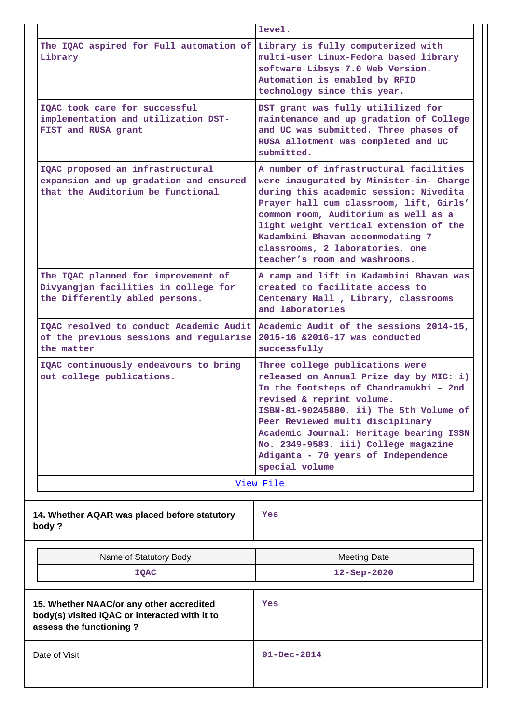|                                                                                                                                            | level.                                                                                                                                                                                                                                                                                                                                                                       |
|--------------------------------------------------------------------------------------------------------------------------------------------|------------------------------------------------------------------------------------------------------------------------------------------------------------------------------------------------------------------------------------------------------------------------------------------------------------------------------------------------------------------------------|
| The IQAC aspired for Full automation of Library is fully computerized with<br>Library                                                      | multi-user Linux-Fedora based library<br>software Libsys 7.0 Web Version.<br>Automation is enabled by RFID<br>technology since this year.                                                                                                                                                                                                                                    |
| IOAC took care for successful<br>implementation and utilization DST-<br>FIST and RUSA grant                                                | DST grant was fully utililized for<br>maintenance and up gradation of College<br>and UC was submitted. Three phases of<br>RUSA allotment was completed and UC<br>submitted.                                                                                                                                                                                                  |
| IQAC proposed an infrastructural<br>expansion and up gradation and ensured<br>that the Auditorium be functional                            | A number of infrastructural facilities<br>were inaugurated by Minister-in- Charge<br>during this academic session: Nivedita<br>Prayer hall cum classroom, lift, Girls'<br>common room, Auditorium as well as a<br>light weight vertical extension of the<br>Kadambini Bhavan accommodating 7<br>classrooms, 2 laboratories, one<br>teacher's room and washrooms.             |
| The IQAC planned for improvement of<br>Divyangjan facilities in college for<br>the Differently abled persons.                              | A ramp and lift in Kadambini Bhavan was<br>created to facilitate access to<br>Centenary Hall, Library, classrooms<br>and laboratories                                                                                                                                                                                                                                        |
| IQAC resolved to conduct Academic Audit   Academic Audit of the sessions 2014-15,<br>of the previous sessions and regularise<br>the matter | 2015-16 & 2016-17 was conducted<br>successfully                                                                                                                                                                                                                                                                                                                              |
| IQAC continuously endeavours to bring<br>out college publications.                                                                         | Three college publications were<br>released on Annual Prize day by MIC: i)<br>In the footsteps of Chandramukhi - 2nd<br>revised & reprint volume.<br>ISBN-81-90245880. ii) The 5th Volume of<br>Peer Reviewed multi disciplinary<br>Academic Journal: Heritage bearing ISSN<br>No. 2349-9583. iii) College magazine<br>Adiganta - 70 years of Independence<br>special volume |
|                                                                                                                                            | View File                                                                                                                                                                                                                                                                                                                                                                    |
| 14. Whether AQAR was placed before statutory<br>body?                                                                                      | Yes                                                                                                                                                                                                                                                                                                                                                                          |
| Name of Statutory Body                                                                                                                     | <b>Meeting Date</b>                                                                                                                                                                                                                                                                                                                                                          |
| IQAC                                                                                                                                       | 12-Sep-2020                                                                                                                                                                                                                                                                                                                                                                  |
| 15. Whether NAAC/or any other accredited<br>body(s) visited IQAC or interacted with it to<br>assess the functioning?                       | Yes                                                                                                                                                                                                                                                                                                                                                                          |
| Date of Visit                                                                                                                              | $01 - Dec - 2014$                                                                                                                                                                                                                                                                                                                                                            |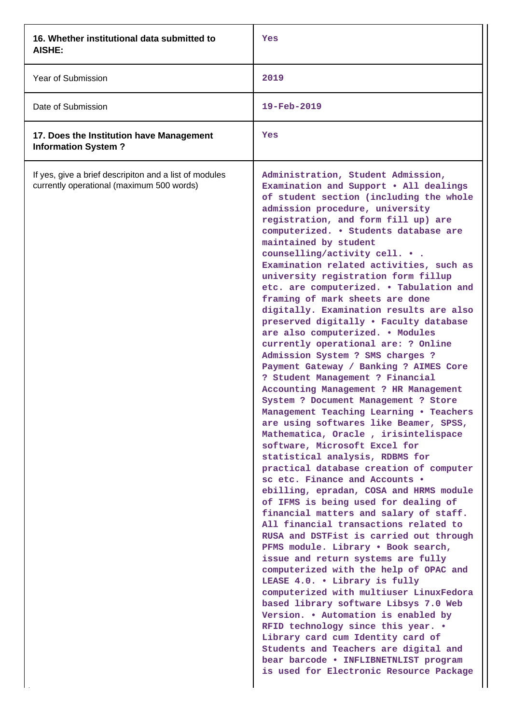| 16. Whether institutional data submitted to<br>AISHE:                                               | Yes                                                                                                                                                                                                                                                                                                                                                                                                                                                                                                                                                                                                                                                                                                                                                                                                                                                                                                                                                                                                                                                                                                                                                                                                                                                                                                                                                                                                                                                                                                                                                                                                                                                                                                                                                                                                                            |
|-----------------------------------------------------------------------------------------------------|--------------------------------------------------------------------------------------------------------------------------------------------------------------------------------------------------------------------------------------------------------------------------------------------------------------------------------------------------------------------------------------------------------------------------------------------------------------------------------------------------------------------------------------------------------------------------------------------------------------------------------------------------------------------------------------------------------------------------------------------------------------------------------------------------------------------------------------------------------------------------------------------------------------------------------------------------------------------------------------------------------------------------------------------------------------------------------------------------------------------------------------------------------------------------------------------------------------------------------------------------------------------------------------------------------------------------------------------------------------------------------------------------------------------------------------------------------------------------------------------------------------------------------------------------------------------------------------------------------------------------------------------------------------------------------------------------------------------------------------------------------------------------------------------------------------------------------|
| Year of Submission                                                                                  | 2019                                                                                                                                                                                                                                                                                                                                                                                                                                                                                                                                                                                                                                                                                                                                                                                                                                                                                                                                                                                                                                                                                                                                                                                                                                                                                                                                                                                                                                                                                                                                                                                                                                                                                                                                                                                                                           |
| Date of Submission                                                                                  | 19-Feb-2019                                                                                                                                                                                                                                                                                                                                                                                                                                                                                                                                                                                                                                                                                                                                                                                                                                                                                                                                                                                                                                                                                                                                                                                                                                                                                                                                                                                                                                                                                                                                                                                                                                                                                                                                                                                                                    |
| 17. Does the Institution have Management<br><b>Information System?</b>                              | Yes                                                                                                                                                                                                                                                                                                                                                                                                                                                                                                                                                                                                                                                                                                                                                                                                                                                                                                                                                                                                                                                                                                                                                                                                                                                                                                                                                                                                                                                                                                                                                                                                                                                                                                                                                                                                                            |
| If yes, give a brief descripiton and a list of modules<br>currently operational (maximum 500 words) | Administration, Student Admission,<br>Examination and Support . All dealings<br>of student section (including the whole<br>admission procedure, university<br>registration, and form fill up) are<br>computerized. . Students database are<br>maintained by student<br>counselling/activity cell.<br>Examination related activities, such as<br>university registration form fillup<br>etc. are computerized. . Tabulation and<br>framing of mark sheets are done<br>digitally. Examination results are also<br>preserved digitally . Faculty database<br>are also computerized. . Modules<br>currently operational are: ? Online<br>Admission System ? SMS charges ?<br>Payment Gateway / Banking ? AIMES Core<br>? Student Management ? Financial<br>Accounting Management ? HR Management<br>System ? Document Management ? Store<br>Management Teaching Learning . Teachers<br>are using softwares like Beamer, SPSS,<br>Mathematica, Oracle, irisintelispace<br>software, Microsoft Excel for<br>statistical analysis, RDBMS for<br>practical database creation of computer<br>sc etc. Finance and Accounts .<br>ebilling, epradan, COSA and HRMS module<br>of IFMS is being used for dealing of<br>financial matters and salary of staff.<br>All financial transactions related to<br>RUSA and DSTFist is carried out through<br>PFMS module. Library . Book search,<br>issue and return systems are fully<br>computerized with the help of OPAC and<br>LEASE 4.0. . Library is fully<br>computerized with multiuser LinuxFedora<br>based library software Libsys 7.0 Web<br>Version. . Automation is enabled by<br>RFID technology since this year. .<br>Library card cum Identity card of<br>Students and Teachers are digital and<br>bear barcode . INFLIBNETNLIST program<br>is used for Electronic Resource Package |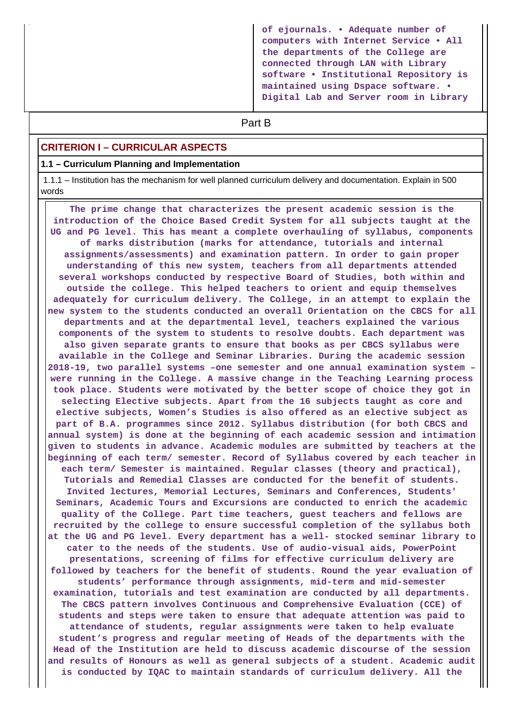**of ejournals. • Adequate number of computers with Internet Service • All the departments of the College are connected through LAN with Library software • Institutional Repository is maintained using Dspace software. • Digital Lab and Server room in Library**

# **Part B**

#### **CRITERION I – CURRICULAR ASPECTS**

#### **1.1 – Curriculum Planning and Implementation**

 1.1.1 – Institution has the mechanism for well planned curriculum delivery and documentation. Explain in 500 words

 **The prime change that characterizes the present academic session is the introduction of the Choice Based Credit System for all subjects taught at the UG and PG level. This has meant a complete overhauling of syllabus, components of marks distribution (marks for attendance, tutorials and internal assignments/assessments) and examination pattern. In order to gain proper understanding of this new system, teachers from all departments attended several workshops conducted by respective Board of Studies, both within and outside the college. This helped teachers to orient and equip themselves adequately for curriculum delivery. The College, in an attempt to explain the new system to the students conducted an overall Orientation on the CBCS for all departments and at the departmental level, teachers explained the various components of the system to students to resolve doubts. Each department was also given separate grants to ensure that books as per CBCS syllabus were available in the College and Seminar Libraries. During the academic session 2018-19, two parallel systems –one semester and one annual examination system – were running in the College. A massive change in the Teaching Learning process took place. Students were motivated by the better scope of choice they got in selecting Elective subjects. Apart from the 16 subjects taught as core and elective subjects, Women's Studies is also offered as an elective subject as part of B.A. programmes since 2012. Syllabus distribution (for both CBCS and annual system) is done at the beginning of each academic session and intimation given to students in advance. Academic modules are submitted by teachers at the beginning of each term/ semester. Record of Syllabus covered by each teacher in each term/ Semester is maintained. Regular classes (theory and practical), Tutorials and Remedial Classes are conducted for the benefit of students. Invited lectures, Memorial Lectures, Seminars and Conferences, Students' Seminars, Academic Tours and Excursions are conducted to enrich the academic quality of the College. Part time teachers, guest teachers and fellows are recruited by the college to ensure successful completion of the syllabus both at the UG and PG level. Every department has a well- stocked seminar library to cater to the needs of the students. Use of audio-visual aids, PowerPoint presentations, screening of films for effective curriculum delivery are followed by teachers for the benefit of students. Round the year evaluation of students' performance through assignments, mid-term and mid-semester examination, tutorials and test examination are conducted by all departments. The CBCS pattern involves Continuous and Comprehensive Evaluation (CCE) of students and steps were taken to ensure that adequate attention was paid to attendance of students, regular assignments were taken to help evaluate student's progress and regular meeting of Heads of the departments with the Head of the Institution are held to discuss academic discourse of the session and results of Honours as well as general subjects of a student. Academic audit is conducted by IQAC to maintain standards of curriculum delivery. All the**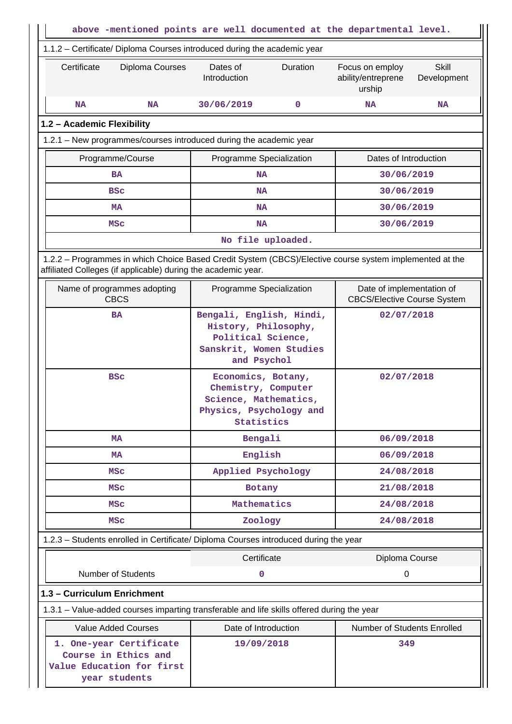| above -mentioned points are well documented at the departmental level.       |                                                                                                                  |                                                                                |  |  |
|------------------------------------------------------------------------------|------------------------------------------------------------------------------------------------------------------|--------------------------------------------------------------------------------|--|--|
| 1.1.2 - Certificate/ Diploma Courses introduced during the academic year     |                                                                                                                  |                                                                                |  |  |
| Certificate<br>Diploma Courses                                               | Dates of<br>Duration<br>Introduction                                                                             | <b>Skill</b><br>Focus on employ<br>ability/entreprene<br>Development<br>urship |  |  |
| <b>NA</b><br><b>NA</b>                                                       | 30/06/2019<br>0                                                                                                  | <b>NA</b><br><b>NA</b>                                                         |  |  |
| 1.2 - Academic Flexibility                                                   |                                                                                                                  |                                                                                |  |  |
| 1.2.1 - New programmes/courses introduced during the academic year           |                                                                                                                  |                                                                                |  |  |
| Programme/Course                                                             | Programme Specialization                                                                                         | Dates of Introduction                                                          |  |  |
| <b>BA</b>                                                                    | <b>NA</b>                                                                                                        | 30/06/2019                                                                     |  |  |
| <b>BSC</b>                                                                   | <b>NA</b>                                                                                                        | 30/06/2019                                                                     |  |  |
| <b>MA</b>                                                                    | <b>NA</b>                                                                                                        | 30/06/2019                                                                     |  |  |
| MSC                                                                          | <b>NA</b>                                                                                                        | 30/06/2019                                                                     |  |  |
|                                                                              | No file uploaded.                                                                                                |                                                                                |  |  |
| affiliated Colleges (if applicable) during the academic year.                | 1.2.2 - Programmes in which Choice Based Credit System (CBCS)/Elective course system implemented at the          |                                                                                |  |  |
| Name of programmes adopting<br><b>CBCS</b>                                   | Programme Specialization                                                                                         | Date of implementation of<br><b>CBCS/Elective Course System</b>                |  |  |
| <b>BA</b>                                                                    | Bengali, English, Hindi,<br>History, Philosophy,<br>Political Science,<br>Sanskrit, Women Studies<br>and Psychol | 02/07/2018                                                                     |  |  |
| <b>BSC</b>                                                                   | Economics, Botany,<br>Chemistry, Computer<br>Science, Mathematics,<br>Physics, Psychology and<br>Statistics      | 02/07/2018                                                                     |  |  |
| MA                                                                           | Bengali                                                                                                          | 06/09/2018                                                                     |  |  |
| <b>MA</b>                                                                    | English                                                                                                          | 06/09/2018                                                                     |  |  |
| <b>MSC</b>                                                                   | Applied Psychology                                                                                               | 24/08/2018                                                                     |  |  |
| <b>MSC</b>                                                                   | Botany                                                                                                           | 21/08/2018                                                                     |  |  |
| MSC                                                                          | Mathematics                                                                                                      | 24/08/2018                                                                     |  |  |
| MSC                                                                          | Zoology                                                                                                          | 24/08/2018                                                                     |  |  |
|                                                                              | 1.2.3 - Students enrolled in Certificate/ Diploma Courses introduced during the year                             |                                                                                |  |  |
|                                                                              | Certificate                                                                                                      | Diploma Course                                                                 |  |  |
| <b>Number of Students</b>                                                    | 0                                                                                                                | $\pmb{0}$                                                                      |  |  |
| 1.3 - Curriculum Enrichment                                                  |                                                                                                                  |                                                                                |  |  |
|                                                                              | 1.3.1 – Value-added courses imparting transferable and life skills offered during the year                       |                                                                                |  |  |
| <b>Value Added Courses</b>                                                   | Date of Introduction                                                                                             | Number of Students Enrolled                                                    |  |  |
| 1. One-year Certificate<br>Course in Ethics and<br>Value Education for first | 19/09/2018                                                                                                       | 349                                                                            |  |  |
| year students                                                                |                                                                                                                  |                                                                                |  |  |

a pr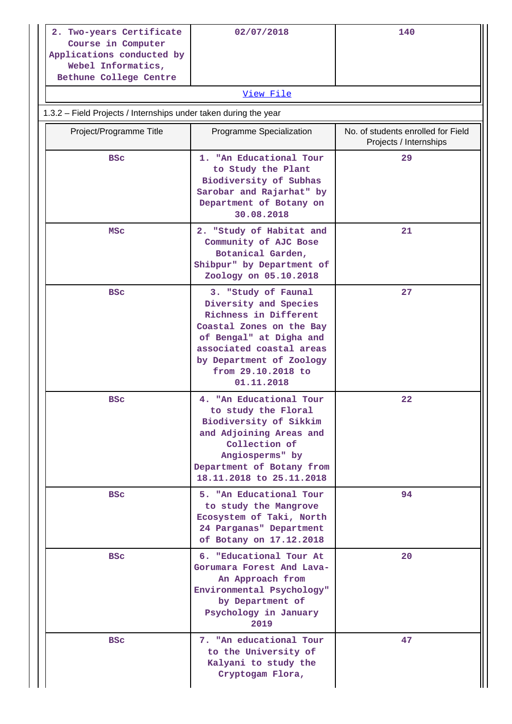| 2. Two-years Certificate<br>Course in Computer<br>Applications conducted by<br>Webel Informatics,<br>Bethune College Centre | 02/07/2018 | 140 |  |  |
|-----------------------------------------------------------------------------------------------------------------------------|------------|-----|--|--|
| View File                                                                                                                   |            |     |  |  |

# 1.3.2 – Field Projects / Internships under taken during the year

| Project/Programme Title | Programme Specialization                                                                                                                                                                                                 | No. of students enrolled for Field<br>Projects / Internships |
|-------------------------|--------------------------------------------------------------------------------------------------------------------------------------------------------------------------------------------------------------------------|--------------------------------------------------------------|
| <b>BSC</b>              | 1. "An Educational Tour<br>to Study the Plant<br>Biodiversity of Subhas<br>Sarobar and Rajarhat" by<br>Department of Botany on<br>30.08.2018                                                                             | 29                                                           |
| MSC                     | 2. "Study of Habitat and<br>Community of AJC Bose<br>Botanical Garden,<br>Shibpur" by Department of<br>Zoology on 05.10.2018                                                                                             | 21                                                           |
| <b>BSC</b>              | 3. "Study of Faunal<br>Diversity and Species<br>Richness in Different<br>Coastal Zones on the Bay<br>of Bengal" at Digha and<br>associated coastal areas<br>by Department of Zoology<br>from 29.10.2018 to<br>01.11.2018 | 27                                                           |
| <b>BSC</b>              | 4. "An Educational Tour<br>to study the Floral<br>Biodiversity of Sikkim<br>and Adjoining Areas and<br>Collection of<br>Angiosperms" by<br>Department of Botany from<br>18.11.2018 to 25.11.2018                         | 22                                                           |
| <b>BSC</b>              | 5. "An Educational Tour<br>to study the Mangrove<br>Ecosystem of Taki, North<br>24 Parganas" Department<br>of Botany on 17.12.2018                                                                                       | 94                                                           |
| <b>BSC</b>              | 6. "Educational Tour At<br>Gorumara Forest And Lava-<br>An Approach from<br>Environmental Psychology"<br>by Department of<br>Psychology in January<br>2019                                                               | 20                                                           |
| <b>BSC</b>              | 7. "An educational Tour<br>to the University of<br>Kalyani to study the<br>Cryptogam Flora,                                                                                                                              | 47                                                           |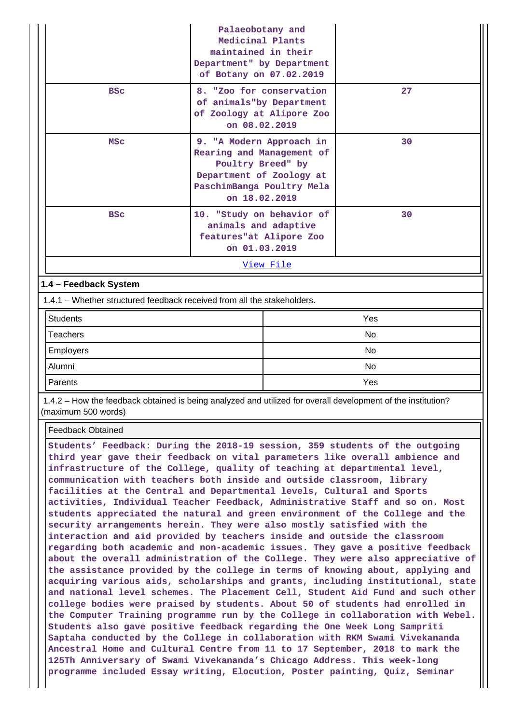|                  |                                                                         | Palaeobotany and<br>Medicinal Plants<br>maintained in their<br>Department" by Department<br>of Botany on 07.02.2019      |                          |     |  |  |
|------------------|-------------------------------------------------------------------------|--------------------------------------------------------------------------------------------------------------------------|--------------------------|-----|--|--|
|                  | <b>BSC</b>                                                              | of animals"by Department<br>of Zoology at Alipore Zoo<br>on 08.02.2019                                                   | 8. "Zoo for conservation | 27  |  |  |
|                  | <b>MSC</b>                                                              | Rearing and Management of<br>Poultry Breed" by<br>Department of Zoology at<br>PaschimBanga Poultry Mela<br>on 18.02.2019 | 9. "A Modern Approach in | 30  |  |  |
|                  | <b>BSC</b>                                                              | 10. "Study on behavior of<br>animals and adaptive<br>features"at Alipore Zoo<br>on 01.03.2019                            |                          | 30  |  |  |
|                  |                                                                         |                                                                                                                          | View File                |     |  |  |
|                  | 1.4 - Feedback System                                                   |                                                                                                                          |                          |     |  |  |
|                  | 1.4.1 – Whether structured feedback received from all the stakeholders. |                                                                                                                          |                          |     |  |  |
| <b>Students</b>  |                                                                         |                                                                                                                          |                          | Yes |  |  |
| <b>Teachers</b>  |                                                                         |                                                                                                                          | <b>No</b>                |     |  |  |
| <b>Employers</b> |                                                                         |                                                                                                                          |                          | No  |  |  |
| Alumni           |                                                                         |                                                                                                                          | No                       |     |  |  |
| Parents          |                                                                         |                                                                                                                          | Yes                      |     |  |  |

 1.4.2 – How the feedback obtained is being analyzed and utilized for overall development of the institution? (maximum 500 words)

Feedback Obtained

**Students' Feedback: During the 2018-19 session, 359 students of the outgoing third year gave their feedback on vital parameters like overall ambience and infrastructure of the College, quality of teaching at departmental level, communication with teachers both inside and outside classroom, library facilities at the Central and Departmental levels, Cultural and Sports activities, Individual Teacher Feedback, Administrative Staff and so on. Most students appreciated the natural and green environment of the College and the security arrangements herein. They were also mostly satisfied with the interaction and aid provided by teachers inside and outside the classroom regarding both academic and non-academic issues. They gave a positive feedback about the overall administration of the College. They were also appreciative of the assistance provided by the college in terms of knowing about, applying and acquiring various aids, scholarships and grants, including institutional, state and national level schemes. The Placement Cell, Student Aid Fund and such other college bodies were praised by students. About 50 of students had enrolled in the Computer Training programme run by the College in collaboration with Webel. Students also gave positive feedback regarding the One Week Long Sampriti Saptaha conducted by the College in collaboration with RKM Swami Vivekananda Ancestral Home and Cultural Centre from 11 to 17 September, 2018 to mark the 125Th Anniversary of Swami Vivekananda's Chicago Address. This week-long programme included Essay writing, Elocution, Poster painting, Quiz, Seminar**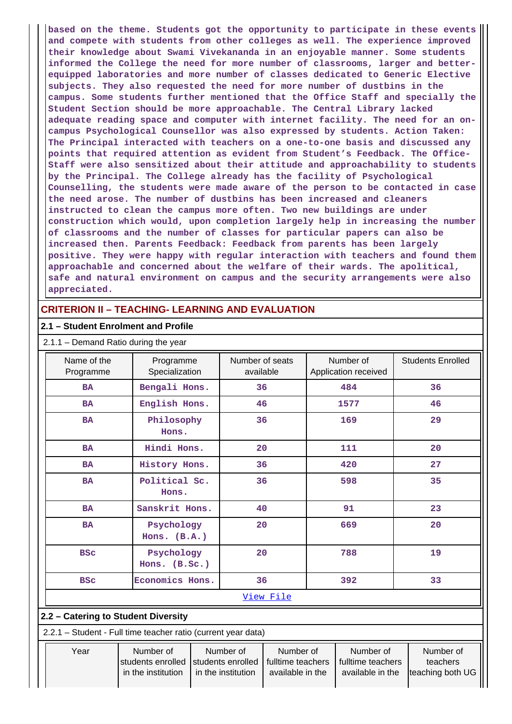**based on the theme. Students got the opportunity to participate in these events and compete with students from other colleges as well. The experience improved their knowledge about Swami Vivekananda in an enjoyable manner. Some students informed the College the need for more number of classrooms, larger and betterequipped laboratories and more number of classes dedicated to Generic Elective subjects. They also requested the need for more number of dustbins in the campus. Some students further mentioned that the Office Staff and specially the Student Section should be more approachable. The Central Library lacked adequate reading space and computer with internet facility. The need for an oncampus Psychological Counsellor was also expressed by students. Action Taken: The Principal interacted with teachers on a one-to-one basis and discussed any points that required attention as evident from Student's Feedback. The Office-Staff were also sensitized about their attitude and approachability to students by the Principal. The College already has the facility of Psychological Counselling, the students were made aware of the person to be contacted in case the need arose. The number of dustbins has been increased and cleaners instructed to clean the campus more often. Two new buildings are under construction which would, upon completion largely help in increasing the number of classrooms and the number of classes for particular papers can also be increased then. Parents Feedback: Feedback from parents has been largely positive. They were happy with regular interaction with teachers and found them approachable and concerned about the welfare of their wards. The apolitical, safe and natural environment on campus and the security arrangements were also appreciated.**

## **CRITERION II – TEACHING- LEARNING AND EVALUATION**

#### **2.1 – Student Enrolment and Profile**

| 2.1.1 - Demand Ratio during the year |  |  |  |  |
|--------------------------------------|--|--|--|--|
|--------------------------------------|--|--|--|--|

| Name of the<br>Programme                                      | Programme<br>Specialization                          |  | Number of seats<br>available                         |                                                    |     | Number of<br>Application received                  | <b>Students Enrolled</b>                  |
|---------------------------------------------------------------|------------------------------------------------------|--|------------------------------------------------------|----------------------------------------------------|-----|----------------------------------------------------|-------------------------------------------|
| <b>BA</b>                                                     | Bengali Hons.                                        |  | 36                                                   |                                                    |     | 484                                                | 36                                        |
| <b>BA</b>                                                     | English Hons.                                        |  | 46                                                   |                                                    |     | 1577                                               | 46                                        |
| <b>BA</b>                                                     | Philosophy<br>Hons.                                  |  | 36                                                   |                                                    | 169 |                                                    | 29                                        |
| <b>BA</b>                                                     | Hindi Hons.                                          |  | 20                                                   |                                                    |     | 111                                                | 20                                        |
| <b>BA</b>                                                     | History Hons.                                        |  |                                                      | 36                                                 |     | 420                                                | 27                                        |
| <b>BA</b>                                                     | Political Sc.<br>Hons.                               |  | 36                                                   |                                                    |     | 598                                                | 35                                        |
| <b>BA</b>                                                     | Sanskrit Hons.                                       |  | 40                                                   |                                                    |     | 91                                                 | 23                                        |
| <b>BA</b>                                                     | Psychology<br>Hons. $(B.A.)$                         |  | 20                                                   |                                                    |     | 669                                                | 20                                        |
| <b>BSC</b>                                                    | Psychology<br>Hons. (B.Sc.)                          |  |                                                      | 20                                                 |     | 788                                                | 19                                        |
| <b>BSC</b>                                                    | Economics Hons.                                      |  | 36                                                   |                                                    |     | 392                                                | 33                                        |
|                                                               |                                                      |  |                                                      | View File                                          |     |                                                    |                                           |
| 2.2 - Catering to Student Diversity                           |                                                      |  |                                                      |                                                    |     |                                                    |                                           |
| 2.2.1 - Student - Full time teacher ratio (current year data) |                                                      |  |                                                      |                                                    |     |                                                    |                                           |
| Year                                                          | Number of<br>students enrolled<br>in the institution |  | Number of<br>students enrolled<br>in the institution | Number of<br>fulltime teachers<br>available in the |     | Number of<br>fulltime teachers<br>available in the | Number of<br>teachers<br>teaching both UG |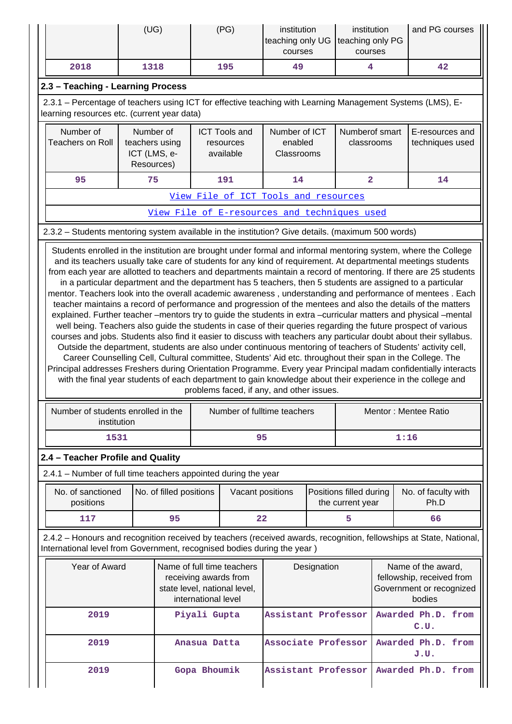|                                                                                                                                                                                                                                                                                                                                                         | (UG)                                                      | (PG)                                                                                                                                                                                                                                                                                                                                                                                                                                                                                                                                                                                                                    | institution<br>teaching only UG<br>courses |  | institution<br>teaching only PG<br>courses  | and PG courses                                                                        |
|---------------------------------------------------------------------------------------------------------------------------------------------------------------------------------------------------------------------------------------------------------------------------------------------------------------------------------------------------------|-----------------------------------------------------------|-------------------------------------------------------------------------------------------------------------------------------------------------------------------------------------------------------------------------------------------------------------------------------------------------------------------------------------------------------------------------------------------------------------------------------------------------------------------------------------------------------------------------------------------------------------------------------------------------------------------------|--------------------------------------------|--|---------------------------------------------|---------------------------------------------------------------------------------------|
| 2018                                                                                                                                                                                                                                                                                                                                                    | 1318                                                      | 195                                                                                                                                                                                                                                                                                                                                                                                                                                                                                                                                                                                                                     | 49                                         |  | 4                                           | 42                                                                                    |
| 2.3 - Teaching - Learning Process<br>2.3.1 - Percentage of teachers using ICT for effective teaching with Learning Management Systems (LMS), E-<br>learning resources etc. (current year data)                                                                                                                                                          |                                                           |                                                                                                                                                                                                                                                                                                                                                                                                                                                                                                                                                                                                                         |                                            |  |                                             |                                                                                       |
| Number of<br><b>Teachers on Roll</b>                                                                                                                                                                                                                                                                                                                    | Number of<br>teachers using<br>ICT (LMS, e-<br>Resources) | <b>ICT Tools and</b><br>resources<br>available                                                                                                                                                                                                                                                                                                                                                                                                                                                                                                                                                                          | Number of ICT<br>enabled<br>Classrooms     |  | Numberof smart<br>classrooms                | E-resources and<br>techniques used                                                    |
| 95                                                                                                                                                                                                                                                                                                                                                      | 75                                                        | 191                                                                                                                                                                                                                                                                                                                                                                                                                                                                                                                                                                                                                     | 14                                         |  | $\overline{\mathbf{2}}$                     | 14                                                                                    |
|                                                                                                                                                                                                                                                                                                                                                         |                                                           | View File of ICT Tools and resources                                                                                                                                                                                                                                                                                                                                                                                                                                                                                                                                                                                    |                                            |  |                                             |                                                                                       |
|                                                                                                                                                                                                                                                                                                                                                         |                                                           | View File of E-resources and techniques used                                                                                                                                                                                                                                                                                                                                                                                                                                                                                                                                                                            |                                            |  |                                             |                                                                                       |
| 2.3.2 - Students mentoring system available in the institution? Give details. (maximum 500 words)                                                                                                                                                                                                                                                       |                                                           |                                                                                                                                                                                                                                                                                                                                                                                                                                                                                                                                                                                                                         |                                            |  |                                             |                                                                                       |
| explained. Further teacher -mentors try to guide the students in extra -curricular matters and physical -mental<br>courses and jobs. Students also find it easier to discuss with teachers any particular doubt about their syllabus.<br>Principal addresses Freshers during Orientation Programme. Every year Principal madam confidentially interacts |                                                           | teacher maintains a record of performance and progression of the mentees and also the details of the matters<br>well being. Teachers also guide the students in case of their queries regarding the future prospect of various<br>Outside the department, students are also under continuous mentoring of teachers of Students' activity cell,<br>Career Counselling Cell, Cultural committee, Students' Aid etc. throughout their span in the College. The<br>with the final year students of each department to gain knowledge about their experience in the college and<br>problems faced, if any, and other issues. |                                            |  |                                             |                                                                                       |
| Number of students enrolled in the<br>institution                                                                                                                                                                                                                                                                                                       |                                                           | Number of fulltime teachers                                                                                                                                                                                                                                                                                                                                                                                                                                                                                                                                                                                             |                                            |  |                                             | Mentor: Mentee Ratio                                                                  |
| 1531                                                                                                                                                                                                                                                                                                                                                    |                                                           |                                                                                                                                                                                                                                                                                                                                                                                                                                                                                                                                                                                                                         | 95                                         |  |                                             | 1:16                                                                                  |
| 2.4 - Teacher Profile and Quality                                                                                                                                                                                                                                                                                                                       |                                                           |                                                                                                                                                                                                                                                                                                                                                                                                                                                                                                                                                                                                                         |                                            |  |                                             |                                                                                       |
| 2.4.1 - Number of full time teachers appointed during the year                                                                                                                                                                                                                                                                                          |                                                           |                                                                                                                                                                                                                                                                                                                                                                                                                                                                                                                                                                                                                         |                                            |  |                                             |                                                                                       |
| No. of sanctioned<br>positions                                                                                                                                                                                                                                                                                                                          | No. of filled positions                                   |                                                                                                                                                                                                                                                                                                                                                                                                                                                                                                                                                                                                                         | Vacant positions                           |  | Positions filled during<br>the current year | No. of faculty with<br>Ph.D                                                           |
| 117                                                                                                                                                                                                                                                                                                                                                     | 95                                                        |                                                                                                                                                                                                                                                                                                                                                                                                                                                                                                                                                                                                                         | 22                                         |  | 5                                           | 66                                                                                    |
| 2.4.2 - Honours and recognition received by teachers (received awards, recognition, fellowships at State, National,<br>International level from Government, recognised bodies during the year)                                                                                                                                                          |                                                           |                                                                                                                                                                                                                                                                                                                                                                                                                                                                                                                                                                                                                         |                                            |  |                                             |                                                                                       |
| Year of Award                                                                                                                                                                                                                                                                                                                                           |                                                           | Name of full time teachers<br>receiving awards from<br>state level, national level,<br>international level                                                                                                                                                                                                                                                                                                                                                                                                                                                                                                              | Designation                                |  |                                             | Name of the award,<br>fellowship, received from<br>Government or recognized<br>bodies |
| 2019                                                                                                                                                                                                                                                                                                                                                    |                                                           | Piyali Gupta                                                                                                                                                                                                                                                                                                                                                                                                                                                                                                                                                                                                            | Assistant Professor                        |  |                                             | Awarded Ph.D. from<br>C.U.                                                            |
| 2019                                                                                                                                                                                                                                                                                                                                                    |                                                           | Anasua Datta                                                                                                                                                                                                                                                                                                                                                                                                                                                                                                                                                                                                            | Associate Professor                        |  |                                             | Awarded Ph.D. from<br>J.U.                                                            |
| 2019                                                                                                                                                                                                                                                                                                                                                    |                                                           | Gopa Bhoumik                                                                                                                                                                                                                                                                                                                                                                                                                                                                                                                                                                                                            | Assistant Professor                        |  |                                             | Awarded Ph.D. from                                                                    |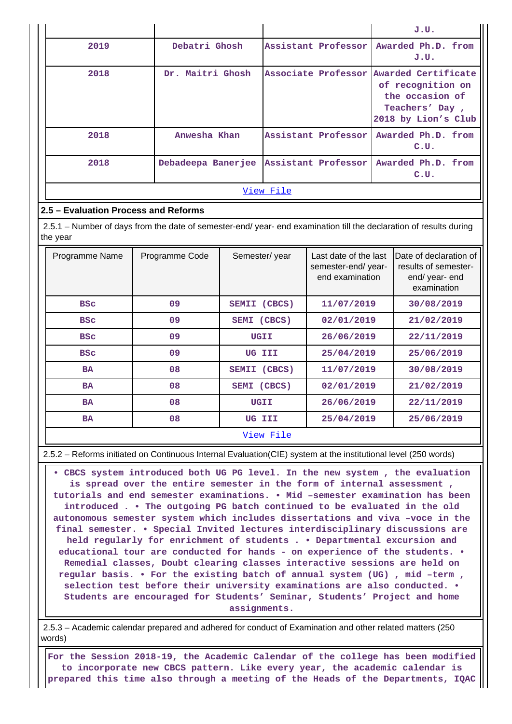|           |                                        |  |                     | J.U.                                                                                                                     |  |  |  |  |  |
|-----------|----------------------------------------|--|---------------------|--------------------------------------------------------------------------------------------------------------------------|--|--|--|--|--|
| 2019      | Debatri Ghosh                          |  | Assistant Professor | Awarded Ph.D. from<br>J.U.                                                                                               |  |  |  |  |  |
| 2018      | Dr. Maitri Ghosh                       |  |                     | Associate Professor Awarded Certificate<br>of recognition on<br>the occasion of<br>Teachers' Day,<br>2018 by Lion's Club |  |  |  |  |  |
| 2018      | Anwesha Khan                           |  | Assistant Professor | Awarded Ph.D. from<br>C.U.                                                                                               |  |  |  |  |  |
| 2018      | Debadeepa Banerjee Assistant Professor |  |                     | Awarded Ph.D. from<br>C.U.                                                                                               |  |  |  |  |  |
| View File |                                        |  |                     |                                                                                                                          |  |  |  |  |  |

### **2.5 – Evaluation Process and Reforms**

 2.5.1 – Number of days from the date of semester-end/ year- end examination till the declaration of results during the year

| Programme Name | Programme Code | Semester/year          | Last date of the last<br>semester-end/year-<br>end examination | <b>IDate of declaration of</b><br>results of semester-<br>end/year-end<br>examination |  |  |  |  |
|----------------|----------------|------------------------|----------------------------------------------------------------|---------------------------------------------------------------------------------------|--|--|--|--|
| <b>BSC</b>     | 09             | (CBCS)<br><b>SEMII</b> | 11/07/2019                                                     | 30/08/2019                                                                            |  |  |  |  |
| <b>BSC</b>     | 09             | SEMI (CBCS)            | 02/01/2019                                                     | 21/02/2019                                                                            |  |  |  |  |
| <b>BSC</b>     | 09             | UGII                   | 26/06/2019                                                     | 22/11/2019                                                                            |  |  |  |  |
| <b>BSC</b>     | 09             | UG III                 | 25/04/2019                                                     | 25/06/2019                                                                            |  |  |  |  |
| <b>BA</b>      | 08             | SEMII (CBCS)           | 11/07/2019                                                     | 30/08/2019                                                                            |  |  |  |  |
| <b>BA</b>      | 08             | SEMI (CBCS)            | 02/01/2019                                                     | 21/02/2019                                                                            |  |  |  |  |
| <b>BA</b>      | 08             | UGII                   | 26/06/2019                                                     | 22/11/2019                                                                            |  |  |  |  |
| <b>BA</b>      | 08             | UG III                 | 25/04/2019                                                     | 25/06/2019                                                                            |  |  |  |  |
| View File      |                |                        |                                                                |                                                                                       |  |  |  |  |

2.5.2 – Reforms initiated on Continuous Internal Evaluation(CIE) system at the institutional level (250 words)

 **• CBCS system introduced both UG PG level. In the new system , the evaluation is spread over the entire semester in the form of internal assessment , tutorials and end semester examinations. • Mid –semester examination has been introduced . • The outgoing PG batch continued to be evaluated in the old autonomous semester system which includes dissertations and viva –voce in the final semester. • Special Invited lectures interdisciplinary discussions are held regularly for enrichment of students . • Departmental excursion and educational tour are conducted for hands - on experience of the students. • Remedial classes, Doubt clearing classes interactive sessions are held on regular basis. • For the existing batch of annual system (UG) , mid –term , selection test before their university examinations are also conducted. • Students are encouraged for Students' Seminar, Students' Project and home assignments.**

 2.5.3 – Academic calendar prepared and adhered for conduct of Examination and other related matters (250 words)

 **For the Session 2018-19, the Academic Calendar of the college has been modified to incorporate new CBCS pattern. Like every year, the academic calendar is prepared this time also through a meeting of the Heads of the Departments, IQAC**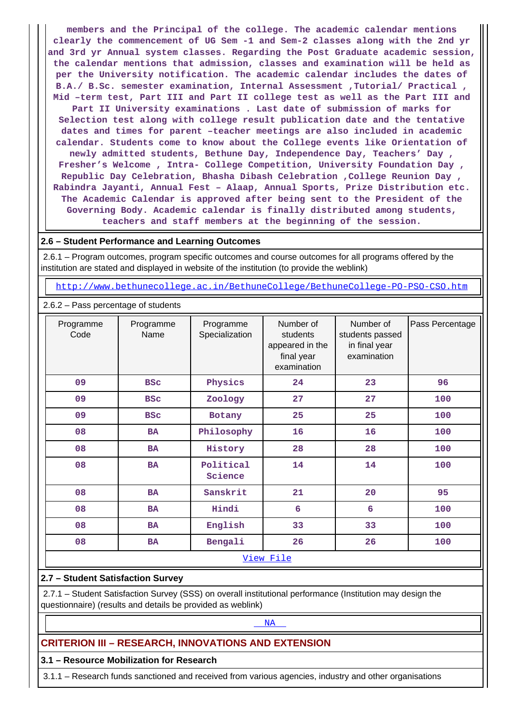**members and the Principal of the college. The academic calendar mentions clearly the commencement of UG Sem -1 and Sem-2 classes along with the 2nd yr and 3rd yr Annual system classes. Regarding the Post Graduate academic session, the calendar mentions that admission, classes and examination will be held as per the University notification. The academic calendar includes the dates of B.A./ B.Sc. semester examination, Internal Assessment ,Tutorial/ Practical , Mid –term test, Part III and Part II college test as well as the Part III and Part II University examinations . Last date of submission of marks for Selection test along with college result publication date and the tentative dates and times for parent –teacher meetings are also included in academic calendar. Students come to know about the College events like Orientation of newly admitted students, Bethune Day, Independence Day, Teachers' Day , Fresher's Welcome , Intra- College Competition, University Foundation Day , Republic Day Celebration, Bhasha Dibash Celebration ,College Reunion Day , Rabindra Jayanti, Annual Fest – Alaap, Annual Sports, Prize Distribution etc. The Academic Calendar is approved after being sent to the President of the Governing Body. Academic calendar is finally distributed among students, teachers and staff members at the beginning of the session.**

#### **2.6 – Student Performance and Learning Outcomes**

 2.6.1 – Program outcomes, program specific outcomes and course outcomes for all programs offered by the institution are stated and displayed in website of the institution (to provide the weblink)

<http://www.bethunecollege.ac.in/BethuneCollege/BethuneCollege-PO-PSO-CSO.htm>

2.6.2 – Pass percentage of students

| Programme<br>Code | Programme<br>Name | Programme<br>Specialization | Number of<br>students<br>appeared in the<br>final year<br>examination | Number of<br>students passed<br>in final year<br>examination | Pass Percentage |
|-------------------|-------------------|-----------------------------|-----------------------------------------------------------------------|--------------------------------------------------------------|-----------------|
| 09                | <b>BSC</b>        | Physics                     | 24                                                                    | 23                                                           | 96              |
| 09                | <b>BSC</b>        | Zoology                     | 27                                                                    | 27                                                           | 100             |
| 09                | <b>BSC</b>        | Botany                      | 25                                                                    | 25                                                           | 100             |
| 08                | <b>BA</b>         | Philosophy                  | 16                                                                    | 16                                                           | 100             |
| 08                | <b>BA</b>         | History                     | 28                                                                    | 28                                                           | 100             |
| 08                | <b>BA</b>         | Political<br>Science        | 14                                                                    | 14                                                           | 100             |
| 08                | <b>BA</b>         | Sanskrit                    | 21                                                                    | 20                                                           | 95              |
| 08                | BA                | Hindi                       | 6                                                                     | 6                                                            | 100             |
| 08                | <b>BA</b>         | English                     | 33                                                                    | 33                                                           | 100             |
| 08                | <b>BA</b>         | Bengali                     | 26                                                                    | 26                                                           | 100             |
|                   |                   |                             | View File                                                             |                                                              |                 |

#### **2.7 – Student Satisfaction Survey**

 2.7.1 – Student Satisfaction Survey (SSS) on overall institutional performance (Institution may design the questionnaire) (results and details be provided as weblink)

## <NA>NA PARTICIPADA E DE LA CARACTERA E DE LA CARACTERA E DE LA CARACTERA E DE LA CARACTERA E DE LA CARACTERA E D

## **CRITERION III – RESEARCH, INNOVATIONS AND EXTENSION**

**3.1 – Resource Mobilization for Research**

3.1.1 – Research funds sanctioned and received from various agencies, industry and other organisations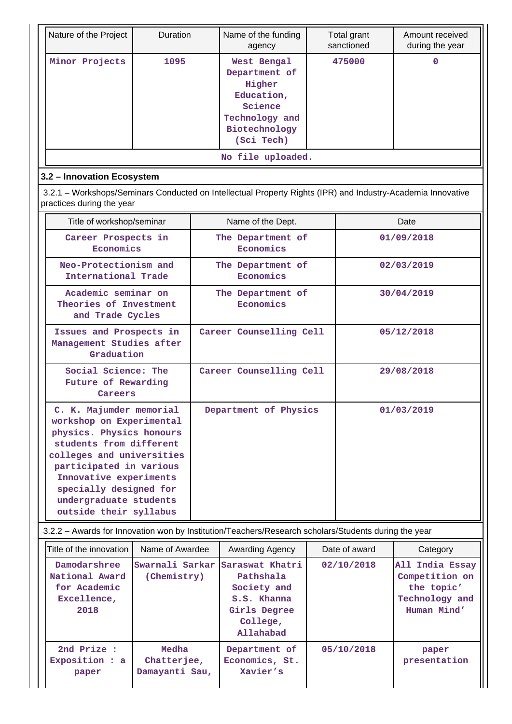| Nature of the Project                                                                                                                                                                                                                                                      | Duration                               |                         | Name of the funding<br>agency                                                                                    |  | Total grant<br>sanctioned | Amount received<br>during the year                                               |  |  |
|----------------------------------------------------------------------------------------------------------------------------------------------------------------------------------------------------------------------------------------------------------------------------|----------------------------------------|-------------------------|------------------------------------------------------------------------------------------------------------------|--|---------------------------|----------------------------------------------------------------------------------|--|--|
| Minor Projects                                                                                                                                                                                                                                                             | 1095                                   |                         | West Bengal<br>Department of<br>Higher<br>Education,<br>Science<br>Technology and<br>Biotechnology<br>(Sci Tech) |  | 475000                    | 0                                                                                |  |  |
|                                                                                                                                                                                                                                                                            |                                        |                         | No file uploaded.                                                                                                |  |                           |                                                                                  |  |  |
| 3.2 - Innovation Ecosystem                                                                                                                                                                                                                                                 |                                        |                         |                                                                                                                  |  |                           |                                                                                  |  |  |
| 3.2.1 – Workshops/Seminars Conducted on Intellectual Property Rights (IPR) and Industry-Academia Innovative<br>practices during the year                                                                                                                                   |                                        |                         |                                                                                                                  |  |                           |                                                                                  |  |  |
| Title of workshop/seminar                                                                                                                                                                                                                                                  |                                        |                         | Name of the Dept.                                                                                                |  |                           | Date                                                                             |  |  |
| Career Prospects in<br>Economics                                                                                                                                                                                                                                           |                                        |                         | The Department of<br>Economics                                                                                   |  |                           | 01/09/2018                                                                       |  |  |
| Neo-Protectionism and<br>International Trade                                                                                                                                                                                                                               |                                        |                         | The Department of<br>Economics                                                                                   |  |                           | 02/03/2019                                                                       |  |  |
| Academic seminar on<br>Theories of Investment<br>and Trade Cycles                                                                                                                                                                                                          |                                        |                         | The Department of<br>Economics                                                                                   |  | 30/04/2019                |                                                                                  |  |  |
| Issues and Prospects in<br>Management Studies after<br>Graduation                                                                                                                                                                                                          |                                        | Career Counselling Cell |                                                                                                                  |  |                           | 05/12/2018                                                                       |  |  |
| Social Science: The<br>Future of Rewarding<br>Careers                                                                                                                                                                                                                      |                                        |                         | Career Counselling Cell                                                                                          |  |                           | 29/08/2018                                                                       |  |  |
| C. K. Majumder memorial<br>workshop on Experimental<br>physics. Physics honours<br>students from different<br>colleges and universities<br>participated in various<br>Innovative experiments<br>specially designed for<br>undergraduate students<br>outside their syllabus |                                        |                         | Department of Physics                                                                                            |  |                           | 01/03/2019                                                                       |  |  |
|                                                                                                                                                                                                                                                                            |                                        |                         | 3.2.2 - Awards for Innovation won by Institution/Teachers/Research scholars/Students during the year             |  |                           |                                                                                  |  |  |
| Title of the innovation                                                                                                                                                                                                                                                    | Name of Awardee                        |                         | Awarding Agency                                                                                                  |  | Date of award             | Category                                                                         |  |  |
| Damodarshree<br>National Award<br>for Academic<br>Excellence,<br>2018                                                                                                                                                                                                      | Swarnali Sarkar<br>(Chemistry)         |                         | Saraswat Khatri<br>Pathshala<br>Society and<br>S.S. Khanna<br>Girls Degree<br>College,<br>Allahabad              |  | 02/10/2018                | All India Essay<br>Competition on<br>the topic'<br>Technology and<br>Human Mind' |  |  |
| 2nd Prize :<br>Exposition : a<br>paper                                                                                                                                                                                                                                     | Medha<br>Chatterjee,<br>Damayanti Sau, |                         | Department of<br>Economics, St.<br>Xavier's                                                                      |  | 05/10/2018                | paper<br>presentation                                                            |  |  |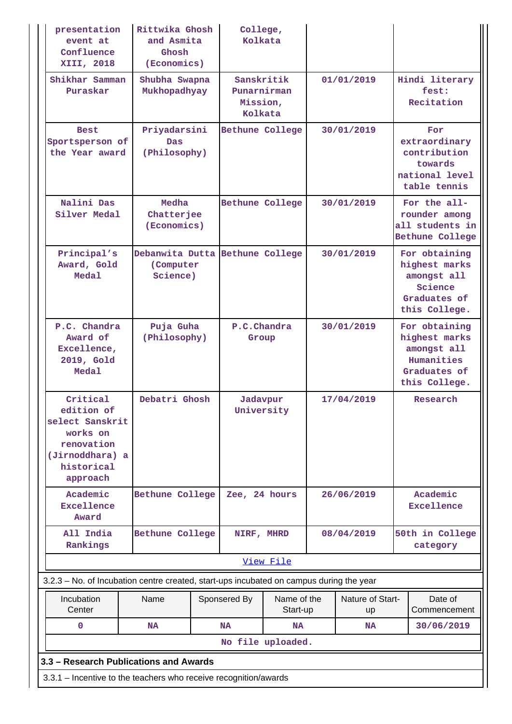| presentation<br>event at<br>Confluence<br>XIII, 2018                                                             | Rittwika Ghosh<br>and Asmita<br>Ghosh<br>(Economics) |  | College,<br>Kolkata                              |             |            |                  |                                                                                              |  |
|------------------------------------------------------------------------------------------------------------------|------------------------------------------------------|--|--------------------------------------------------|-------------|------------|------------------|----------------------------------------------------------------------------------------------|--|
| Shikhar Samman<br>Puraskar                                                                                       | Shubha Swapna<br>Mukhopadhyay                        |  | Sanskritik<br>Punarnirman<br>Mission,<br>Kolkata |             |            | 01/01/2019       | Hindi literary<br>fest:<br>Recitation                                                        |  |
| <b>Best</b><br>Sportsperson of<br>the Year award                                                                 | Priyadarsini<br><b>Das</b><br>(Philosophy)           |  | <b>Bethune College</b>                           |             | 30/01/2019 |                  | For<br>extraordinary<br>contribution<br>towards<br>national level<br>table tennis            |  |
| Nalini Das<br>Silver Medal                                                                                       | Medha<br>Chatterjee<br>(Economics)                   |  | Bethune College                                  |             |            | 30/01/2019       | For the all-<br>rounder among<br>all students in<br>Bethune College                          |  |
| Principal's<br>Award, Gold<br>Medal                                                                              | (Computer<br>Science)                                |  | Debanwita Dutta Bethune College                  |             | 30/01/2019 |                  | For obtaining<br>highest marks<br>amongst all<br>Science<br>Graduates of<br>this College.    |  |
| P.C. Chandra<br>Award of<br>Excellence,<br>2019, Gold<br>Medal                                                   | Puja Guha<br>(Philosophy)                            |  | P.C.Chandra<br>Group                             |             | 30/01/2019 |                  | For obtaining<br>highest marks<br>amongst all<br>Humanities<br>Graduates of<br>this College. |  |
| Critical<br>edition of<br>select Sanskrit<br>works on<br>renovation<br>(Jirnoddhara) a<br>historical<br>approach | Debatri Ghosh                                        |  | Jadavpur<br>University                           |             |            | 17/04/2019       | Research                                                                                     |  |
| Academic<br>Excellence<br>Award                                                                                  | Bethune College                                      |  | Zee, 24 hours                                    |             |            | 26/06/2019       | Academic<br>Excellence                                                                       |  |
| All India<br>Rankings                                                                                            | Bethune College                                      |  | NIRF, MHRD                                       |             |            | 08/04/2019       | 50th in College<br>category                                                                  |  |
|                                                                                                                  |                                                      |  |                                                  | View File   |            |                  |                                                                                              |  |
| 3.2.3 – No. of Incubation centre created, start-ups incubated on campus during the year<br>Incubation            | Name                                                 |  | Sponsered By                                     | Name of the |            | Nature of Start- | Date of                                                                                      |  |
| Center                                                                                                           |                                                      |  |                                                  | Start-up    |            | <b>up</b>        | Commencement                                                                                 |  |
| $\mathbf 0$                                                                                                      | <b>NA</b>                                            |  | <b>NA</b>                                        | <b>NA</b>   |            | <b>NA</b>        | 30/06/2019                                                                                   |  |
|                                                                                                                  | No file uploaded.                                    |  |                                                  |             |            |                  |                                                                                              |  |
| 3.3 - Research Publications and Awards<br>3.3.1 - Incentive to the teachers who receive recognition/awards       |                                                      |  |                                                  |             |            |                  |                                                                                              |  |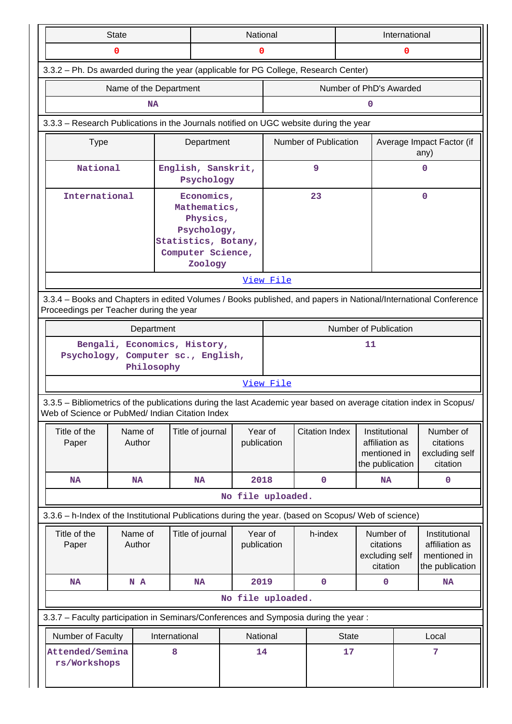|                                                                                                                                                                       | <b>State</b>                                                                     |                        |                                                                                                              | National               |           |                       | International |                                                                    |   |                                                                    |
|-----------------------------------------------------------------------------------------------------------------------------------------------------------------------|----------------------------------------------------------------------------------|------------------------|--------------------------------------------------------------------------------------------------------------|------------------------|-----------|-----------------------|---------------|--------------------------------------------------------------------|---|--------------------------------------------------------------------|
|                                                                                                                                                                       | 0                                                                                |                        |                                                                                                              | 0                      |           |                       |               | 0                                                                  |   |                                                                    |
| 3.3.2 - Ph. Ds awarded during the year (applicable for PG College, Research Center)                                                                                   |                                                                                  |                        |                                                                                                              |                        |           |                       |               |                                                                    |   |                                                                    |
|                                                                                                                                                                       |                                                                                  | Name of the Department |                                                                                                              |                        |           |                       |               | Number of PhD's Awarded                                            |   |                                                                    |
|                                                                                                                                                                       |                                                                                  | <b>NA</b>              |                                                                                                              |                        |           |                       |               | 0                                                                  |   |                                                                    |
| 3.3.3 - Research Publications in the Journals notified on UGC website during the year                                                                                 |                                                                                  |                        |                                                                                                              |                        |           |                       |               |                                                                    |   |                                                                    |
| <b>Type</b>                                                                                                                                                           |                                                                                  |                        | Department                                                                                                   |                        |           | Number of Publication |               |                                                                    |   | Average Impact Factor (if<br>any)                                  |
| National                                                                                                                                                              |                                                                                  |                        | English, Sanskrit,<br>Psychology                                                                             |                        |           | 9                     |               |                                                                    |   | 0                                                                  |
| International                                                                                                                                                         |                                                                                  |                        | Economics,<br>Mathematics,<br>Physics,<br>Psychology,<br>Statistics, Botany,<br>Computer Science,<br>Zoology |                        |           | 23                    |               |                                                                    |   | $\mathbf 0$                                                        |
|                                                                                                                                                                       |                                                                                  |                        |                                                                                                              |                        | View File |                       |               |                                                                    |   |                                                                    |
| 3.3.4 – Books and Chapters in edited Volumes / Books published, and papers in National/International Conference<br>Proceedings per Teacher during the year            |                                                                                  |                        |                                                                                                              |                        |           |                       |               |                                                                    |   |                                                                    |
|                                                                                                                                                                       |                                                                                  | Department             |                                                                                                              |                        |           |                       |               | Number of Publication                                              |   |                                                                    |
|                                                                                                                                                                       | Bengali, Economics, History,<br>Psychology, Computer sc., English,<br>Philosophy |                        |                                                                                                              |                        |           |                       |               | 11                                                                 |   |                                                                    |
|                                                                                                                                                                       |                                                                                  |                        |                                                                                                              |                        | View File |                       |               |                                                                    |   |                                                                    |
| 3.3.5 - Bibliometrics of the publications during the last Academic year based on average citation index in Scopus/<br>Web of Science or PubMed/ Indian Citation Index |                                                                                  |                        |                                                                                                              |                        |           |                       |               |                                                                    |   |                                                                    |
| Title of the<br>Paper                                                                                                                                                 | Name of<br>Author                                                                |                        | Title of journal                                                                                             | Year of<br>publication |           | <b>Citation Index</b> |               | Institutional<br>affiliation as<br>mentioned in<br>the publication |   | Number of<br>citations<br>excluding self<br>citation               |
| <b>NA</b>                                                                                                                                                             | <b>NA</b>                                                                        |                        | <b>NA</b>                                                                                                    | 2018                   |           | $\mathbf 0$           |               | <b>NA</b>                                                          |   | $\mathbf 0$                                                        |
|                                                                                                                                                                       |                                                                                  |                        |                                                                                                              | No file uploaded.      |           |                       |               |                                                                    |   |                                                                    |
| 3.3.6 - h-Index of the Institutional Publications during the year. (based on Scopus/ Web of science)                                                                  |                                                                                  |                        |                                                                                                              |                        |           |                       |               |                                                                    |   |                                                                    |
| Title of the<br>Paper                                                                                                                                                 | Name of<br>Author                                                                |                        | Title of journal                                                                                             | Year of<br>publication |           | h-index               |               | Number of<br>citations<br>excluding self<br>citation               |   | Institutional<br>affiliation as<br>mentioned in<br>the publication |
| <b>NA</b>                                                                                                                                                             | N A                                                                              |                        | <b>NA</b>                                                                                                    | 2019                   |           | $\mathbf 0$           |               | $\mathbf 0$                                                        |   | NA                                                                 |
|                                                                                                                                                                       |                                                                                  |                        |                                                                                                              | No file uploaded.      |           |                       |               |                                                                    |   |                                                                    |
| 3.3.7 - Faculty participation in Seminars/Conferences and Symposia during the year:                                                                                   |                                                                                  |                        |                                                                                                              |                        |           |                       |               |                                                                    |   |                                                                    |
| Number of Faculty                                                                                                                                                     |                                                                                  | International          |                                                                                                              | National               |           |                       | <b>State</b>  |                                                                    |   | Local                                                              |
| Attended/Semina<br>rs/Workshops                                                                                                                                       |                                                                                  | 8                      |                                                                                                              | 14                     |           |                       | 17            |                                                                    | 7 |                                                                    |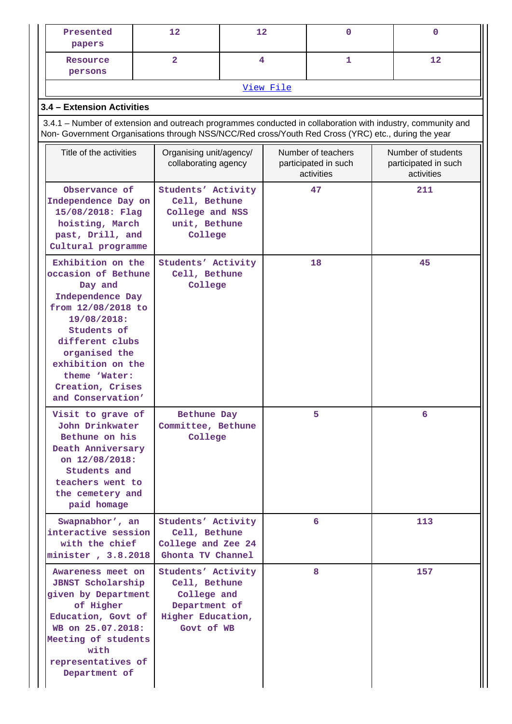| Presented<br>papers                                                                                                                                                                                                                            | 12                                                                                                     | 12 |                                                          | $\mathbf 0$                                              |     | $\mathbf{0}$ |  |  |
|------------------------------------------------------------------------------------------------------------------------------------------------------------------------------------------------------------------------------------------------|--------------------------------------------------------------------------------------------------------|----|----------------------------------------------------------|----------------------------------------------------------|-----|--------------|--|--|
| Resource<br>persons                                                                                                                                                                                                                            | $\overline{2}$                                                                                         | 4  |                                                          | 1                                                        |     | 12           |  |  |
| View File                                                                                                                                                                                                                                      |                                                                                                        |    |                                                          |                                                          |     |              |  |  |
| 3.4 - Extension Activities                                                                                                                                                                                                                     |                                                                                                        |    |                                                          |                                                          |     |              |  |  |
| 3.4.1 - Number of extension and outreach programmes conducted in collaboration with industry, community and<br>Non- Government Organisations through NSS/NCC/Red cross/Youth Red Cross (YRC) etc., during the year                             |                                                                                                        |    |                                                          |                                                          |     |              |  |  |
| Title of the activities                                                                                                                                                                                                                        | Organising unit/agency/<br>collaborating agency                                                        |    | Number of teachers<br>participated in such<br>activities | Number of students<br>participated in such<br>activities |     |              |  |  |
| Observance of<br>Independence Day on<br>15/08/2018: Flag<br>hoisting, March<br>past, Drill, and<br>Cultural programme                                                                                                                          | Students' Activity<br>Cell, Bethune<br>College and NSS<br>unit, Bethune<br>College                     |    |                                                          | 47                                                       | 211 |              |  |  |
| Exhibition on the<br>occasion of Bethune<br>Day and<br>Independence Day<br>from 12/08/2018 to<br>19/08/2018:<br>Students of<br>different clubs<br>organised the<br>exhibition on the<br>theme 'Water:<br>Creation, Crises<br>and Conservation' | Students' Activity<br>Cell, Bethune<br>College                                                         |    |                                                          | 18                                                       |     | 45           |  |  |
| Visit to grave of<br>John Drinkwater<br>Bethune on his<br>Death Anniversary<br>on 12/08/2018:<br>Students and<br>teachers went to<br>the cemetery and<br>paid homage                                                                           | Bethune Day<br>Committee, Bethune<br>College                                                           |    |                                                          | 5                                                        |     | 6            |  |  |
| Swapnabhor', an<br>interactive session<br>with the chief<br>minister, 3.8.2018                                                                                                                                                                 | Students' Activity<br>Cell, Bethune<br>College and Zee 24<br>Ghonta TV Channel                         |    |                                                          | 6                                                        |     | 113          |  |  |
| Awareness meet on<br><b>JBNST Scholarship</b><br>given by Department<br>of Higher<br>Education, Govt of<br>WB on 25.07.2018:<br>Meeting of students<br>with<br>representatives of<br>Department of                                             | Students' Activity<br>Cell, Bethune<br>College and<br>Department of<br>Higher Education,<br>Govt of WB |    |                                                          | 8                                                        |     | 157          |  |  |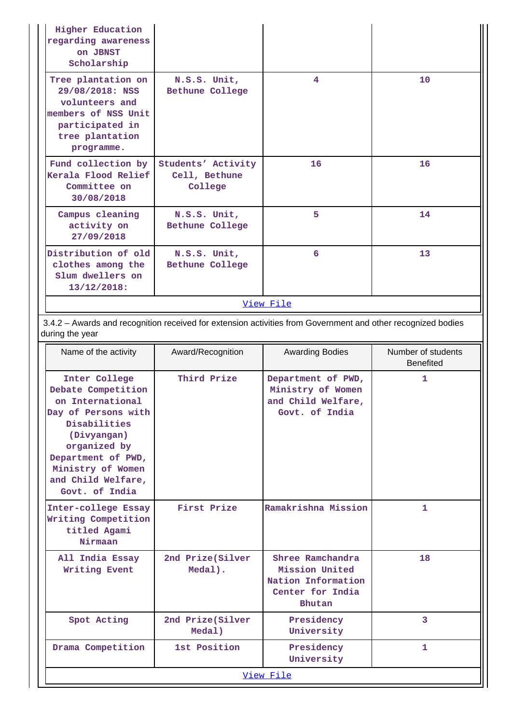| <b>Higher Education</b><br>regarding awareness<br>on JBNST<br>Scholarship                                                          |                                                |    |    |  |  |  |  |
|------------------------------------------------------------------------------------------------------------------------------------|------------------------------------------------|----|----|--|--|--|--|
| Tree plantation on<br>29/08/2018: NSS<br>volunteers and<br>members of NSS Unit<br>participated in<br>tree plantation<br>programme. | N.S.S. Unit,<br>Bethune College                | 4  | 10 |  |  |  |  |
| Fund collection by<br>Kerala Flood Relief<br>Committee on<br>30/08/2018                                                            | Students' Activity<br>Cell, Bethune<br>College | 16 | 16 |  |  |  |  |
| Campus cleaning<br>activity on<br>27/09/2018                                                                                       | N.S.S. Unit,<br>Bethune College                | 5  | 14 |  |  |  |  |
| Distribution of old<br>clothes among the<br>Slum dwellers on<br>13/12/2018:                                                        | N.S.S. Unit,<br>Bethune College                | 6  | 13 |  |  |  |  |
| View File                                                                                                                          |                                                |    |    |  |  |  |  |

 3.4.2 – Awards and recognition received for extension activities from Government and other recognized bodies during the year

| Name of the activity                                                                                                                                                                                             | Award/Recognition           | <b>Awarding Bodies</b>                                                                        | Number of students<br><b>Benefited</b> |
|------------------------------------------------------------------------------------------------------------------------------------------------------------------------------------------------------------------|-----------------------------|-----------------------------------------------------------------------------------------------|----------------------------------------|
| Inter College<br>Debate Competition<br>on International<br>Day of Persons with<br>Disabilities<br>(Divyangan)<br>organized by<br>Department of PWD,<br>Ministry of Women<br>and Child Welfare,<br>Govt. of India | Third Prize                 | Department of PWD,<br>Ministry of Women<br>and Child Welfare,<br>Govt. of India               | $\mathbf{1}$                           |
| Inter-college Essay<br>Writing Competition<br>titled Agami<br>Nirmaan                                                                                                                                            | First Prize                 | Ramakrishna Mission                                                                           | 1                                      |
| All India Essay<br>Writing Event                                                                                                                                                                                 | 2nd Prize(Silver<br>Medal). | Shree Ramchandra<br>Mission United<br>Nation Information<br>Center for India<br><b>Bhutan</b> | 18                                     |
| Spot Acting                                                                                                                                                                                                      | 2nd Prize(Silver<br>Medal)  | Presidency<br>University                                                                      | 3                                      |
| Drama Competition                                                                                                                                                                                                | 1st Position                | Presidency<br>University                                                                      | $\mathbf{1}$                           |
|                                                                                                                                                                                                                  |                             | View File                                                                                     |                                        |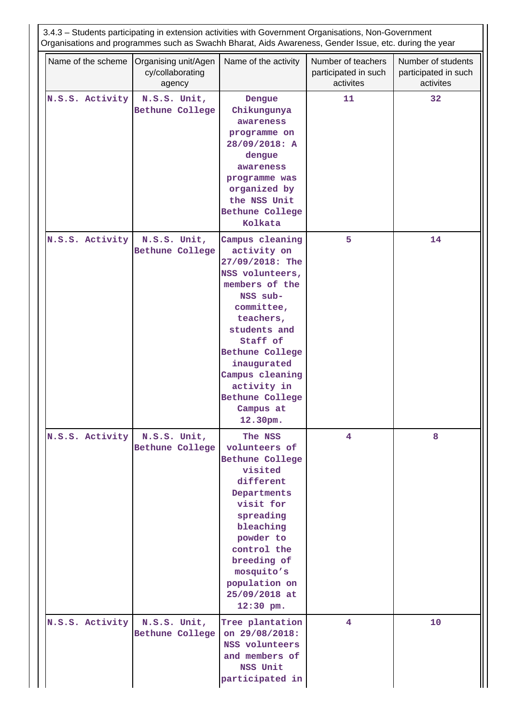| 3.4.3 - Students participating in extension activities with Government Organisations, Non-Government<br>Organisations and programmes such as Swachh Bharat, Aids Awareness, Gender Issue, etc. during the year |                                                    |                                                                                                                                                                                                                                                                                         |                                                         |                                                         |  |  |  |
|----------------------------------------------------------------------------------------------------------------------------------------------------------------------------------------------------------------|----------------------------------------------------|-----------------------------------------------------------------------------------------------------------------------------------------------------------------------------------------------------------------------------------------------------------------------------------------|---------------------------------------------------------|---------------------------------------------------------|--|--|--|
| Name of the scheme                                                                                                                                                                                             | Organising unit/Agen<br>cy/collaborating<br>agency | Name of the activity                                                                                                                                                                                                                                                                    | Number of teachers<br>participated in such<br>activites | Number of students<br>participated in such<br>activites |  |  |  |
| N.S.S. Activity                                                                                                                                                                                                | N.S.S. Unit,<br>Bethune College                    | Dengue<br>Chikungunya<br>awareness<br>programme on<br>28/09/2018: A<br>dengue<br>awareness<br>programme was<br>organized by<br>the NSS Unit<br>Bethune College<br>Kolkata                                                                                                               | 11                                                      | 32                                                      |  |  |  |
| N.S.S. Activity                                                                                                                                                                                                | N.S.S. Unit,<br>Bethune College                    | Campus cleaning<br>activity on<br>27/09/2018: The<br>NSS volunteers,<br>members of the<br>NSS sub-<br>committee,<br>teachers,<br>students and<br>Staff of<br><b>Bethune College</b><br>inaugurated<br>Campus cleaning<br>activity in<br><b>Bethune College</b><br>Campus at<br>12.30pm. | 5                                                       | 14                                                      |  |  |  |
| N.S.S. Activity                                                                                                                                                                                                | N.S.S. Unit,<br>Bethune College                    | The NSS<br>volunteers of<br>Bethune College<br>visited<br>different<br>Departments<br>visit for<br>spreading<br>bleaching<br>powder to<br>control the<br>breeding of<br>mosquito's<br>population on<br>25/09/2018 at<br>$12:30$ pm.                                                     | $\overline{4}$                                          | 8                                                       |  |  |  |
| N.S.S. Activity                                                                                                                                                                                                | N.S.S. Unit,<br>Bethune College                    | Tree plantation<br>on 29/08/2018:<br>NSS volunteers<br>and members of<br>NSS Unit<br>participated in                                                                                                                                                                                    | $\overline{4}$                                          | 10                                                      |  |  |  |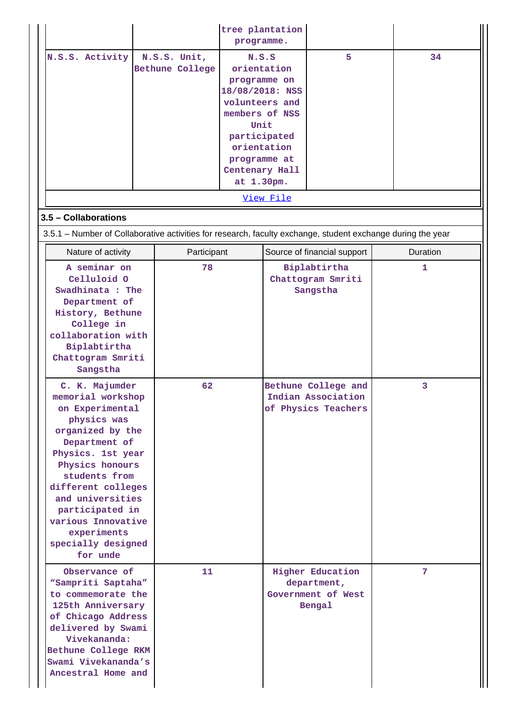|                                                                                                                                                                                                                                                                                                         |                                        | programme.                                                                                                                                                                         | tree plantation |                                                                        |          |  |
|---------------------------------------------------------------------------------------------------------------------------------------------------------------------------------------------------------------------------------------------------------------------------------------------------------|----------------------------------------|------------------------------------------------------------------------------------------------------------------------------------------------------------------------------------|-----------------|------------------------------------------------------------------------|----------|--|
| N.S.S. Activity                                                                                                                                                                                                                                                                                         | N.S.S. Unit,<br><b>Bethune College</b> | N.S.S<br>orientation<br>programme on<br>18/08/2018: NSS<br>volunteers and<br>members of NSS<br>Unit<br>participated<br>orientation<br>programme at<br>Centenary Hall<br>at 1.30pm. |                 | 5                                                                      | 34       |  |
|                                                                                                                                                                                                                                                                                                         |                                        |                                                                                                                                                                                    | View File       |                                                                        |          |  |
| 3.5 - Collaborations<br>3.5.1 – Number of Collaborative activities for research, faculty exchange, student exchange during the year                                                                                                                                                                     |                                        |                                                                                                                                                                                    |                 |                                                                        |          |  |
| Nature of activity                                                                                                                                                                                                                                                                                      | Participant                            |                                                                                                                                                                                    |                 | Source of financial support                                            | Duration |  |
| A seminar on<br>Celluloid 0<br>Swadhinata : The<br>Department of<br>History, Bethune<br>College in<br>collaboration with<br>Biplabtirtha<br>Chattogram Smriti<br>Sangstha                                                                                                                               | 78                                     |                                                                                                                                                                                    |                 | Biplabtirtha<br>Chattogram Smriti<br>Sangstha                          | 1.       |  |
| C. K. Majumder<br>memorial workshop<br>on Experimental<br>physics was<br>organized by the<br>Department of<br>Physics. 1st year<br>Physics honours<br>students from<br>different colleges<br>and universities<br>participated in<br>various Innovative<br>experiments<br>specially designed<br>for unde | 62                                     |                                                                                                                                                                                    |                 | Bethune College and<br>Indian Association<br>of Physics Teachers       | 3        |  |
| Observance of<br>"Sampriti Saptaha"<br>to commemorate the<br>125th Anniversary<br>of Chicago Address<br>delivered by Swami<br>Vivekananda:<br>Bethune College RKM<br>Swami Vivekananda's<br>Ancestral Home and                                                                                          | 11                                     |                                                                                                                                                                                    |                 | <b>Higher Education</b><br>department,<br>Government of West<br>Bengal | 7        |  |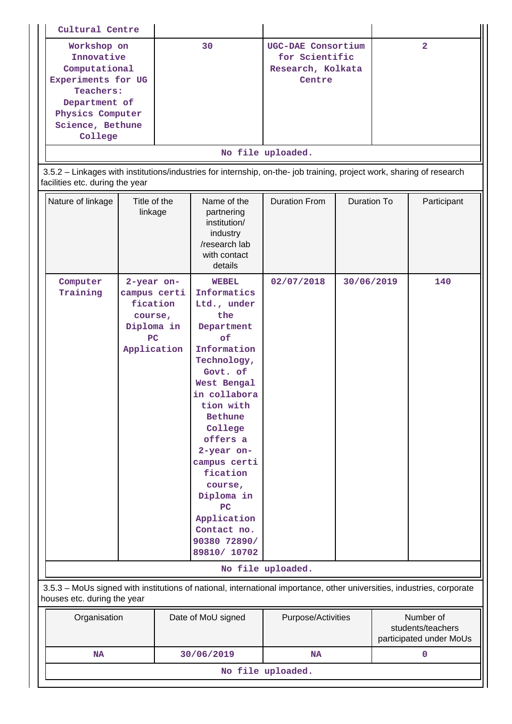| Cultural Centre                                                                                       |                                                                                      |    |                                                                                                                                                                                                                                                                                                                                             |                                                                                 |                    |                |             |
|-------------------------------------------------------------------------------------------------------|--------------------------------------------------------------------------------------|----|---------------------------------------------------------------------------------------------------------------------------------------------------------------------------------------------------------------------------------------------------------------------------------------------------------------------------------------------|---------------------------------------------------------------------------------|--------------------|----------------|-------------|
| Workshop on<br>Innovative<br>Computational<br>Experiments for UG<br><b>Teachers:</b><br>Department of |                                                                                      | 30 |                                                                                                                                                                                                                                                                                                                                             | UGC-DAE Consortium<br>for Scientific<br>Research, Kolkata<br>Centre             |                    | $\overline{2}$ |             |
| Physics Computer<br>Science, Bethune                                                                  |                                                                                      |    |                                                                                                                                                                                                                                                                                                                                             |                                                                                 |                    |                |             |
| College                                                                                               |                                                                                      |    |                                                                                                                                                                                                                                                                                                                                             |                                                                                 |                    |                |             |
|                                                                                                       |                                                                                      |    |                                                                                                                                                                                                                                                                                                                                             | No file uploaded.                                                               |                    |                |             |
| facilities etc. during the year                                                                       |                                                                                      |    | 3.5.2 - Linkages with institutions/industries for internship, on-the- job training, project work, sharing of research                                                                                                                                                                                                                       |                                                                                 |                    |                |             |
| Nature of linkage                                                                                     | Title of the<br>linkage                                                              |    | Name of the<br>partnering<br>institution/<br>industry<br>/research lab<br>with contact<br>details                                                                                                                                                                                                                                           | <b>Duration From</b>                                                            | <b>Duration To</b> |                | Participant |
| Computer<br>Training                                                                                  | 2-year on-<br>campus certi<br>fication<br>course,<br>Diploma in<br>PC<br>Application |    | <b>WEBEL</b><br>Informatics<br>Ltd., under<br>the<br>Department<br>of<br>Information<br>Technology,<br>Govt. of<br>West Bengal<br>in collabora<br>tion with<br><b>Bethune</b><br>College<br>offers a<br>2-year on-<br>campus certi<br>fication<br>course,<br>Diploma in<br>PC<br>Application<br>Contact no.<br>90380 72890/<br>89810/ 10702 | 02/07/2018                                                                      | 30/06/2019         |                | 140         |
|                                                                                                       |                                                                                      |    |                                                                                                                                                                                                                                                                                                                                             | No file uploaded.                                                               |                    |                |             |
| houses etc. during the year                                                                           |                                                                                      |    | 3.5.3 - MoUs signed with institutions of national, international importance, other universities, industries, corporate                                                                                                                                                                                                                      |                                                                                 |                    |                |             |
| Organisation                                                                                          |                                                                                      |    | Date of MoU signed                                                                                                                                                                                                                                                                                                                          | Purpose/Activities<br>Number of<br>students/teachers<br>participated under MoUs |                    |                |             |
| <b>NA</b>                                                                                             |                                                                                      |    | 30/06/2019                                                                                                                                                                                                                                                                                                                                  | <b>NA</b>                                                                       |                    |                | 0           |
| No file uploaded.                                                                                     |                                                                                      |    |                                                                                                                                                                                                                                                                                                                                             |                                                                                 |                    |                |             |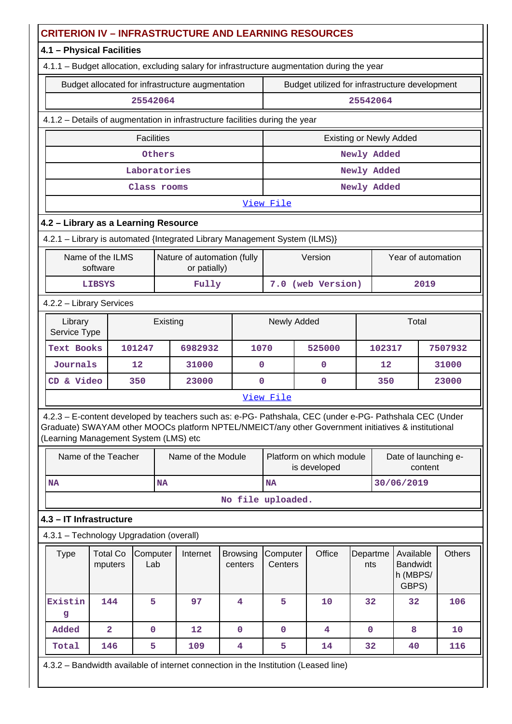| <b>CRITERION IV - INFRASTRUCTURE AND LEARNING RESOURCES</b>                                                                                                                                                                                             |                                                                              |                   |           |                                                  |  |                            |                                                  |  |                                                |                                                   |                   |                                 |       |
|---------------------------------------------------------------------------------------------------------------------------------------------------------------------------------------------------------------------------------------------------------|------------------------------------------------------------------------------|-------------------|-----------|--------------------------------------------------|--|----------------------------|--------------------------------------------------|--|------------------------------------------------|---------------------------------------------------|-------------------|---------------------------------|-------|
| 4.1 - Physical Facilities                                                                                                                                                                                                                               |                                                                              |                   |           |                                                  |  |                            |                                                  |  |                                                |                                                   |                   |                                 |       |
| 4.1.1 - Budget allocation, excluding salary for infrastructure augmentation during the year                                                                                                                                                             |                                                                              |                   |           |                                                  |  |                            |                                                  |  |                                                |                                                   |                   |                                 |       |
|                                                                                                                                                                                                                                                         |                                                                              |                   |           | Budget allocated for infrastructure augmentation |  |                            |                                                  |  | Budget utilized for infrastructure development |                                                   |                   |                                 |       |
|                                                                                                                                                                                                                                                         | 25542064<br>25542064                                                         |                   |           |                                                  |  |                            |                                                  |  |                                                |                                                   |                   |                                 |       |
|                                                                                                                                                                                                                                                         | 4.1.2 - Details of augmentation in infrastructure facilities during the year |                   |           |                                                  |  |                            |                                                  |  |                                                |                                                   |                   |                                 |       |
|                                                                                                                                                                                                                                                         |                                                                              | <b>Facilities</b> |           |                                                  |  |                            |                                                  |  | <b>Existing or Newly Added</b>                 |                                                   |                   |                                 |       |
|                                                                                                                                                                                                                                                         |                                                                              |                   | Others    |                                                  |  |                            |                                                  |  |                                                | Newly Added                                       |                   |                                 |       |
|                                                                                                                                                                                                                                                         |                                                                              | Laboratories      |           |                                                  |  |                            |                                                  |  |                                                | Newly Added                                       |                   |                                 |       |
|                                                                                                                                                                                                                                                         |                                                                              | Class rooms       |           |                                                  |  |                            |                                                  |  |                                                | Newly Added                                       |                   |                                 |       |
|                                                                                                                                                                                                                                                         |                                                                              |                   |           |                                                  |  |                            | View File                                        |  |                                                |                                                   |                   |                                 |       |
| 4.2 - Library as a Learning Resource                                                                                                                                                                                                                    |                                                                              |                   |           |                                                  |  |                            |                                                  |  |                                                |                                                   |                   |                                 |       |
| 4.2.1 - Library is automated {Integrated Library Management System (ILMS)}                                                                                                                                                                              |                                                                              |                   |           |                                                  |  |                            |                                                  |  |                                                |                                                   |                   |                                 |       |
|                                                                                                                                                                                                                                                         | Name of the ILMS<br>software                                                 |                   |           | Nature of automation (fully<br>or patially)      |  |                            |                                                  |  | Version                                        |                                                   |                   | Year of automation              |       |
|                                                                                                                                                                                                                                                         | <b>LIBSYS</b>                                                                |                   |           | Fully                                            |  |                            |                                                  |  | 7.0 (web Version)                              |                                                   |                   | 2019                            |       |
| 4.2.2 - Library Services                                                                                                                                                                                                                                |                                                                              |                   |           |                                                  |  |                            |                                                  |  |                                                |                                                   |                   |                                 |       |
| Library<br>Service Type                                                                                                                                                                                                                                 |                                                                              |                   | Existing  |                                                  |  |                            | Newly Added                                      |  |                                                |                                                   |                   | Total                           |       |
| Text Books                                                                                                                                                                                                                                              |                                                                              | 101247            |           | 6982932                                          |  | 1070                       |                                                  |  | 525000                                         |                                                   | 7507932<br>102317 |                                 |       |
| Journals                                                                                                                                                                                                                                                |                                                                              | 12                |           | 31000                                            |  | $\mathbf 0$                |                                                  |  | $\mathbf 0$                                    |                                                   | 12                |                                 | 31000 |
| CD & Video                                                                                                                                                                                                                                              |                                                                              | 350               |           | 23000                                            |  | $\mathbf 0$                |                                                  |  | $\mathbf 0$                                    |                                                   | 350               |                                 | 23000 |
|                                                                                                                                                                                                                                                         |                                                                              |                   |           |                                                  |  |                            | View File                                        |  |                                                |                                                   |                   |                                 |       |
| 4.2.3 - E-content developed by teachers such as: e-PG- Pathshala, CEC (under e-PG- Pathshala CEC (Under<br>Graduate) SWAYAM other MOOCs platform NPTEL/NMEICT/any other Government initiatives & institutional<br>(Learning Management System (LMS) etc |                                                                              |                   |           |                                                  |  |                            |                                                  |  |                                                |                                                   |                   |                                 |       |
| Name of the Teacher                                                                                                                                                                                                                                     |                                                                              |                   |           | Name of the Module                               |  |                            |                                                  |  | Platform on which module<br>is developed       |                                                   |                   | Date of launching e-<br>content |       |
| <b>NA</b>                                                                                                                                                                                                                                               |                                                                              |                   | <b>NA</b> |                                                  |  |                            | <b>NA</b>                                        |  |                                                |                                                   |                   | 30/06/2019                      |       |
|                                                                                                                                                                                                                                                         |                                                                              |                   |           |                                                  |  |                            | No file uploaded.                                |  |                                                |                                                   |                   |                                 |       |
| 4.3 - IT Infrastructure                                                                                                                                                                                                                                 |                                                                              |                   |           |                                                  |  |                            |                                                  |  |                                                |                                                   |                   |                                 |       |
| 4.3.1 - Technology Upgradation (overall)                                                                                                                                                                                                                |                                                                              |                   |           |                                                  |  |                            |                                                  |  |                                                |                                                   |                   |                                 |       |
| <b>Type</b>                                                                                                                                                                                                                                             | <b>Total Co</b><br>mputers                                                   | Computer<br>Lab   |           | Internet                                         |  | <b>Browsing</b><br>centers | Office<br>Computer<br>Departme<br>Centers<br>nts |  |                                                | Available<br><b>Bandwidt</b><br>h (MBPS/<br>GBPS) | <b>Others</b>     |                                 |       |
| Existin<br>g                                                                                                                                                                                                                                            | 144                                                                          | 5                 |           | 97                                               |  | 4                          | 5                                                |  | 10                                             | 32                                                |                   | 32                              | 106   |
| Added                                                                                                                                                                                                                                                   | $\overline{2}$                                                               | $\mathbf 0$       |           | $12 \overline{ }$                                |  | $\mathbf 0$                | $\mathbf{O}$                                     |  | 4                                              | 0                                                 |                   | 8                               | 10    |
| Total                                                                                                                                                                                                                                                   | 146                                                                          | 5                 |           | 109                                              |  | 4                          | 5                                                |  | 14                                             | 32                                                |                   | 40                              | 116   |
| 4.3.2 - Bandwidth available of internet connection in the Institution (Leased line)                                                                                                                                                                     |                                                                              |                   |           |                                                  |  |                            |                                                  |  |                                                |                                                   |                   |                                 |       |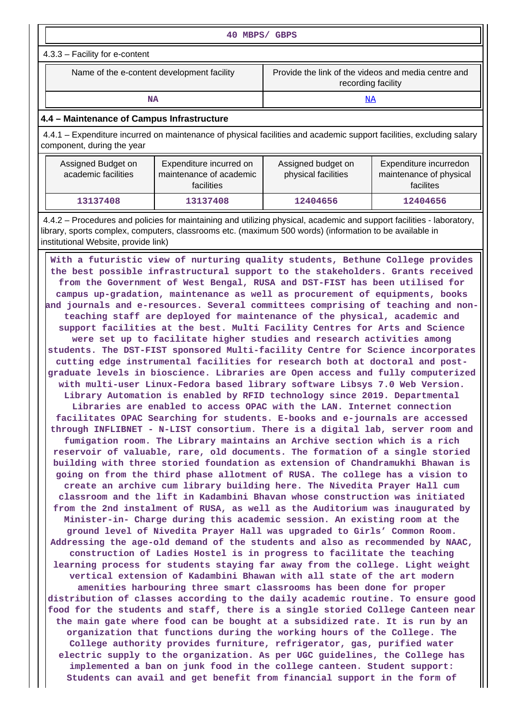| 40 MBPS/ GBPS                                                                                                           |                                                                                                                      |  |  |  |  |  |  |  |
|-------------------------------------------------------------------------------------------------------------------------|----------------------------------------------------------------------------------------------------------------------|--|--|--|--|--|--|--|
| $4.3.3 -$ Facility for e-content                                                                                        |                                                                                                                      |  |  |  |  |  |  |  |
| Provide the link of the videos and media centre and<br>Name of the e-content development facility<br>recording facility |                                                                                                                      |  |  |  |  |  |  |  |
| NA                                                                                                                      | <u>NA</u>                                                                                                            |  |  |  |  |  |  |  |
| 4.4 - Maintenance of Campus Infrastructure                                                                              |                                                                                                                      |  |  |  |  |  |  |  |
|                                                                                                                         | 4.4.1 – Expenditure incurred on maintenance of physical facilities and academic support facilities, excluding salary |  |  |  |  |  |  |  |

| Assigned Budget on<br>academic facilities | Expenditure incurred on<br>maintenance of academic<br><b>facilities</b> | Assigned budget on<br>physical facilities | Expenditure incurredon<br>maintenance of physical<br>facilites |
|-------------------------------------------|-------------------------------------------------------------------------|-------------------------------------------|----------------------------------------------------------------|
| 13137408                                  | 13137408                                                                | 12404656                                  | 12404656                                                       |

component, during the year

 4.4.2 – Procedures and policies for maintaining and utilizing physical, academic and support facilities - laboratory, library, sports complex, computers, classrooms etc. (maximum 500 words) (information to be available in institutional Website, provide link)

 **With a futuristic view of nurturing quality students, Bethune College provides the best possible infrastructural support to the stakeholders. Grants received from the Government of West Bengal, RUSA and DST-FIST has been utilised for campus up-gradation, maintenance as well as procurement of equipments, books and journals and e-resources. Several committees comprising of teaching and nonteaching staff are deployed for maintenance of the physical, academic and support facilities at the best. Multi Facility Centres for Arts and Science were set up to facilitate higher studies and research activities among students. The DST-FIST sponsored Multi-facility Centre for Science incorporates cutting edge instrumental facilities for research both at doctoral and postgraduate levels in bioscience. Libraries are Open access and fully computerized with multi-user Linux-Fedora based library software Libsys 7.0 Web Version. Library Automation is enabled by RFID technology since 2019. Departmental Libraries are enabled to access OPAC with the LAN. Internet connection facilitates OPAC Searching for students. E-books and e-journals are accessed through INFLIBNET - N-LIST consortium. There is a digital lab, server room and fumigation room. The Library maintains an Archive section which is a rich reservoir of valuable, rare, old documents. The formation of a single storied building with three storied foundation as extension of Chandramukhi Bhawan is going on from the third phase allotment of RUSA. The college has a vision to create an archive cum library building here. The Nivedita Prayer Hall cum classroom and the lift in Kadambini Bhavan whose construction was initiated from the 2nd instalment of RUSA, as well as the Auditorium was inaugurated by Minister-in- Charge during this academic session. An existing room at the ground level of Nivedita Prayer Hall was upgraded to Girls' Common Room. Addressing the age-old demand of the students and also as recommended by NAAC, construction of Ladies Hostel is in progress to facilitate the teaching learning process for students staying far away from the college. Light weight vertical extension of Kadambini Bhawan with all state of the art modern amenities harbouring three smart classrooms has been done for proper distribution of classes according to the daily academic routine. To ensure good food for the students and staff, there is a single storied College Canteen near the main gate where food can be bought at a subsidized rate. It is run by an organization that functions during the working hours of the College. The College authority provides furniture, refrigerator, gas, purified water electric supply to the organization. As per UGC guidelines, the College has implemented a ban on junk food in the college canteen. Student support: Students can avail and get benefit from financial support in the form of**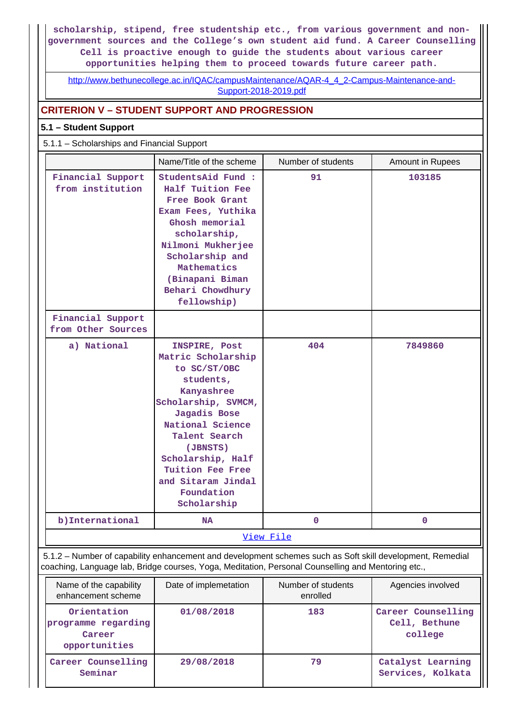**scholarship, stipend, free studentship etc., from various government and nongovernment sources and the College's own student aid fund. A Career Counselling Cell is proactive enough to guide the students about various career opportunities helping them to proceed towards future career path.**

[http://www.bethunecollege.ac.in/IQAC/campusMaintenance/AQAR-4\\_4\\_2-Campus-Maintenance-and-](http://www.bethunecollege.ac.in/IQAC/campusMaintenance/AQAR-4_4_2-Campus-Maintenance-and-Support-2018-2019.pdf)[Support-2018-2019.pdf](http://www.bethunecollege.ac.in/IQAC/campusMaintenance/AQAR-4_4_2-Campus-Maintenance-and-Support-2018-2019.pdf)

## **CRITERION V – STUDENT SUPPORT AND PROGRESSION**

## **5.1 – Student Support**

### 5.1.1 – Scholarships and Financial Support

|                                                                                                                                                                                                                 | Name/Title of the scheme                                                                                                                                                                                                                                           | Number of students             | Amount in Rupees  |
|-----------------------------------------------------------------------------------------------------------------------------------------------------------------------------------------------------------------|--------------------------------------------------------------------------------------------------------------------------------------------------------------------------------------------------------------------------------------------------------------------|--------------------------------|-------------------|
| Financial Support<br>from institution                                                                                                                                                                           | StudentsAid Fund :<br>Half Tuition Fee<br>Free Book Grant<br>Exam Fees, Yuthika<br>Ghosh memorial<br>scholarship,<br>Nilmoni Mukherjee<br>Scholarship and<br>Mathematics<br>(Binapani Biman<br>Behari Chowdhury<br>fellowship)                                     | 91                             | 103185            |
| Financial Support<br>from Other Sources                                                                                                                                                                         |                                                                                                                                                                                                                                                                    |                                |                   |
| a) National                                                                                                                                                                                                     | INSPIRE, Post<br>Matric Scholarship<br>to SC/ST/OBC<br>students,<br>Kanyashree<br>Scholarship, SVMCM,<br>Jagadis Bose<br>National Science<br>Talent Search<br>(JBNSTS)<br>Scholarship, Half<br>Tuition Fee Free<br>and Sitaram Jindal<br>Foundation<br>Scholarship | 404                            | 7849860           |
| b) International                                                                                                                                                                                                | <b>NA</b>                                                                                                                                                                                                                                                          | $\mathbf 0$                    | $\mathbf{O}$      |
|                                                                                                                                                                                                                 |                                                                                                                                                                                                                                                                    | View File                      |                   |
| 5.1.2 - Number of capability enhancement and development schemes such as Soft skill development, Remedial<br>coaching, Language lab, Bridge courses, Yoga, Meditation, Personal Counselling and Mentoring etc., |                                                                                                                                                                                                                                                                    |                                |                   |
| Name of the capability<br>enhancement scheme                                                                                                                                                                    | Date of implemetation                                                                                                                                                                                                                                              | Number of students<br>enrolled | Agencies involved |

| enhancement scheme                                            |            | enrolled |                                                |
|---------------------------------------------------------------|------------|----------|------------------------------------------------|
| Orientation<br>programme regarding<br>Career<br>opportunities | 01/08/2018 | 183      | Career Counselling<br>Cell, Bethune<br>college |
| Career Counselling<br>Seminar                                 | 29/08/2018 | 79       | Catalyst Learning<br>Services, Kolkata         |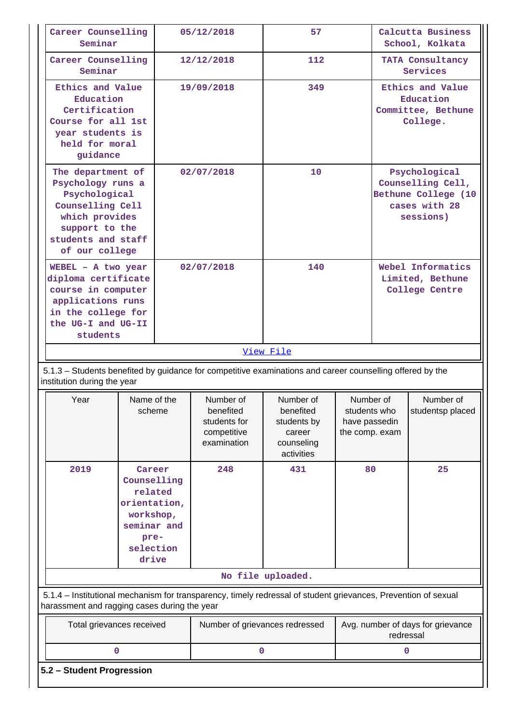| Career Counselling<br>Seminar                                                                                                                                  |                           |  | 57<br>05/12/2018                                                     |                                                                             |                                                              |                                                         | Calcutta Business<br>School, Kolkata                                                    |
|----------------------------------------------------------------------------------------------------------------------------------------------------------------|---------------------------|--|----------------------------------------------------------------------|-----------------------------------------------------------------------------|--------------------------------------------------------------|---------------------------------------------------------|-----------------------------------------------------------------------------------------|
| Career Counselling<br>Seminar                                                                                                                                  |                           |  | 12/12/2018                                                           | 112                                                                         |                                                              |                                                         | TATA Consultancy<br>Services                                                            |
| Ethics and Value<br>Education<br>Certification<br>Course for all 1st<br>year students is<br>held for moral<br>guidance                                         |                           |  | 19/09/2018                                                           | 349                                                                         |                                                              |                                                         | Ethics and Value<br>Education<br>Committee, Bethune<br>College.                         |
| The department of<br>Psychology runs a<br>Psychological<br>Counselling Cell<br>which provides<br>support to the<br>students and staff<br>of our college        |                           |  | 02/07/2018                                                           | 10                                                                          |                                                              |                                                         | Psychological<br>Counselling Cell,<br>Bethune College (10<br>cases with 28<br>sessions) |
| WEBEL - A two year<br>diploma certificate<br>course in computer<br>applications runs<br>in the college for<br>the UG-I and UG-II<br>students                   |                           |  | 02/07/2018                                                           | 140                                                                         |                                                              | Webel Informatics<br>Limited, Bethune<br>College Centre |                                                                                         |
|                                                                                                                                                                |                           |  |                                                                      | View File                                                                   |                                                              |                                                         |                                                                                         |
| 5.1.3 – Students benefited by guidance for competitive examinations and career counselling offered by the<br>institution during the year                       |                           |  |                                                                      |                                                                             |                                                              |                                                         |                                                                                         |
| Year                                                                                                                                                           | Name of the<br>scheme     |  | Number of<br>benefited<br>students for<br>competitive<br>examination | Number of<br>benefited<br>students by<br>career<br>counseling<br>activities | Number of<br>students who<br>have passedin<br>the comp. exam |                                                         | Number of<br>studentsp placed                                                           |
| 2019<br>Career<br>Counselling<br>related<br>orientation,<br>workshop,<br>seminar and<br>pre-<br>selection<br>drive                                             |                           |  | 248                                                                  | 431                                                                         | 80                                                           |                                                         | 25                                                                                      |
|                                                                                                                                                                |                           |  |                                                                      | No file uploaded.                                                           |                                                              |                                                         |                                                                                         |
| 5.1.4 - Institutional mechanism for transparency, timely redressal of student grievances, Prevention of sexual<br>harassment and ragging cases during the year |                           |  |                                                                      |                                                                             |                                                              |                                                         |                                                                                         |
| Total grievances received                                                                                                                                      |                           |  | Number of grievances redressed                                       |                                                                             | Avg. number of days for grievance<br>redressal               |                                                         |                                                                                         |
| $\mathbf 0$                                                                                                                                                    |                           |  | 0                                                                    |                                                                             |                                                              | 0                                                       |                                                                                         |
|                                                                                                                                                                | 5.2 - Student Progression |  |                                                                      |                                                                             |                                                              |                                                         |                                                                                         |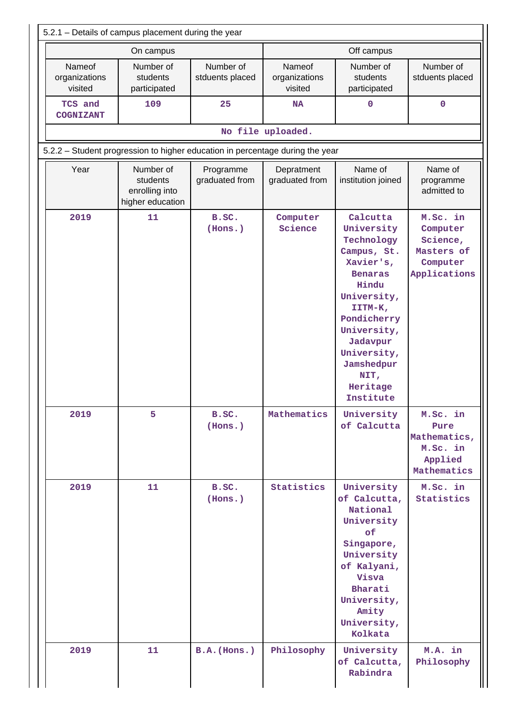|                                                                               | On campus                                                   |                              |                                    | Off campus                                                                                                                                                                                                                    |                                                                            |  |  |  |  |  |
|-------------------------------------------------------------------------------|-------------------------------------------------------------|------------------------------|------------------------------------|-------------------------------------------------------------------------------------------------------------------------------------------------------------------------------------------------------------------------------|----------------------------------------------------------------------------|--|--|--|--|--|
| Nameof<br>organizations<br>visited                                            | Number of<br>students<br>participated                       | Number of<br>stduents placed | Nameof<br>organizations<br>visited | Number of<br>students<br>participated                                                                                                                                                                                         | Number of<br>stduents placed                                               |  |  |  |  |  |
| TCS and<br>COGNIZANT                                                          | 109                                                         | 25                           | <b>NA</b>                          | 0                                                                                                                                                                                                                             | 0                                                                          |  |  |  |  |  |
| No file uploaded.                                                             |                                                             |                              |                                    |                                                                                                                                                                                                                               |                                                                            |  |  |  |  |  |
| 5.2.2 - Student progression to higher education in percentage during the year |                                                             |                              |                                    |                                                                                                                                                                                                                               |                                                                            |  |  |  |  |  |
| Year                                                                          | Number of<br>students<br>enrolling into<br>higher education | Programme<br>graduated from  | Depratment<br>graduated from       | Name of<br>institution joined                                                                                                                                                                                                 | Name of<br>programme<br>admitted to                                        |  |  |  |  |  |
| 2019                                                                          | 11                                                          | B.SC.<br>(Hons.)             | Computer<br>Science                | Calcutta<br>University<br>Technology<br>Campus, St.<br>Xavier's,<br><b>Benaras</b><br>Hindu<br>University,<br>IITM-K,<br>Pondicherry<br>University,<br>Jadavpur<br>University,<br>Jamshedpur<br>NIT,<br>Heritage<br>Institute | M.Sc. in<br>Computer<br>Science,<br>Masters of<br>Computer<br>Applications |  |  |  |  |  |
| 2019                                                                          | 5                                                           | B.SC.<br>(Hons.)             | Mathematics                        | University<br>of Calcutta                                                                                                                                                                                                     | M.Sc. in<br>Pure<br>Mathematics,<br>M.Sc. in<br>Applied<br>Mathematics     |  |  |  |  |  |
| 2019                                                                          | 11                                                          | B.SC.<br>(Hons.)             | Statistics                         | University<br>of Calcutta,<br>National<br>University<br>of<br>Singapore,<br>University<br>of Kalyani,<br>Visva<br>Bharati<br>University,<br>Amity<br>University,<br>Kolkata                                                   | M.Sc. in<br>Statistics                                                     |  |  |  |  |  |
| 2019                                                                          | 11                                                          | $B.A.$ (Hons.)               | Philosophy                         | University<br>of Calcutta,<br>Rabindra                                                                                                                                                                                        | M.A. in<br>Philosophy                                                      |  |  |  |  |  |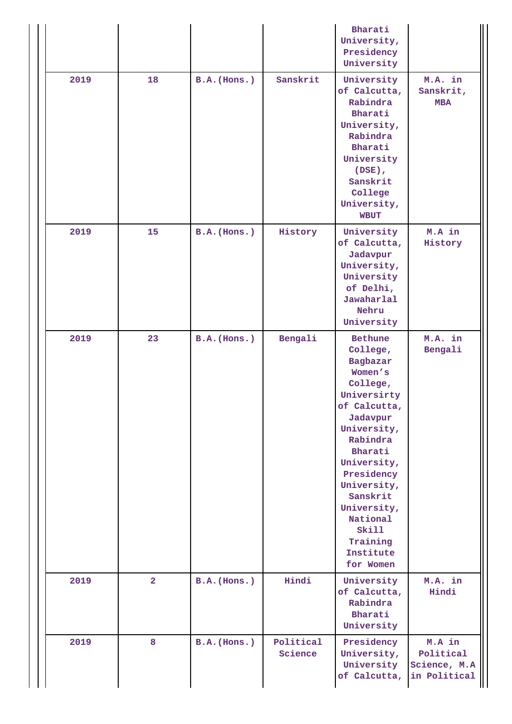|      |                |                |                      | Bharati<br>University,<br>Presidency<br>University                                                                                                                                                                                                                               |                                                     |
|------|----------------|----------------|----------------------|----------------------------------------------------------------------------------------------------------------------------------------------------------------------------------------------------------------------------------------------------------------------------------|-----------------------------------------------------|
| 2019 | 18             | B.A. (Hons.)   | Sanskrit             | University<br>of Calcutta,<br>Rabindra<br>Bharati<br>University,<br>Rabindra<br>Bharati<br>University<br>$(DSE)$ ,<br>Sanskrit<br>College<br>University,<br><b>WBUT</b>                                                                                                          | M.A. in<br>Sanskrit,<br><b>MBA</b>                  |
| 2019 | 15             | $B.A.$ (Hons.) | History              | University<br>of Calcutta,<br>Jadavpur<br>University,<br>University<br>of Delhi,<br>Jawaharlal<br>Nehru<br>University                                                                                                                                                            | M.A in<br>History                                   |
| 2019 | 23             | $B.A.$ (Hons.) | Bengali              | Bethune<br>College,<br>Bagbazar<br>Women's<br>College,<br>Universirty<br>of Calcutta,<br>Jadavpur<br>University,<br>Rabindra<br>Bharati<br>University,<br>Presidency<br>University,<br>Sanskrit<br>University,<br>National<br><b>Skill</b><br>Training<br>Institute<br>for Women | M.A. in<br>Bengali                                  |
| 2019 | $\overline{2}$ | B.A. (Hons.)   | Hindi                | University<br>of Calcutta,<br>Rabindra<br>Bharati<br>University                                                                                                                                                                                                                  | M.A. in<br>Hindi                                    |
| 2019 | 8              | B.A. (Hons.)   | Political<br>Science | Presidency<br>University,<br>University<br>of Calcutta,                                                                                                                                                                                                                          | M.A in<br>Political<br>Science, M.A<br>in Political |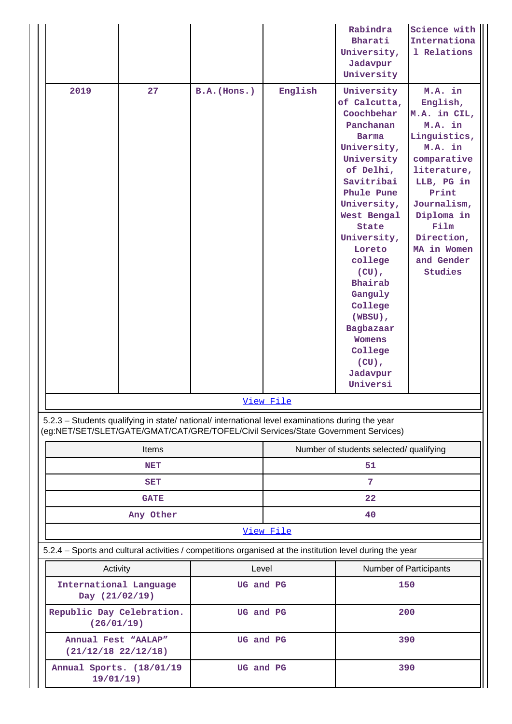|                                                                                                                                                                                        |                                                         |             |                 | Rabindra<br>Bharati<br>University,<br>Jadavpur<br>University                                                                                                                                                                                                                                                                                         | Science with<br>Internationa<br>1 Relations                                                                                                                                                                               |  |
|----------------------------------------------------------------------------------------------------------------------------------------------------------------------------------------|---------------------------------------------------------|-------------|-----------------|------------------------------------------------------------------------------------------------------------------------------------------------------------------------------------------------------------------------------------------------------------------------------------------------------------------------------------------------------|---------------------------------------------------------------------------------------------------------------------------------------------------------------------------------------------------------------------------|--|
| 2019                                                                                                                                                                                   | 27                                                      | B.A.(Hons.) | English         | University<br>of Calcutta,<br>Coochbehar<br>Panchanan<br><b>Barma</b><br>University,<br>University<br>of Delhi,<br>Savitribai<br>Phule Pune<br>University,<br>West Bengal<br>State<br>University,<br>Loreto<br>college<br>$(CU)$ ,<br>Bhairab<br>Ganguly<br>College<br>(WBSU),<br>Bagbazaar<br>Womens<br>College<br>$(CU)$ ,<br>Jadavpur<br>Universi | M.A. in<br>English,<br>M.A. in CIL,<br>M.A. in<br>Linguistics,<br>M.A. in<br>comparative<br>literature,<br>LLB, PG in<br>Print<br>Journalism,<br>Diploma in<br>Film<br>Direction,<br>MA in Women<br>and Gender<br>Studies |  |
|                                                                                                                                                                                        |                                                         |             | View File       |                                                                                                                                                                                                                                                                                                                                                      |                                                                                                                                                                                                                           |  |
| 5.2.3 - Students qualifying in state/ national/ international level examinations during the year<br>(eg:NET/SET/SLET/GATE/GMAT/CAT/GRE/TOFEL/Civil Services/State Government Services) |                                                         |             |                 |                                                                                                                                                                                                                                                                                                                                                      |                                                                                                                                                                                                                           |  |
|                                                                                                                                                                                        | Items                                                   |             |                 | Number of students selected/ qualifying                                                                                                                                                                                                                                                                                                              |                                                                                                                                                                                                                           |  |
|                                                                                                                                                                                        | <b>NET</b>                                              |             |                 | 51                                                                                                                                                                                                                                                                                                                                                   |                                                                                                                                                                                                                           |  |
|                                                                                                                                                                                        | SET                                                     |             | 7               |                                                                                                                                                                                                                                                                                                                                                      |                                                                                                                                                                                                                           |  |
|                                                                                                                                                                                        | <b>GATE</b><br>Any Other                                |             | 22              |                                                                                                                                                                                                                                                                                                                                                      |                                                                                                                                                                                                                           |  |
|                                                                                                                                                                                        |                                                         |             | 40<br>View File |                                                                                                                                                                                                                                                                                                                                                      |                                                                                                                                                                                                                           |  |
| 5.2.4 - Sports and cultural activities / competitions organised at the institution level during the year                                                                               |                                                         |             |                 |                                                                                                                                                                                                                                                                                                                                                      |                                                                                                                                                                                                                           |  |
| Activity                                                                                                                                                                               |                                                         |             | Level           | Number of Participants                                                                                                                                                                                                                                                                                                                               |                                                                                                                                                                                                                           |  |
|                                                                                                                                                                                        | International Language<br>UG and PG<br>Day (21/02/19)   |             |                 | 150                                                                                                                                                                                                                                                                                                                                                  |                                                                                                                                                                                                                           |  |
| Republic Day Celebration.<br>UG and PG<br>(26/01/19)                                                                                                                                   |                                                         |             | 200             |                                                                                                                                                                                                                                                                                                                                                      |                                                                                                                                                                                                                           |  |
|                                                                                                                                                                                        | Annual Fest "AALAP"<br>UG and PG<br>(21/12/18 22/12/18) |             | 390             |                                                                                                                                                                                                                                                                                                                                                      |                                                                                                                                                                                                                           |  |
| Annual Sports. (18/01/19<br>$19/01/19$ )                                                                                                                                               |                                                         | UG and PG   |                 | 390                                                                                                                                                                                                                                                                                                                                                  |                                                                                                                                                                                                                           |  |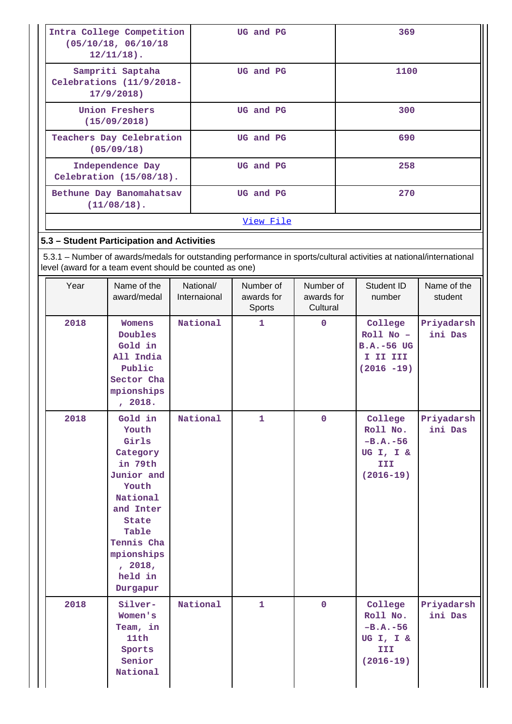|                                                            | Intra College Competition<br>(05/10/18, 06/10/18)<br>$12/11/18$ ).                                                                                                                      |                           | UG and PG                         |                                     | 369                                                                                                                 |                        |
|------------------------------------------------------------|-----------------------------------------------------------------------------------------------------------------------------------------------------------------------------------------|---------------------------|-----------------------------------|-------------------------------------|---------------------------------------------------------------------------------------------------------------------|------------------------|
| Sampriti Saptaha<br>Celebrations (11/9/2018-<br>17/9/2018) |                                                                                                                                                                                         |                           | UG and PG                         |                                     | 1100                                                                                                                |                        |
|                                                            | <b>Union Freshers</b><br>(15/09/2018)                                                                                                                                                   |                           | UG and PG                         |                                     | 300                                                                                                                 |                        |
|                                                            | Teachers Day Celebration<br>(05/09/18)                                                                                                                                                  |                           | UG and PG                         |                                     | 690                                                                                                                 |                        |
|                                                            | Independence Day<br>Celebration (15/08/18).                                                                                                                                             |                           | UG and PG                         |                                     | 258                                                                                                                 |                        |
|                                                            | Bethune Day Banomahatsav<br>$(11/08/18)$ .                                                                                                                                              |                           | UG and PG                         |                                     | 270                                                                                                                 |                        |
|                                                            |                                                                                                                                                                                         |                           | View File                         |                                     |                                                                                                                     |                        |
|                                                            | 5.3 - Student Participation and Activities                                                                                                                                              |                           |                                   |                                     |                                                                                                                     |                        |
|                                                            |                                                                                                                                                                                         |                           |                                   |                                     | 5.3.1 – Number of awards/medals for outstanding performance in sports/cultural activities at national/international |                        |
|                                                            | level (award for a team event should be counted as one)                                                                                                                                 |                           |                                   |                                     |                                                                                                                     |                        |
| Year                                                       | Name of the<br>award/medal                                                                                                                                                              | National/<br>Internaional | Number of<br>awards for<br>Sports | Number of<br>awards for<br>Cultural | Student ID<br>number                                                                                                | Name of the<br>student |
| 2018                                                       | <b>Womens</b><br>Doubles<br>Gold in<br>All India<br>Public<br>Sector Cha<br>mpionships<br>, 2018.                                                                                       | National                  | 1                                 | $\mathbf 0$                         | College<br>$Roll No -$<br><b>B.A.-56 UG</b><br>I II III<br>$(2016 - 19)$                                            | Priyadarsh<br>ini Das  |
| 2018                                                       | Gold in<br>Youth<br>Girls<br>Category<br>in 79th<br>Junior and<br>Youth<br>National<br>and Inter<br><b>State</b><br>Table<br>Tennis Cha<br>mpionships<br>, 2018,<br>held in<br>Durgapur | National                  | $\mathbf{1}$                      | $\mathbf 0$                         | College<br>Roll No.<br>$-B.A.-56$<br>UG I, I &<br>III.<br>$(2016 - 19)$                                             | Priyadarsh<br>ini Das  |
| 2018                                                       | Silver-<br>Women's<br>Team, in<br>11th<br>Sports<br>Senior<br>National                                                                                                                  | National                  | $\mathbf{1}$                      | $\mathbf 0$                         | College<br>Roll No.<br>$-B.A.-56$<br>UG I, I &<br>III<br>$(2016 - 19)$                                              | Priyadarsh<br>ini Das  |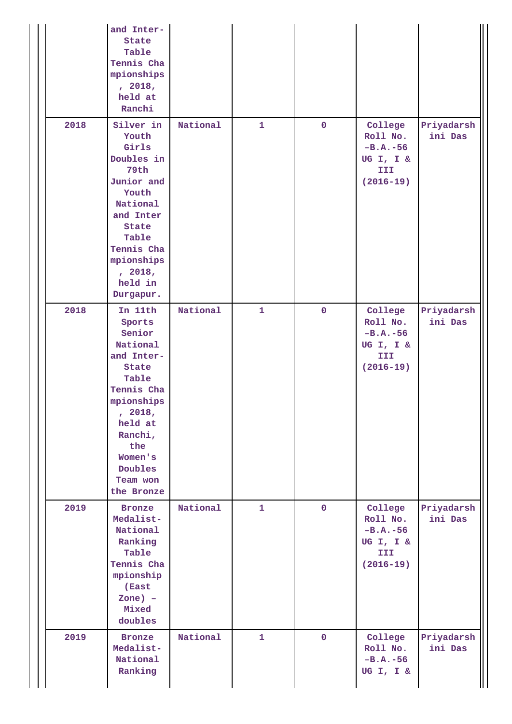|      | and Inter-<br><b>State</b><br>Table<br>Tennis Cha<br>mpionships<br>, 2018,<br>held at<br>Ranchi                                                                                                    |          |              |             |                                                                        |                       |
|------|----------------------------------------------------------------------------------------------------------------------------------------------------------------------------------------------------|----------|--------------|-------------|------------------------------------------------------------------------|-----------------------|
| 2018 | Silver in<br>Youth<br>Girls<br>Doubles in<br>79th<br>Junior and<br>Youth<br>National<br>and Inter<br>State<br>Table<br>Tennis Cha<br>mpionships<br>, 2018,<br>held in<br>Durgapur.                 | National | $\mathbf{1}$ | $\mathbf 0$ | College<br>Roll No.<br>$-B.A.-56$<br>UG I, I &<br>III<br>$(2016 - 19)$ | Priyadarsh<br>ini Das |
| 2018 | In 11th<br>Sports<br>Senior<br>National<br>and Inter-<br><b>State</b><br>Table<br>Tennis Cha<br>mpionships<br>, 2018,<br>held at<br>Ranchi,<br>the<br>Women's<br>Doubles<br>Team won<br>the Bronze | National | $\mathbf{1}$ | $\mathbf 0$ | College<br>Roll No.<br>$-B.A.-56$<br>UG I, I &<br>III<br>$(2016 - 19)$ | Priyadarsh<br>ini Das |
| 2019 | <b>Bronze</b><br>Medalist-<br>National<br>Ranking<br>Table<br>Tennis Cha<br>mpionship<br>(East<br>$Zone$ ) -<br>Mixed<br>doubles                                                                   | National | $\mathbf{1}$ | $\mathbf 0$ | College<br>Roll No.<br>$-B.A.-56$<br>UG I, I &<br>III<br>$(2016 - 19)$ | Priyadarsh<br>ini Das |
| 2019 | <b>Bronze</b><br>Medalist-<br>National<br>Ranking                                                                                                                                                  | National | $\mathbf{1}$ | $\mathbf 0$ | College<br>Roll No.<br>$-B.A.-56$<br>UG I, I &                         | Priyadarsh<br>ini Das |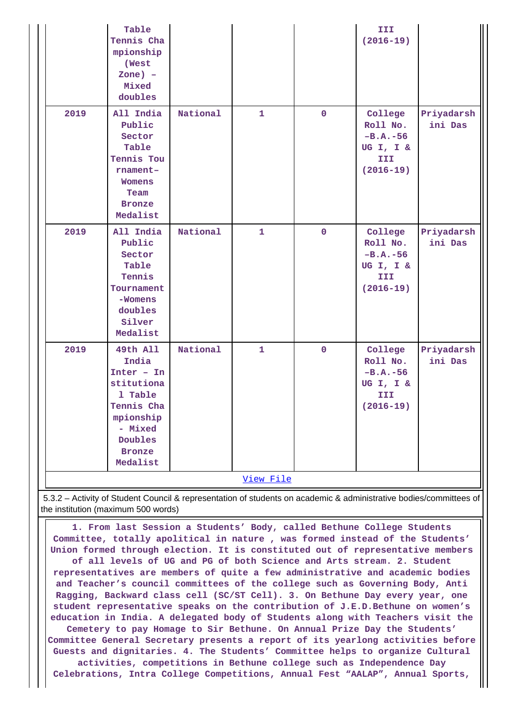|           | Table<br>Tennis Cha<br>mpionship<br>(West<br>$Zone$ ) -<br>Mixed<br>doubles                                                              |          |              |             | III<br>$(2016 - 19)$                                                   |                       |  |
|-----------|------------------------------------------------------------------------------------------------------------------------------------------|----------|--------------|-------------|------------------------------------------------------------------------|-----------------------|--|
| 2019      | All India<br>Public<br>Sector<br>Table<br>Tennis Tou<br>rnament-<br><b>Womens</b><br>Team<br><b>Bronze</b><br>Medalist                   | National | $\mathbf{1}$ | $\mathbf 0$ | College<br>Roll No.<br>$-B.A.-56$<br>UG I, I &<br>III<br>$(2016 - 19)$ | Priyadarsh<br>ini Das |  |
| 2019      | All India<br>Public<br>Sector<br>Table<br>Tennis<br>Tournament<br>-Womens<br>doubles<br>Silver<br>Medalist                               | National | $\mathbf{1}$ | $\mathbf 0$ | College<br>Roll No.<br>$-B.A.-56$<br>UG I, I &<br>III<br>$(2016 - 19)$ | Priyadarsh<br>ini Das |  |
| 2019      | 49th All<br>India<br>$Inter - In$<br>stitutiona<br>1 Table<br>Tennis Cha<br>mpionship<br>- Mixed<br>Doubles<br><b>Bronze</b><br>Medalist | National | $\mathbf{1}$ | $\mathbf 0$ | College<br>Roll No.<br>$-B.A.-56$<br>UG I, I &<br>III<br>$(2016 - 19)$ | Priyadarsh<br>ini Das |  |
| View File |                                                                                                                                          |          |              |             |                                                                        |                       |  |

 5.3.2 – Activity of Student Council & representation of students on academic & administrative bodies/committees of the institution (maximum 500 words)

 **1. From last Session a Students' Body, called Bethune College Students Committee, totally apolitical in nature , was formed instead of the Students' Union formed through election. It is constituted out of representative members of all levels of UG and PG of both Science and Arts stream. 2. Student representatives are members of quite a few administrative and academic bodies and Teacher's council committees of the college such as Governing Body, Anti Ragging, Backward class cell (SC/ST Cell). 3. On Bethune Day every year, one student representative speaks on the contribution of J.E.D.Bethune on women's education in India. A delegated body of Students along with Teachers visit the Cemetery to pay Homage to Sir Bethune. On Annual Prize Day the Students' Committee General Secretary presents a report of its yearlong activities before Guests and dignitaries. 4. The Students' Committee helps to organize Cultural activities, competitions in Bethune college such as Independence Day Celebrations, Intra College Competitions, Annual Fest "AALAP", Annual Sports,**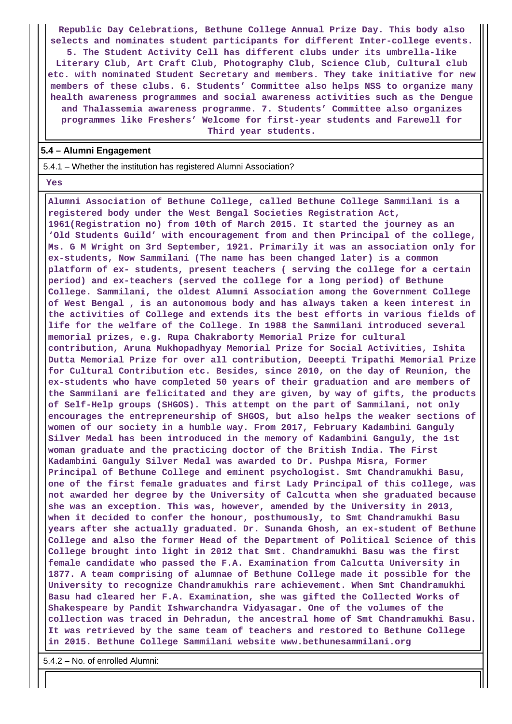**Republic Day Celebrations, Bethune College Annual Prize Day. This body also selects and nominates student participants for different Inter-college events.**

**5. The Student Activity Cell has different clubs under its umbrella-like Literary Club, Art Craft Club, Photography Club, Science Club, Cultural club etc. with nominated Student Secretary and members. They take initiative for new members of these clubs. 6. Students' Committee also helps NSS to organize many health awareness programmes and social awareness activities such as the Dengue and Thalassemia awareness programme. 7. Students' Committee also organizes programmes like Freshers' Welcome for first-year students and Farewell for Third year students.**

#### **5.4 – Alumni Engagement**

5.4.1 – Whether the institution has registered Alumni Association?

 **Yes**

 **Alumni Association of Bethune College, called Bethune College Sammilani is a registered body under the West Bengal Societies Registration Act, 1961(Registration no) from 10th of March 2015. It started the journey as an 'Old Students Guild' with encouragement from and then Principal of the college, Ms. G M Wright on 3rd September, 1921. Primarily it was an association only for ex-students, Now Sammilani (The name has been changed later) is a common platform of ex- students, present teachers ( serving the college for a certain period) and ex-teachers (served the college for a long period) of Bethune College. Sammilani, the oldest Alumni Association among the Government College of West Bengal , is an autonomous body and has always taken a keen interest in the activities of College and extends its the best efforts in various fields of life for the welfare of the College. In 1988 the Sammilani introduced several memorial prizes, e.g. Rupa Chakraborty Memorial Prize for cultural contribution, Aruna Mukhopadhyay Memorial Prize for Social Activities, Ishita Dutta Memorial Prize for over all contribution, Deeepti Tripathi Memorial Prize for Cultural Contribution etc. Besides, since 2010, on the day of Reunion, the ex-students who have completed 50 years of their graduation and are members of the Sammilani are felicitated and they are given, by way of gifts, the products of Self-Help groups (SHGOS). This attempt on the part of Sammilani, not only encourages the entrepreneurship of SHGOS, but also helps the weaker sections of women of our society in a humble way. From 2017, February Kadambini Ganguly Silver Medal has been introduced in the memory of Kadambini Ganguly, the 1st woman graduate and the practicing doctor of the British India. The First Kadambini Ganguly Silver Medal was awarded to Dr. Pushpa Misra, Former Principal of Bethune College and eminent psychologist. Smt Chandramukhi Basu, one of the first female graduates and first Lady Principal of this college, was not awarded her degree by the University of Calcutta when she graduated because she was an exception. This was, however, amended by the University in 2013, when it decided to confer the honour, posthumously, to Smt Chandramukhi Basu years after she actually graduated. Dr. Sunanda Ghosh, an ex-student of Bethune College and also the former Head of the Department of Political Science of this College brought into light in 2012 that Smt. Chandramukhi Basu was the first female candidate who passed the F.A. Examination from Calcutta University in 1877. A team comprising of alumnae of Bethune College made it possible for the University to recognize Chandramukhis rare achievement. When Smt Chandramukhi Basu had cleared her F.A. Examination, she was gifted the Collected Works of Shakespeare by Pandit Ishwarchandra Vidyasagar. One of the volumes of the collection was traced in Dehradun, the ancestral home of Smt Chandramukhi Basu. It was retrieved by the same team of teachers and restored to Bethune College in 2015. Bethune College Sammilani website www.bethunesammilani.org**

5.4.2 – No. of enrolled Alumni: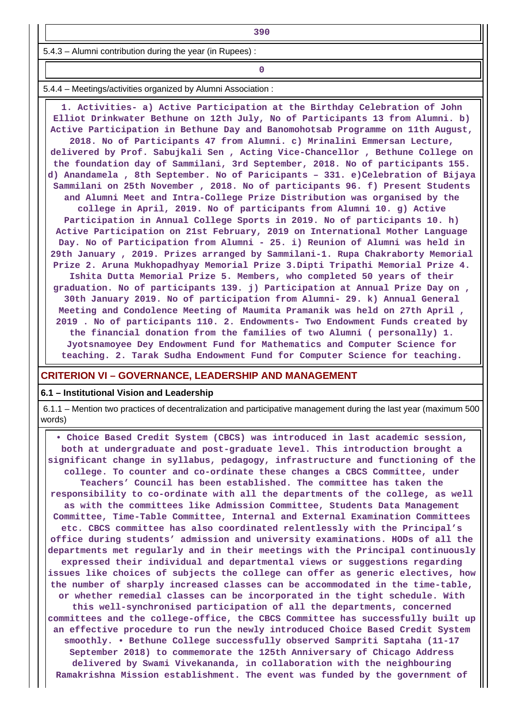5.4.3 – Alumni contribution during the year (in Rupees) :

**0**

5.4.4 – Meetings/activities organized by Alumni Association :

 **1. Activities- a) Active Participation at the Birthday Celebration of John Elliot Drinkwater Bethune on 12th July, No of Participants 13 from Alumni. b) Active Participation in Bethune Day and Banomohotsab Programme on 11th August, 2018. No of Participants 47 from Alumni. c) Mrinalini Emmersan Lecture, delivered by Prof. Sabujkali Sen , Acting Vice-Chancellor , Bethune College on the foundation day of Sammilani, 3rd September, 2018. No of participants 155. d) Anandamela , 8th September. No of Paricipants – 331. e)Celebration of Bijaya Sammilani on 25th November , 2018. No of participants 96. f) Present Students and Alumni Meet and Intra-College Prize Distribution was organised by the college in April, 2019. No of participants from Alumni 10. g) Active Participation in Annual College Sports in 2019. No of participants 10. h) Active Participation on 21st February, 2019 on International Mother Language Day. No of Participation from Alumni - 25. i) Reunion of Alumni was held in 29th January , 2019. Prizes arranged by Sammilani-1. Rupa Chakraborty Memorial Prize 2. Aruna Mukhopadhyay Memorial Prize 3.Dipti Tripathi Memorial Prize 4. Ishita Dutta Memorial Prize 5. Members, who completed 50 years of their graduation. No of participants 139. j) Participation at Annual Prize Day on , 30th January 2019. No of participation from Alumni- 29. k) Annual General Meeting and Condolence Meeting of Maumita Pramanik was held on 27th April , 2019 . No of participants 110. 2. Endowments- Two Endowment Funds created by the financial donation from the families of two Alumni ( personally) 1. Jyotsnamoyee Dey Endowment Fund for Mathematics and Computer Science for teaching. 2. Tarak Sudha Endowment Fund for Computer Science for teaching.**

#### **CRITERION VI – GOVERNANCE, LEADERSHIP AND MANAGEMENT**

#### **6.1 – Institutional Vision and Leadership**

 6.1.1 – Mention two practices of decentralization and participative management during the last year (maximum 500 words)

 **• Choice Based Credit System (CBCS) was introduced in last academic session, both at undergraduate and post-graduate level. This introduction brought a significant change in syllabus, pedagogy, infrastructure and functioning of the college. To counter and co-ordinate these changes a CBCS Committee, under Teachers' Council has been established. The committee has taken the responsibility to co-ordinate with all the departments of the college, as well as with the committees like Admission Committee, Students Data Management Committee, Time-Table Committee, Internal and External Examination Committees etc. CBCS committee has also coordinated relentlessly with the Principal's office during students' admission and university examinations. HODs of all the departments met regularly and in their meetings with the Principal continuously expressed their individual and departmental views or suggestions regarding issues like choices of subjects the college can offer as generic electives, how the number of sharply increased classes can be accommodated in the time-table, or whether remedial classes can be incorporated in the tight schedule. With this well-synchronised participation of all the departments, concerned committees and the college-office, the CBCS Committee has successfully built up an effective procedure to run the newly introduced Choice Based Credit System smoothly. • Bethune College successfully observed Sampriti Saptaha (11-17 September 2018) to commemorate the 125th Anniversary of Chicago Address delivered by Swami Vivekananda, in collaboration with the neighbouring Ramakrishna Mission establishment. The event was funded by the government of**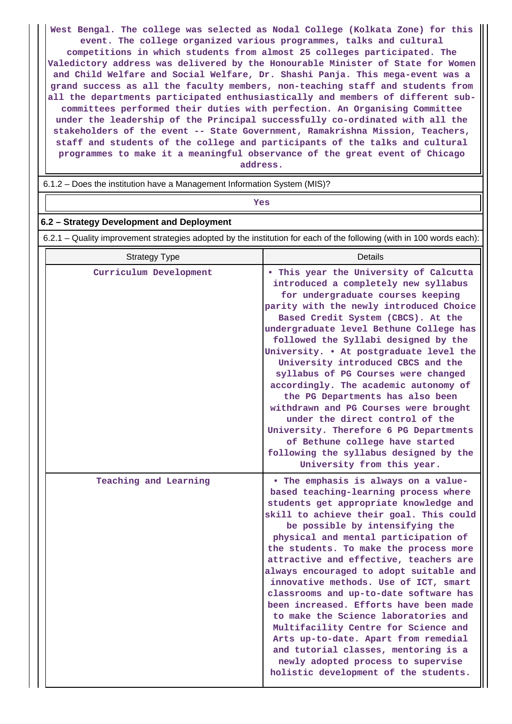**West Bengal. The college was selected as Nodal College (Kolkata Zone) for this event. The college organized various programmes, talks and cultural competitions in which students from almost 25 colleges participated. The Valedictory address was delivered by the Honourable Minister of State for Women and Child Welfare and Social Welfare, Dr. Shashi Panja. This mega-event was a grand success as all the faculty members, non-teaching staff and students from all the departments participated enthusiastically and members of different subcommittees performed their duties with perfection. An Organising Committee under the leadership of the Principal successfully co-ordinated with all the stakeholders of the event -- State Government, Ramakrishna Mission, Teachers, staff and students of the college and participants of the talks and cultural programmes to make it a meaningful observance of the great event of Chicago address.**

6.1.2 – Does the institution have a Management Information System (MIS)?

*Yes* 

#### **6.2 – Strategy Development and Deployment**

6.2.1 – Quality improvement strategies adopted by the institution for each of the following (with in 100 words each):

| <b>Strategy Type</b>   | Details                                                                                                                                                                                                                                                                                                                                                                                                                                                                                                                                                                                                                                                                                                                                                  |
|------------------------|----------------------------------------------------------------------------------------------------------------------------------------------------------------------------------------------------------------------------------------------------------------------------------------------------------------------------------------------------------------------------------------------------------------------------------------------------------------------------------------------------------------------------------------------------------------------------------------------------------------------------------------------------------------------------------------------------------------------------------------------------------|
| Curriculum Development | . This year the University of Calcutta<br>introduced a completely new syllabus<br>for undergraduate courses keeping<br>parity with the newly introduced Choice<br>Based Credit System (CBCS). At the<br>undergraduate level Bethune College has<br>followed the Syllabi designed by the<br>University. . At postgraduate level the<br>University introduced CBCS and the<br>syllabus of PG Courses were changed<br>accordingly. The academic autonomy of<br>the PG Departments has also been<br>withdrawn and PG Courses were brought<br>under the direct control of the<br>University. Therefore 6 PG Departments<br>of Bethune college have started<br>following the syllabus designed by the<br>University from this year.                            |
| Teaching and Learning  | • The emphasis is always on a value-<br>based teaching-learning process where<br>students get appropriate knowledge and<br>skill to achieve their goal. This could<br>be possible by intensifying the<br>physical and mental participation of<br>the students. To make the process more<br>attractive and effective, teachers are<br>always encouraged to adopt suitable and<br>innovative methods. Use of ICT, smart<br>classrooms and up-to-date software has<br>been increased. Efforts have been made<br>to make the Science laboratories and<br>Multifacility Centre for Science and<br>Arts up-to-date. Apart from remedial<br>and tutorial classes, mentoring is a<br>newly adopted process to supervise<br>holistic development of the students. |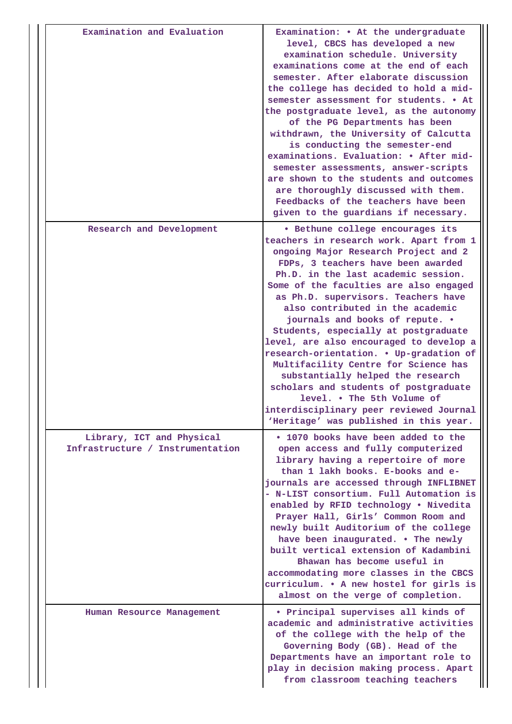| Examination and Evaluation                                    | Examination: • At the undergraduate<br>level, CBCS has developed a new<br>examination schedule. University<br>examinations come at the end of each<br>semester. After elaborate discussion<br>the college has decided to hold a mid-<br>semester assessment for students. • At<br>the postgraduate level, as the autonomy<br>of the PG Departments has been<br>withdrawn, the University of Calcutta<br>is conducting the semester-end<br>examinations. Evaluation: • After mid-<br>semester assessments, answer-scripts<br>are shown to the students and outcomes<br>are thoroughly discussed with them.<br>Feedbacks of the teachers have been<br>given to the guardians if necessary.                                        |
|---------------------------------------------------------------|---------------------------------------------------------------------------------------------------------------------------------------------------------------------------------------------------------------------------------------------------------------------------------------------------------------------------------------------------------------------------------------------------------------------------------------------------------------------------------------------------------------------------------------------------------------------------------------------------------------------------------------------------------------------------------------------------------------------------------|
| Research and Development                                      | · Bethune college encourages its<br>teachers in research work. Apart from 1<br>ongoing Major Research Project and 2<br>FDPs, 3 teachers have been awarded<br>Ph.D. in the last academic session.<br>Some of the faculties are also engaged<br>as Ph.D. supervisors. Teachers have<br>also contributed in the academic<br>journals and books of repute. .<br>Students, especially at postgraduate<br>level, are also encouraged to develop a<br>research-orientation. . Up-gradation of<br>Multifacility Centre for Science has<br>substantially helped the research<br>scholars and students of postgraduate<br>level. . The 5th Volume of<br>interdisciplinary peer reviewed Journal<br>'Heritage' was published in this year. |
| Library, ICT and Physical<br>Infrastructure / Instrumentation | . 1070 books have been added to the<br>open access and fully computerized<br>library having a repertoire of more<br>than 1 lakh books. E-books and e-<br>journals are accessed through INFLIBNET<br>- N-LIST consortium. Full Automation is<br>enabled by RFID technology . Nivedita<br>Prayer Hall, Girls' Common Room and<br>newly built Auditorium of the college<br>have been inaugurated. . The newly<br>built vertical extension of Kadambini<br>Bhawan has become useful in<br>accommodating more classes in the CBCS<br>curriculum. . A new hostel for girls is<br>almost on the verge of completion.                                                                                                                   |
| Human Resource Management                                     | • Principal supervises all kinds of<br>academic and administrative activities<br>of the college with the help of the<br>Governing Body (GB). Head of the<br>Departments have an important role to<br>play in decision making process. Apart<br>from classroom teaching teachers                                                                                                                                                                                                                                                                                                                                                                                                                                                 |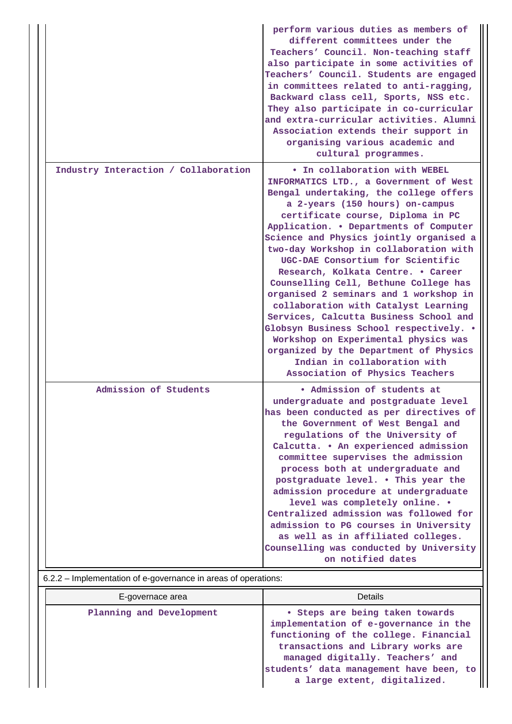|                                      | perform various duties as members of<br>different committees under the<br>Teachers' Council. Non-teaching staff<br>also participate in some activities of<br>Teachers' Council. Students are engaged<br>in committees related to anti-ragging,<br>Backward class cell, Sports, NSS etc.<br>They also participate in co-curricular<br>and extra-curricular activities. Alumni<br>Association extends their support in<br>organising various academic and<br>cultural programmes.                                                                                                                                                                                                                                                                                          |
|--------------------------------------|--------------------------------------------------------------------------------------------------------------------------------------------------------------------------------------------------------------------------------------------------------------------------------------------------------------------------------------------------------------------------------------------------------------------------------------------------------------------------------------------------------------------------------------------------------------------------------------------------------------------------------------------------------------------------------------------------------------------------------------------------------------------------|
| Industry Interaction / Collaboration | . In collaboration with WEBEL<br>INFORMATICS LTD., a Government of West<br>Bengal undertaking, the college offers<br>a 2-years (150 hours) on-campus<br>certificate course, Diploma in PC<br>Application. . Departments of Computer<br>Science and Physics jointly organised a<br>two-day Workshop in collaboration with<br>UGC-DAE Consortium for Scientific<br>Research, Kolkata Centre. . Career<br>Counselling Cell, Bethune College has<br>organised 2 seminars and 1 workshop in<br>collaboration with Catalyst Learning<br>Services, Calcutta Business School and<br>Globsyn Business School respectively. .<br>Workshop on Experimental physics was<br>organized by the Department of Physics<br>Indian in collaboration with<br>Association of Physics Teachers |
| Admission of Students                | · Admission of students at<br>undergraduate and postgraduate level<br>has been conducted as per directives of<br>the Government of West Bengal and<br>regulations of the University of<br>Calcutta. . An experienced admission<br>committee supervises the admission<br>process both at undergraduate and<br>postgraduate level. . This year the<br>admission procedure at undergraduate<br>level was completely online. .<br>Centralized admission was followed for<br>admission to PG courses in University<br>as well as in affiliated colleges.<br>Counselling was conducted by University<br>on notified dates                                                                                                                                                      |

# 6.2.2 – Implementation of e-governance in areas of operations:

| E-governace area         | Details                                                                                                                                                                                                                                                                |  |  |
|--------------------------|------------------------------------------------------------------------------------------------------------------------------------------------------------------------------------------------------------------------------------------------------------------------|--|--|
| Planning and Development | • Steps are being taken towards<br>implementation of e-governance in the<br>functioning of the college. Financial<br>transactions and Library works are<br>managed digitally. Teachers' and<br>students' data management have been, to<br>a large extent, digitalized. |  |  |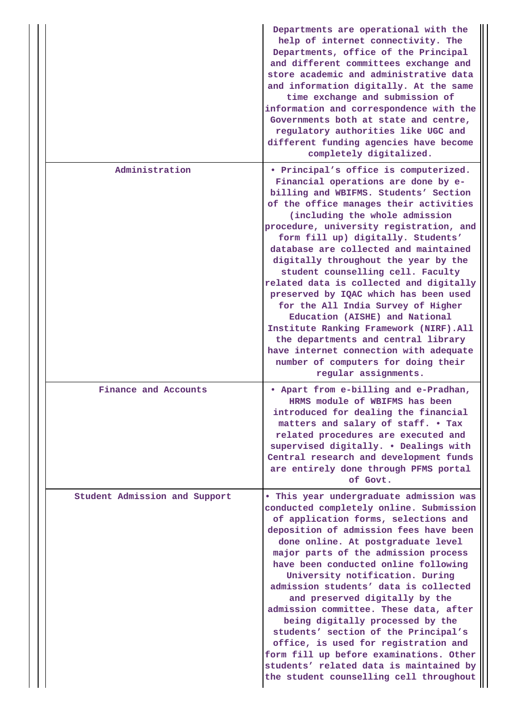|  |                               | Departments are operational with the<br>help of internet connectivity. The<br>Departments, office of the Principal<br>and different committees exchange and<br>store academic and administrative data<br>and information digitally. At the same<br>time exchange and submission of<br>information and correspondence with the<br>Governments both at state and centre,<br>regulatory authorities like UGC and<br>different funding agencies have become<br>completely digitalized.                                                                                                                                                                                                                                                                              |
|--|-------------------------------|-----------------------------------------------------------------------------------------------------------------------------------------------------------------------------------------------------------------------------------------------------------------------------------------------------------------------------------------------------------------------------------------------------------------------------------------------------------------------------------------------------------------------------------------------------------------------------------------------------------------------------------------------------------------------------------------------------------------------------------------------------------------|
|  | Administration                | • Principal's office is computerized.<br>Financial operations are done by e-<br>billing and WBIFMS. Students' Section<br>of the office manages their activities<br>(including the whole admission<br>procedure, university registration, and<br>form fill up) digitally. Students'<br>database are collected and maintained<br>digitally throughout the year by the<br>student counselling cell. Faculty<br>related data is collected and digitally<br>preserved by IQAC which has been used<br>for the All India Survey of Higher<br>Education (AISHE) and National<br>Institute Ranking Framework (NIRF). All<br>the departments and central library<br>have internet connection with adequate<br>number of computers for doing their<br>regular assignments. |
|  | Finance and Accounts          | • Apart from e-billing and e-Pradhan,<br>HRMS module of WBIFMS has been<br>introduced for dealing the financial<br>matters and salary of staff. . Tax<br>related procedures are executed and<br>supervised digitally. . Dealings with<br>Central research and development funds<br>are entirely done through PFMS portal<br>of Govt.                                                                                                                                                                                                                                                                                                                                                                                                                            |
|  | Student Admission and Support | . This year undergraduate admission was<br>conducted completely online. Submission<br>of application forms, selections and<br>deposition of admission fees have been<br>done online. At postgraduate level<br>major parts of the admission process<br>have been conducted online following<br>University notification. During<br>admission students' data is collected<br>and preserved digitally by the<br>admission committee. These data, after<br>being digitally processed by the<br>students' section of the Principal's<br>office, is used for registration and<br>form fill up before examinations. Other<br>students' related data is maintained by<br>the student counselling cell throughout                                                         |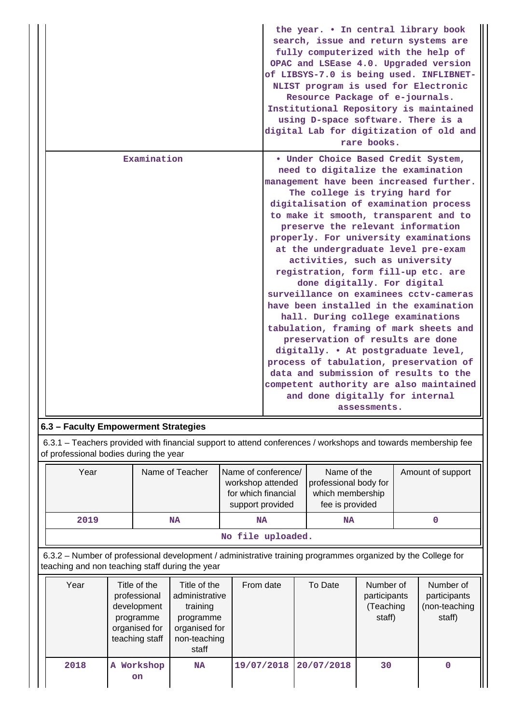|             | the year. . In central library book<br>search, issue and return systems are<br>fully computerized with the help of<br>OPAC and LSEase 4.0. Upgraded version<br>of LIBSYS-7.0 is being used. INFLIBNET-<br>NLIST program is used for Electronic<br>Resource Package of e-journals.<br>Institutional Repository is maintained<br>using D-space software. There is a<br>digital Lab for digitization of old and<br>rare books.                                                                                                                                                                                                                                                                                                                                                                                                                                                                          |
|-------------|------------------------------------------------------------------------------------------------------------------------------------------------------------------------------------------------------------------------------------------------------------------------------------------------------------------------------------------------------------------------------------------------------------------------------------------------------------------------------------------------------------------------------------------------------------------------------------------------------------------------------------------------------------------------------------------------------------------------------------------------------------------------------------------------------------------------------------------------------------------------------------------------------|
| Examination | . Under Choice Based Credit System,<br>need to digitalize the examination<br>management have been increased further.<br>The college is trying hard for<br>digitalisation of examination process<br>to make it smooth, transparent and to<br>preserve the relevant information<br>properly. For university examinations<br>at the undergraduate level pre-exam<br>activities, such as university<br>registration, form fill-up etc. are<br>done digitally. For digital<br>surveillance on examinees cctv-cameras<br>have been installed in the examination<br>hall. During college examinations<br>tabulation, framing of mark sheets and<br>preservation of results are done<br>digitally. . At postgraduate level,<br>process of tabulation, preservation of<br>data and submission of results to the<br>competent authority are also maintained<br>and done digitally for internal<br>assessments. |

## **6.3 – Faculty Empowerment Strategies**

 6.3.1 – Teachers provided with financial support to attend conferences / workshops and towards membership fee of professional bodies during the year

| Year              | Name of Teacher | Name of conference/<br>workshop attended<br>for which financial<br>support provided | Name of the<br>professional body for<br>which membership<br>fee is provided | Amount of support |  |
|-------------------|-----------------|-------------------------------------------------------------------------------------|-----------------------------------------------------------------------------|-------------------|--|
| 2019              | <b>NA</b>       | <b>NA</b>                                                                           | <b>NA</b>                                                                   |                   |  |
| No file uploaded. |                 |                                                                                     |                                                                             |                   |  |

 6.3.2 – Number of professional development / administrative training programmes organized by the College for teaching and non teaching staff during the year

| Year | Title of the<br>professional<br>development<br>programme<br>organised for<br>teaching staff | Title of the<br>administrative<br>training<br>programme<br>organised for<br>non-teaching<br>staff | From date  | To Date    | Number of<br>participants<br>(Teaching<br>staff) | Number of<br>participants<br>(non-teaching<br>staff) |
|------|---------------------------------------------------------------------------------------------|---------------------------------------------------------------------------------------------------|------------|------------|--------------------------------------------------|------------------------------------------------------|
| 2018 | Workshop<br>A<br><b>on</b>                                                                  | <b>NA</b>                                                                                         | 19/07/2018 | 20/07/2018 | 30                                               |                                                      |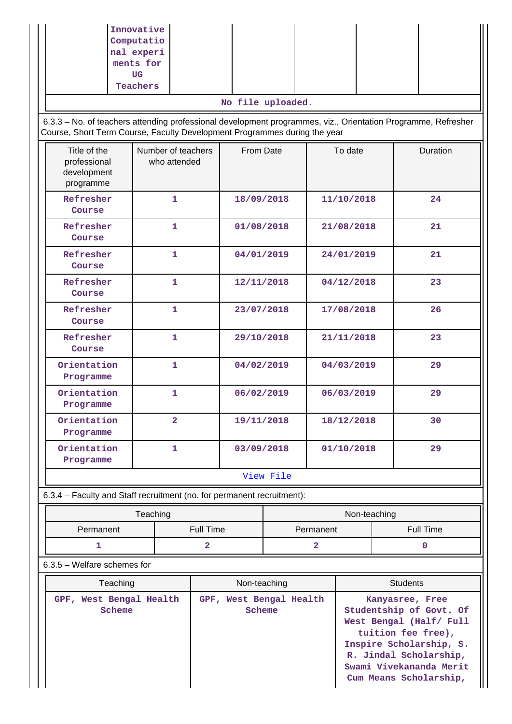|                                                                        | Innovative<br>Computatio<br>nal experi<br>ments for<br>UG<br>Teachers                                                                                                                      |                |                          |                                                                                                                                                                             |                        |  |  |  |  |
|------------------------------------------------------------------------|--------------------------------------------------------------------------------------------------------------------------------------------------------------------------------------------|----------------|--------------------------|-----------------------------------------------------------------------------------------------------------------------------------------------------------------------------|------------------------|--|--|--|--|
|                                                                        |                                                                                                                                                                                            |                | No file uploaded.        |                                                                                                                                                                             |                        |  |  |  |  |
|                                                                        | 6.3.3 - No. of teachers attending professional development programmes, viz., Orientation Programme, Refresher<br>Course, Short Term Course, Faculty Development Programmes during the year |                |                          |                                                                                                                                                                             |                        |  |  |  |  |
| Title of the<br>professional<br>development<br>programme               | Number of teachers<br>who attended                                                                                                                                                         | From Date      |                          | To date                                                                                                                                                                     | Duration               |  |  |  |  |
| Refresher<br>Course                                                    | 1                                                                                                                                                                                          | 18/09/2018     |                          | 11/10/2018                                                                                                                                                                  | 24                     |  |  |  |  |
| Refresher<br>Course                                                    | $\mathbf{1}$                                                                                                                                                                               | 01/08/2018     |                          | 21/08/2018                                                                                                                                                                  | 21                     |  |  |  |  |
| Refresher<br>Course                                                    | 1                                                                                                                                                                                          | 04/01/2019     |                          | 24/01/2019                                                                                                                                                                  | 21                     |  |  |  |  |
| Refresher<br>Course                                                    | 1                                                                                                                                                                                          |                | 12/11/2018               | 04/12/2018                                                                                                                                                                  | 23                     |  |  |  |  |
| Refresher<br>Course                                                    | 1                                                                                                                                                                                          |                | 17/08/2018<br>23/07/2018 |                                                                                                                                                                             | 26                     |  |  |  |  |
| Refresher<br>Course                                                    | 1                                                                                                                                                                                          |                | 29/10/2018<br>21/11/2018 |                                                                                                                                                                             | 23                     |  |  |  |  |
| Orientation<br>Programme                                               | 1                                                                                                                                                                                          |                | 04/02/2019<br>04/03/2019 |                                                                                                                                                                             | 29                     |  |  |  |  |
| Orientation<br>Programme                                               | 1                                                                                                                                                                                          | 06/02/2019     |                          | 06/03/2019                                                                                                                                                                  | 29                     |  |  |  |  |
| Orientation<br>Programme                                               | $\overline{a}$                                                                                                                                                                             | 19/11/2018     |                          | 18/12/2018                                                                                                                                                                  | 30                     |  |  |  |  |
| Orientation<br>Programme                                               | 1                                                                                                                                                                                          |                | 03/09/2018<br>01/10/2018 |                                                                                                                                                                             | 29                     |  |  |  |  |
|                                                                        |                                                                                                                                                                                            |                | View File                |                                                                                                                                                                             |                        |  |  |  |  |
| 6.3.4 - Faculty and Staff recruitment (no. for permanent recruitment): |                                                                                                                                                                                            |                |                          |                                                                                                                                                                             |                        |  |  |  |  |
|                                                                        |                                                                                                                                                                                            | Permanent      | Non-teaching             |                                                                                                                                                                             |                        |  |  |  |  |
|                                                                        | Permanent<br>Full Time                                                                                                                                                                     |                |                          |                                                                                                                                                                             | <b>Full Time</b>       |  |  |  |  |
| 1                                                                      |                                                                                                                                                                                            | $\overline{a}$ | $\overline{\mathbf{2}}$  |                                                                                                                                                                             | $\mathbf 0$            |  |  |  |  |
| 6.3.5 - Welfare schemes for                                            |                                                                                                                                                                                            | Non-teaching   |                          |                                                                                                                                                                             | <b>Students</b>        |  |  |  |  |
| Teaching<br>GPF, West Bengal Health                                    | GPF, West Bengal Health                                                                                                                                                                    |                |                          |                                                                                                                                                                             |                        |  |  |  |  |
| Scheme                                                                 |                                                                                                                                                                                            | Scheme         |                          | Kanyasree, Free<br>Studentship of Govt. Of<br>West Bengal (Half/ Full<br>tuition fee free),<br>Inspire Scholarship, S.<br>R. Jindal Scholarship,<br>Swami Vivekananda Merit |                        |  |  |  |  |
|                                                                        |                                                                                                                                                                                            |                |                          |                                                                                                                                                                             | Cum Means Scholarship, |  |  |  |  |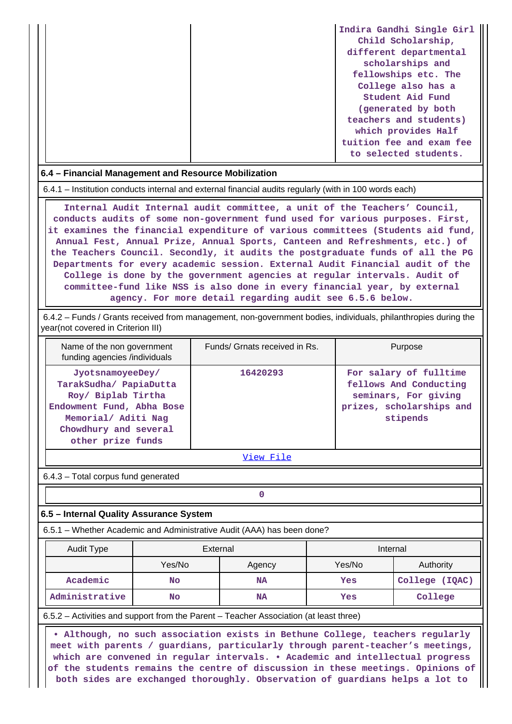|  | Indira Gandhi Single Girl |
|--|---------------------------|
|  | Child Scholarship,        |
|  | different departmental    |
|  | scholarships and          |
|  | fellowships etc. The      |
|  | College also has a        |
|  | Student Aid Fund          |
|  | (generated by both        |
|  | teachers and students)    |
|  | which provides Half       |
|  | tuition fee and exam fee  |
|  | to selected students.     |

#### **6.4 – Financial Management and Resource Mobilization**

6.4.1 – Institution conducts internal and external financial audits regularly (with in 100 words each)

 **Internal Audit Internal audit committee, a unit of the Teachers' Council, conducts audits of some non-government fund used for various purposes. First, it examines the financial expenditure of various committees (Students aid fund, Annual Fest, Annual Prize, Annual Sports, Canteen and Refreshments, etc.) of the Teachers Council. Secondly, it audits the postgraduate funds of all the PG Departments for every academic session. External Audit Financial audit of the College is done by the government agencies at regular intervals. Audit of committee-fund like NSS is also done in every financial year, by external agency. For more detail regarding audit see 6.5.6 below.**

 6.4.2 – Funds / Grants received from management, non-government bodies, individuals, philanthropies during the year(not covered in Criterion III)

| Name of the non government<br>funding agencies /individuals                                                                                                        | Funds/ Grnats received in Rs. | Purpose                                                                                                          |
|--------------------------------------------------------------------------------------------------------------------------------------------------------------------|-------------------------------|------------------------------------------------------------------------------------------------------------------|
| JyotsnamoyeeDey/<br>TarakSudha/ PapiaDutta<br>Roy/ Biplab Tirtha<br>Endowment Fund, Abha Bose<br>Memorial/ Aditi Nag<br>Chowdhury and several<br>other prize funds | 16420293                      | For salary of fulltime<br>fellows And Conducting<br>seminars, For giving<br>prizes, scholarships and<br>stipends |

[View File](https://assessmentonline.naac.gov.in/public/Postacc/Funds_or_Grants/7424_Funds_or_Grants_1603317022.xlsx)

6.4.3 – Total corpus fund generated

**0**

## **6.5 – Internal Quality Assurance System**

6.5.1 – Whether Academic and Administrative Audit (AAA) has been done?

| Audit Type     | External         |           | Internal |                |  |
|----------------|------------------|-----------|----------|----------------|--|
|                | Yes/No<br>Agency |           | Yes/No   | Authority      |  |
| Academic       | <b>No</b>        | <b>NA</b> | Yes      | College (IQAC) |  |
| Administrative | <b>No</b>        | <b>NA</b> | Yes      | College        |  |

6.5.2 – Activities and support from the Parent – Teacher Association (at least three)

 **• Although, no such association exists in Bethune College, teachers regularly meet with parents / guardians, particularly through parent-teacher's meetings, which are convened in regular intervals. • Academic and intellectual progress of the students remains the centre of discussion in these meetings. Opinions of both sides are exchanged thoroughly. Observation of guardians helps a lot to**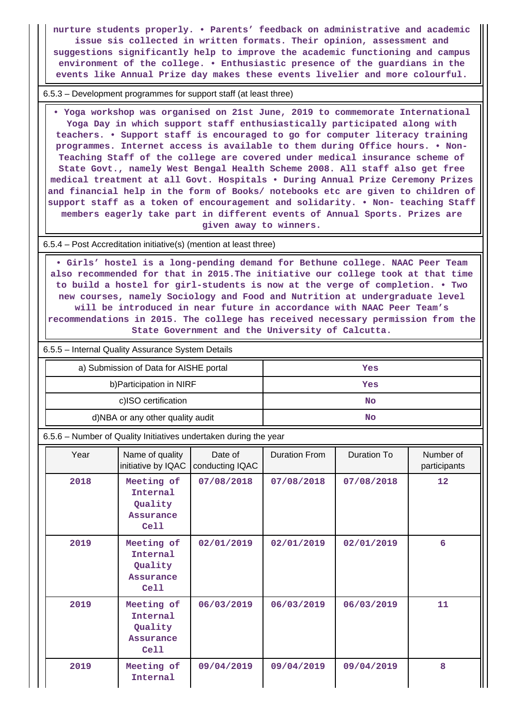**nurture students properly. • Parents' feedback on administrative and academic issue sis collected in written formats. Their opinion, assessment and suggestions significantly help to improve the academic functioning and campus environment of the college. • Enthusiastic presence of the guardians in the events like Annual Prize day makes these events livelier and more colourful.**

6.5.3 – Development programmes for support staff (at least three)

 **• Yoga workshop was organised on 21st June, 2019 to commemorate International Yoga Day in which support staff enthusiastically participated along with teachers. • Support staff is encouraged to go for computer literacy training programmes. Internet access is available to them during Office hours. • Non-Teaching Staff of the college are covered under medical insurance scheme of State Govt., namely West Bengal Health Scheme 2008. All staff also get free medical treatment at all Govt. Hospitals • During Annual Prize Ceremony Prizes and financial help in the form of Books/ notebooks etc are given to children of support staff as a token of encouragement and solidarity. • Non- teaching Staff members eagerly take part in different events of Annual Sports. Prizes are given away to winners.**

6.5.4 – Post Accreditation initiative(s) (mention at least three)

 **• Girls' hostel is a long-pending demand for Bethune college. NAAC Peer Team also recommended for that in 2015.The initiative our college took at that time to build a hostel for girl-students is now at the verge of completion. • Two new courses, namely Sociology and Food and Nutrition at undergraduate level will be introduced in near future in accordance with NAAC Peer Team's recommendations in 2015. The college has received necessary permission from the State Government and the University of Calcutta.**

6.5.5 – Internal Quality Assurance System Details

| a) Submission of Data for AISHE portal | Yes |  |
|----------------------------------------|-----|--|
| b) Participation in NIRF               | Yes |  |
| c)ISO certification                    | No  |  |
| d)NBA or any other quality audit       | No  |  |

6.5.6 – Number of Quality Initiatives undertaken during the year

| Year | Name of quality<br>Date of<br>initiative by IQAC<br>conducting IQAC |            | Duration From | Duration To | Number of<br>participants |  |
|------|---------------------------------------------------------------------|------------|---------------|-------------|---------------------------|--|
| 2018 | Meeting of<br>Internal<br>Quality<br><b>Assurance</b><br>Cell       | 07/08/2018 | 07/08/2018    | 07/08/2018  | 12                        |  |
| 2019 | Meeting of<br>Internal<br>Quality<br>Assurance<br>Cell              | 02/01/2019 | 02/01/2019    | 02/01/2019  | 6                         |  |
| 2019 | Meeting of<br>Internal<br>Quality<br>Assurance<br>Cell              | 06/03/2019 | 06/03/2019    | 06/03/2019  | 11                        |  |
| 2019 | Meeting of<br>Internal                                              | 09/04/2019 | 09/04/2019    | 09/04/2019  | 8                         |  |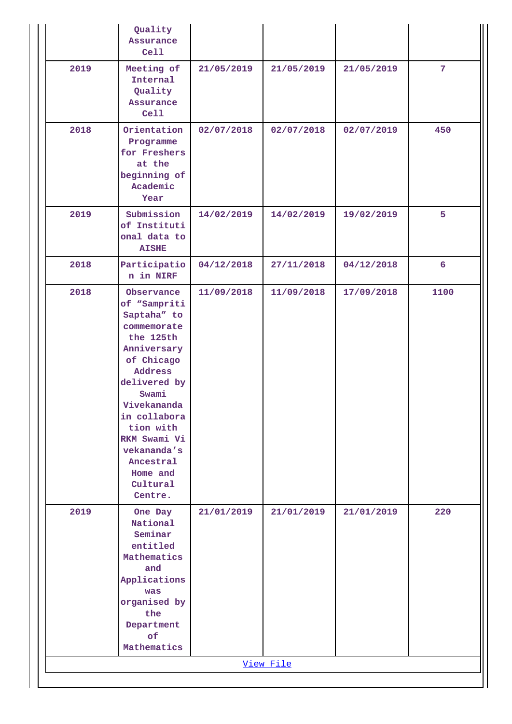|      | Quality<br>Assurance<br>Cell                                                                                                                                                                                                                                      |            |            |            |                |
|------|-------------------------------------------------------------------------------------------------------------------------------------------------------------------------------------------------------------------------------------------------------------------|------------|------------|------------|----------------|
| 2019 | Meeting of<br>Internal<br>Quality<br>Assurance<br>Cell                                                                                                                                                                                                            | 21/05/2019 | 21/05/2019 | 21/05/2019 | 7 <sup>1</sup> |
| 2018 | Orientation<br>Programme<br>for Freshers<br>at the<br>beginning of<br>Academic<br>Year                                                                                                                                                                            | 02/07/2018 | 02/07/2018 | 02/07/2019 | 450            |
| 2019 | Submission<br>of Instituti<br>onal data to<br><b>AISHE</b>                                                                                                                                                                                                        | 14/02/2019 | 14/02/2019 | 19/02/2019 | 5              |
| 2018 | Participatio<br>n in NIRF                                                                                                                                                                                                                                         | 04/12/2018 | 27/11/2018 | 04/12/2018 | 6              |
| 2018 | Observance<br>of "Sampriti<br>Saptaha" to<br>commemorate<br>the 125th<br>Anniversary<br>of Chicago<br>Address<br>delivered by<br>Swami<br>Vivekananda<br>in collabora<br>tion with<br>RKM Swami Vi<br>vekananda's<br>Ancestral<br>Home and<br>Cultural<br>Centre. | 11/09/2018 | 11/09/2018 | 17/09/2018 | 1100           |
| 2019 | One Day<br>National<br>Seminar<br>entitled<br>Mathematics<br>and<br>Applications<br>was<br>organised by<br>the<br>Department<br>of<br>Mathematics                                                                                                                 | 21/01/2019 | 21/01/2019 | 21/01/2019 | 220            |
|      |                                                                                                                                                                                                                                                                   |            | View File  |            |                |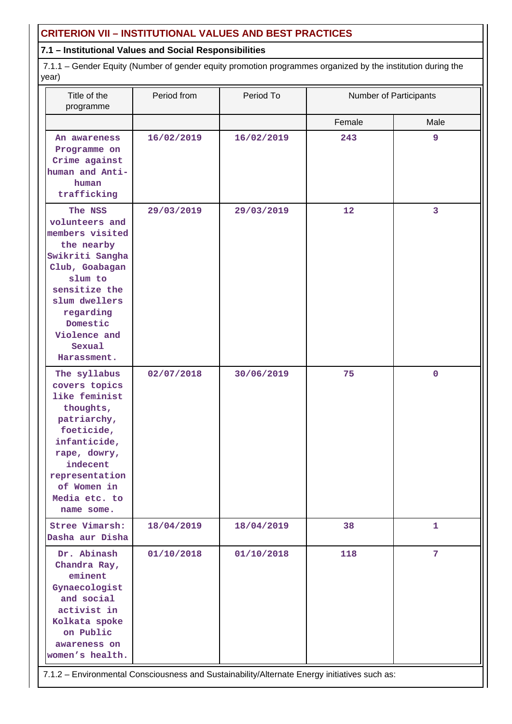## **CRITERION VII – INSTITUTIONAL VALUES AND BEST PRACTICES**

## **7.1 – Institutional Values and Social Responsibilities**

 7.1.1 – Gender Equity (Number of gender equity promotion programmes organized by the institution during the year)

| Title of the<br>programme                                                                                                                                                                                      | Period from<br>Period To |            | Number of Participants |             |  |
|----------------------------------------------------------------------------------------------------------------------------------------------------------------------------------------------------------------|--------------------------|------------|------------------------|-------------|--|
|                                                                                                                                                                                                                |                          |            | Female                 | Male        |  |
| An awareness<br>Programme on<br>Crime against<br>human and Anti-<br>human<br>trafficking                                                                                                                       | 16/02/2019               | 16/02/2019 | 243                    | 9           |  |
| The NSS<br>volunteers and<br>members visited<br>the nearby<br>Swikriti Sangha<br>Club, Goabagan<br>slum to<br>sensitize the<br>slum dwellers<br>regarding<br>Domestic<br>Violence and<br>Sexual<br>Harassment. | 29/03/2019               | 29/03/2019 | 12                     | 3           |  |
| The syllabus<br>covers topics<br>like feminist<br>thoughts,<br>patriarchy,<br>foeticide,<br>infanticide,<br>rape, dowry,<br>indecent<br>representation<br>of Women in<br>Media etc. to<br>name some.           | 02/07/2018               | 30/06/2019 | 75                     | $\mathbf 0$ |  |
| Stree Vimarsh:<br>Dasha aur Disha                                                                                                                                                                              | 18/04/2019               | 18/04/2019 | 38                     | 1           |  |
| Dr. Abinash<br>Chandra Ray,<br>eminent<br>Gynaecologist<br>and social<br>activist in<br>Kolkata spoke<br>on Public<br>awareness on<br>women's health.                                                          | 01/10/2018               | 01/10/2018 | 118                    | 7           |  |
| 7.1.2 - Environmental Consciousness and Sustainability/Alternate Energy initiatives such as:                                                                                                                   |                          |            |                        |             |  |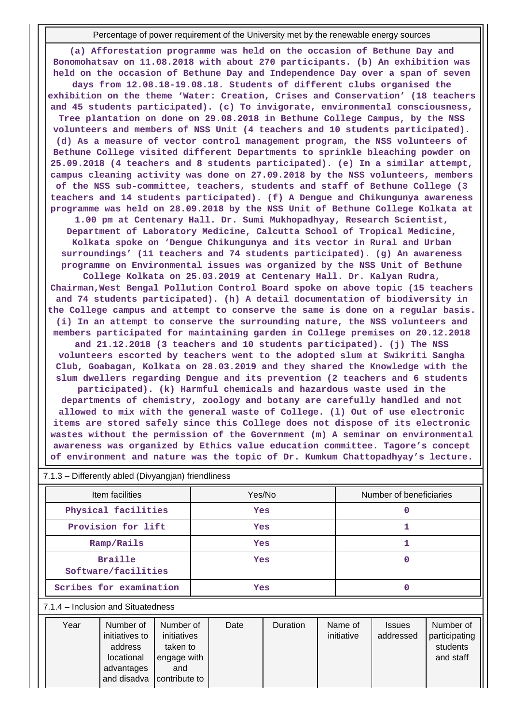Percentage of power requirement of the University met by the renewable energy sources

**(a) Afforestation programme was held on the occasion of Bethune Day and Bonomohatsav on 11.08.2018 with about 270 participants. (b) An exhibition was held on the occasion of Bethune Day and Independence Day over a span of seven days from 12.08.18-19.08.18. Students of different clubs organised the exhibition on the theme 'Water: Creation, Crises and Conservation' (18 teachers and 45 students participated). (c) To invigorate, environmental consciousness, Tree plantation on done on 29.08.2018 in Bethune College Campus, by the NSS volunteers and members of NSS Unit (4 teachers and 10 students participated). (d) As a measure of vector control management program, the NSS volunteers of Bethune College visited different Departments to sprinkle bleaching powder on 25.09.2018 (4 teachers and 8 students participated). (e) In a similar attempt, campus cleaning activity was done on 27.09.2018 by the NSS volunteers, members of the NSS sub-committee, teachers, students and staff of Bethune College (3 teachers and 14 students participated). (f) A Dengue and Chikungunya awareness programme was held on 28.09.2018 by the NSS Unit of Bethune College Kolkata at 1.00 pm at Centenary Hall. Dr. Sumi Mukhopadhyay, Research Scientist, Department of Laboratory Medicine, Calcutta School of Tropical Medicine, Kolkata spoke on 'Dengue Chikungunya and its vector in Rural and Urban surroundings' (11 teachers and 74 students participated). (g) An awareness programme on Environmental issues was organized by the NSS Unit of Bethune College Kolkata on 25.03.2019 at Centenary Hall. Dr. Kalyan Rudra, Chairman,West Bengal Pollution Control Board spoke on above topic (15 teachers and 74 students participated). (h) A detail documentation of biodiversity in the College campus and attempt to conserve the same is done on a regular basis. (i) In an attempt to conserve the surrounding nature, the NSS volunteers and members participated for maintaining garden in College premises on 20.12.2018 and 21.12.2018 (3 teachers and 10 students participated). (j) The NSS volunteers escorted by teachers went to the adopted slum at Swikriti Sangha Club, Goabagan, Kolkata on 28.03.2019 and they shared the Knowledge with the slum dwellers regarding Dengue and its prevention (2 teachers and 6 students participated). (k) Harmful chemicals and hazardous waste used in the departments of chemistry, zoology and botany are carefully handled and not allowed to mix with the general waste of College. (l) Out of use electronic items are stored safely since this College does not dispose of its electronic wastes without the permission of the Government (m) A seminar on environmental awareness was organized by Ethics value education committee. Tagore's concept**

|  |  |  |  |  |  |  |  |  |  |  | of environment and nature was the topic of Dr. Kumkum Chattopadhyay's lecture. |  |
|--|--|--|--|--|--|--|--|--|--|--|--------------------------------------------------------------------------------|--|
|--|--|--|--|--|--|--|--|--|--|--|--------------------------------------------------------------------------------|--|

|  |  |  |  |  | 7.1.3 - Differently abled (Divyangjan) friendliness |
|--|--|--|--|--|-----------------------------------------------------|
|--|--|--|--|--|-----------------------------------------------------|

| Item facilities                       | Yes/No     | Number of beneficiaries |
|---------------------------------------|------------|-------------------------|
| Physical facilities                   | <b>Yes</b> |                         |
| Provision for lift                    | Yes        |                         |
| Ramp/Rails                            | Yes        |                         |
| <b>Braille</b><br>Software/facilities | Yes        |                         |
| Scribes for examination               | Yes        |                         |

#### 7.1.4 – Inclusion and Situatedness

| Year | Number of<br>initiatives to<br>address                  | Number of<br>initiatives<br>taken to | Date | <b>Duration</b> | Name of<br>initiative | <b>Issues</b><br>addressed | Number of<br>participating<br>students |
|------|---------------------------------------------------------|--------------------------------------|------|-----------------|-----------------------|----------------------------|----------------------------------------|
|      | locational<br>advantages<br>and disadva   contribute to | engage with<br>and                   |      |                 |                       |                            | and staff                              |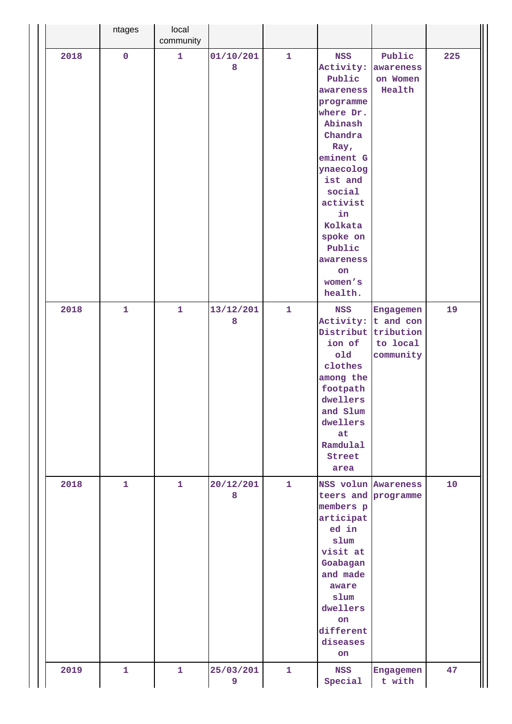|      | ntages       | local<br>community |                |              |                                                                                                                                                                                                                                                   |                                                 |     |
|------|--------------|--------------------|----------------|--------------|---------------------------------------------------------------------------------------------------------------------------------------------------------------------------------------------------------------------------------------------------|-------------------------------------------------|-----|
| 2018 | $\pmb{0}$    | $\mathbf{1}$       | 01/10/201<br>8 | $\mathbf{1}$ | <b>NSS</b><br>Activity:<br>Public<br>awareness<br>programme<br>where Dr.<br>Abinash<br>Chandra<br>Ray,<br>eminent G<br>ynaecolog<br>ist and<br>social<br>activist<br>in<br>Kolkata<br>spoke on<br>Public<br>awareness<br>on<br>women's<br>health. | Public<br>awareness<br>on Women<br>Health       | 225 |
| 2018 | $\mathbf{1}$ | $\mathbf{1}$       | 13/12/201<br>8 | $\mathbf{1}$ | <b>NSS</b><br>Activity: t and con<br>Distribut<br>ion of<br>old<br>clothes<br>among the<br>footpath<br>dwellers<br>and Slum<br>dwellers<br>at<br>Ramdulal<br>Street<br>area                                                                       | Engagemen<br>tribution<br>to local<br>community | 19  |
| 2018 | $\mathbf{1}$ | $\mathbf{1}$       | 20/12/201<br>8 | $\mathbf{1}$ | NSS volun Awareness<br>teers and programme<br>members p<br>articipat<br>ed in<br>slum<br>visit at<br>Goabagan<br>and made<br>aware<br>slum<br>dwellers<br>on<br>different<br>diseases<br>on                                                       |                                                 | 10  |
| 2019 | $\mathbf{1}$ | $\mathbf{1}$       | 25/03/201<br>9 | $\mathbf{1}$ | <b>NSS</b><br>Special                                                                                                                                                                                                                             | Engagemen<br>t with                             | 47  |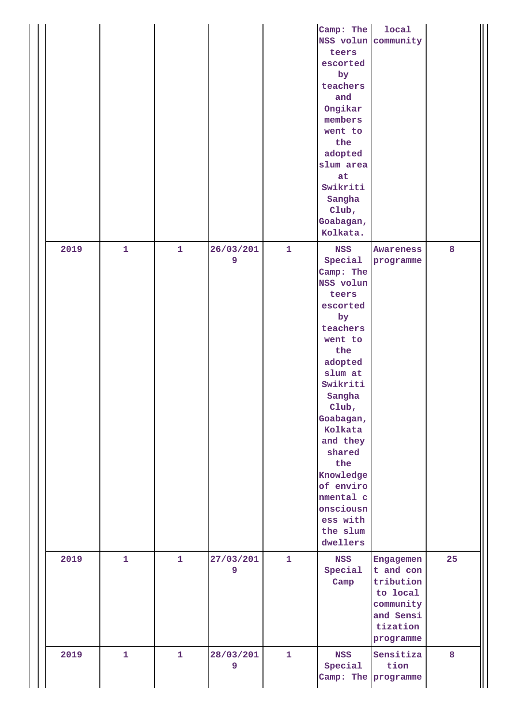|      |              |              |                |              | Camp: The<br>NSS volun community<br>teers<br>escorted<br>by<br>teachers<br>and<br>Ongikar<br>members<br>went to<br>the<br>adopted<br>slum area<br>at<br>Swikriti<br>Sangha<br>Club,<br>Goabagan,<br>Kolkata.                                                                                               | local                                                                                              |    |
|------|--------------|--------------|----------------|--------------|------------------------------------------------------------------------------------------------------------------------------------------------------------------------------------------------------------------------------------------------------------------------------------------------------------|----------------------------------------------------------------------------------------------------|----|
| 2019 | $\mathbf{1}$ | $\mathbf{1}$ | 26/03/201<br>9 | $\mathbf{1}$ | <b>NSS</b><br>Special<br>Camp: The<br>NSS volun<br>teers<br>escorted<br>by<br>teachers<br>went to<br>the<br>adopted<br>slum at<br>Swikriti<br>Sangha<br>Club,<br>Goabagan,<br>Kolkata<br>and they<br>shared<br>the<br>Knowledge<br>of enviro<br>nmental c<br>onsciousn<br>ess with<br>the slum<br>dwellers | Awareness<br>programme                                                                             | 8  |
| 2019 | $\mathbf{1}$ | $\mathbf{1}$ | 27/03/201<br>9 | $\mathbf{1}$ | <b>NSS</b><br>Special<br>Camp                                                                                                                                                                                                                                                                              | Engagemen<br>t and con<br>tribution<br>to local<br>community<br>and Sensi<br>tization<br>programme | 25 |
| 2019 | $\mathbf{1}$ | $\mathbf{1}$ | 28/03/201<br>9 | $\mathbf{1}$ | <b>NSS</b><br>Special<br>Camp: The programme                                                                                                                                                                                                                                                               | Sensitiza<br>tion                                                                                  | 8  |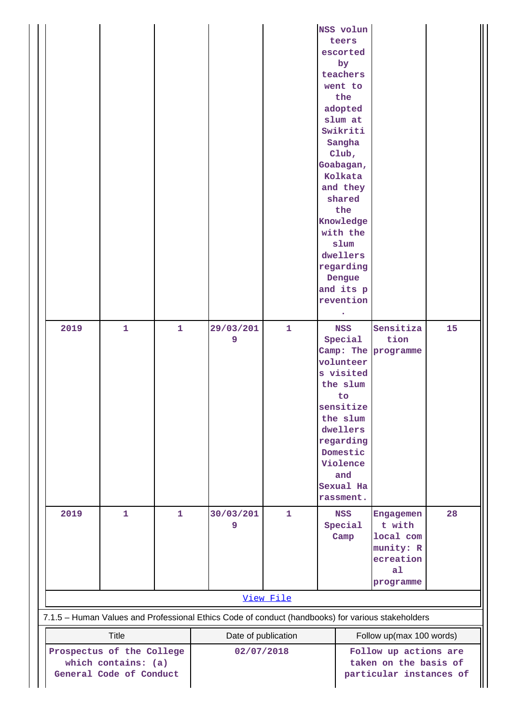|                           |                         |              |                                                                                                   |              | NSS volun  |                          |    |
|---------------------------|-------------------------|--------------|---------------------------------------------------------------------------------------------------|--------------|------------|--------------------------|----|
|                           |                         |              |                                                                                                   |              | teers      |                          |    |
|                           |                         |              |                                                                                                   |              | escorted   |                          |    |
|                           |                         |              |                                                                                                   |              | by         |                          |    |
|                           |                         |              |                                                                                                   |              | teachers   |                          |    |
|                           |                         |              |                                                                                                   |              | went to    |                          |    |
|                           |                         |              |                                                                                                   |              | the        |                          |    |
|                           |                         |              |                                                                                                   |              | adopted    |                          |    |
|                           |                         |              |                                                                                                   |              | slum at    |                          |    |
|                           |                         |              |                                                                                                   |              | Swikriti   |                          |    |
|                           |                         |              |                                                                                                   |              | Sangha     |                          |    |
|                           |                         |              |                                                                                                   |              |            |                          |    |
|                           |                         |              |                                                                                                   |              | Club,      |                          |    |
|                           |                         |              |                                                                                                   |              | Goabagan,  |                          |    |
|                           |                         |              |                                                                                                   |              | Kolkata    |                          |    |
|                           |                         |              |                                                                                                   |              | and they   |                          |    |
|                           |                         |              |                                                                                                   |              | shared     |                          |    |
|                           |                         |              |                                                                                                   |              | the        |                          |    |
|                           |                         |              |                                                                                                   |              | Knowledge  |                          |    |
|                           |                         |              |                                                                                                   |              | with the   |                          |    |
|                           |                         |              |                                                                                                   |              | slum       |                          |    |
|                           |                         |              |                                                                                                   |              | dwellers   |                          |    |
|                           |                         |              |                                                                                                   |              | regarding  |                          |    |
|                           |                         |              |                                                                                                   |              | Dengue     |                          |    |
|                           |                         |              |                                                                                                   |              | and its p  |                          |    |
|                           |                         |              |                                                                                                   |              | revention  |                          |    |
|                           |                         |              |                                                                                                   |              |            |                          |    |
|                           |                         |              |                                                                                                   |              |            |                          |    |
| 2019                      | $\mathbf{1}$            | $\mathbf{1}$ | 29/03/201                                                                                         | $\mathbf{1}$ | <b>NSS</b> | Sensitiza                | 15 |
|                           |                         |              | 9                                                                                                 |              | Special    | tion                     |    |
|                           |                         |              |                                                                                                   |              |            | Camp: The programme      |    |
|                           |                         |              |                                                                                                   |              | volunteer  |                          |    |
|                           |                         |              |                                                                                                   |              | s visited  |                          |    |
|                           |                         |              |                                                                                                   |              | the slum   |                          |    |
|                           |                         |              |                                                                                                   |              | to         |                          |    |
|                           |                         |              |                                                                                                   |              | sensitize  |                          |    |
|                           |                         |              |                                                                                                   |              | the slum   |                          |    |
|                           |                         |              |                                                                                                   |              | dwellers   |                          |    |
|                           |                         |              |                                                                                                   |              | regarding  |                          |    |
|                           |                         |              |                                                                                                   |              | Domestic   |                          |    |
|                           |                         |              |                                                                                                   |              | Violence   |                          |    |
|                           |                         |              |                                                                                                   |              | and        |                          |    |
|                           |                         |              |                                                                                                   |              | Sexual Ha  |                          |    |
|                           |                         |              |                                                                                                   |              | rassment.  |                          |    |
|                           |                         |              |                                                                                                   |              |            |                          |    |
| 2019                      | $\mathbf{1}$            | $\mathbf{1}$ | 30/03/201                                                                                         | $\mathbf{1}$ | <b>NSS</b> | Engagemen                | 28 |
|                           |                         |              | 9                                                                                                 |              | Special    | t with                   |    |
|                           |                         |              |                                                                                                   |              | Camp       | local com                |    |
|                           |                         |              |                                                                                                   |              |            | munity: R                |    |
|                           |                         |              |                                                                                                   |              |            | ecreation                |    |
|                           |                         |              |                                                                                                   |              |            | a <sub>1</sub>           |    |
|                           |                         |              |                                                                                                   |              |            | programme                |    |
|                           |                         |              |                                                                                                   | View File    |            |                          |    |
|                           |                         |              | 7.1.5 - Human Values and Professional Ethics Code of conduct (handbooks) for various stakeholders |              |            |                          |    |
|                           | <b>Title</b>            |              | Date of publication                                                                               |              |            | Follow up(max 100 words) |    |
| Prospectus of the College |                         |              | 02/07/2018                                                                                        |              |            | Follow up actions are    |    |
| which contains: (a)       |                         |              |                                                                                                   |              |            | taken on the basis of    |    |
|                           | General Code of Conduct |              |                                                                                                   |              |            | particular instances of  |    |
|                           |                         |              |                                                                                                   |              |            |                          |    |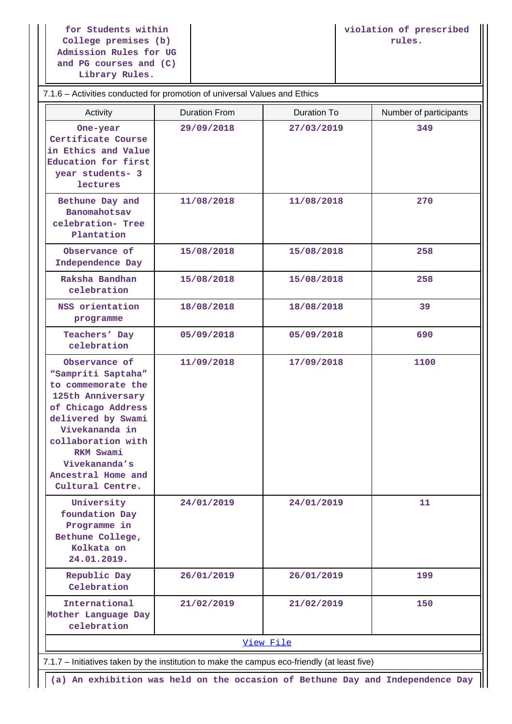**for Students within College premises (b) Admission Rules for UG and PG courses and (C) Library Rules.**

| 7.1.6 - Activities conducted for promotion of universal Values and Ethics                                                                                                                                                                  |                      |                    |                        |
|--------------------------------------------------------------------------------------------------------------------------------------------------------------------------------------------------------------------------------------------|----------------------|--------------------|------------------------|
| Activity                                                                                                                                                                                                                                   | <b>Duration From</b> | <b>Duration To</b> | Number of participants |
| One-year<br>Certificate Course<br>in Ethics and Value<br>Education for first<br>year students- 3<br>lectures                                                                                                                               | 29/09/2018           | 27/03/2019         | 349                    |
| Bethune Day and<br>Banomahotsav<br>celebration- Tree<br>Plantation                                                                                                                                                                         | 11/08/2018           | 11/08/2018         | 270                    |
| Observance of<br>Independence Day                                                                                                                                                                                                          | 15/08/2018           | 15/08/2018         | 258                    |
| Raksha Bandhan<br>celebration                                                                                                                                                                                                              | 15/08/2018           | 15/08/2018         | 258                    |
| NSS orientation<br>programme                                                                                                                                                                                                               | 18/08/2018           | 18/08/2018         | 39                     |
| Teachers' Day<br>celebration                                                                                                                                                                                                               | 05/09/2018           | 05/09/2018         | 690                    |
| Observance of<br>"Sampriti Saptaha"<br>to commemorate the<br>125th Anniversary<br>of Chicago Address<br>delivered by Swami<br>Vivekananda in<br>collaboration with<br>RKM Swami<br>Vivekananda's<br>Ancestral Home and<br>Cultural Centre. | 11/09/2018           | 17/09/2018         | 1100                   |
| University<br>foundation Day<br>Programme in<br>Bethune College,<br>Kolkata on<br>24.01.2019.                                                                                                                                              | 24/01/2019           | 24/01/2019         | 11                     |
| Republic Day<br>Celebration                                                                                                                                                                                                                | 26/01/2019           | 26/01/2019         | 199                    |
| International<br>Mother Language Day<br>celebration                                                                                                                                                                                        | 21/02/2019           | 21/02/2019         | 150                    |

7.1.7 – Initiatives taken by the institution to make the campus eco-friendly (at least five)

**(a) An exhibition was held on the occasion of Bethune Day and Independence Day**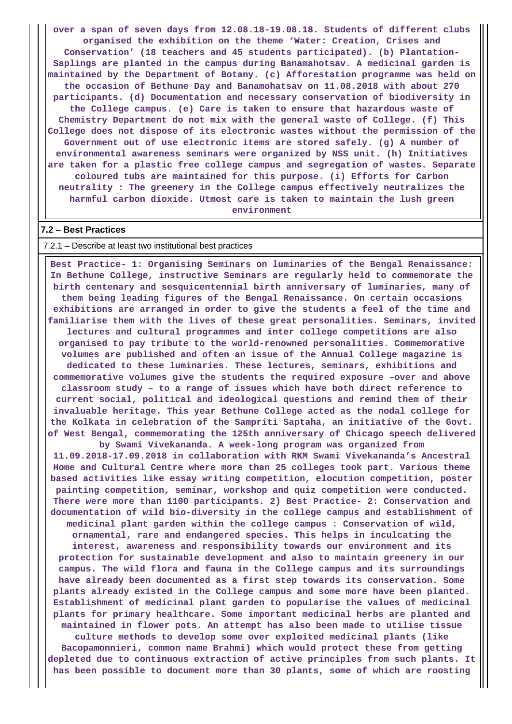**over a span of seven days from 12.08.18-19.08.18. Students of different clubs organised the exhibition on the theme 'Water: Creation, Crises and Conservation' (18 teachers and 45 students participated). (b) Plantation-Saplings are planted in the campus during Banamahotsav. A medicinal garden is maintained by the Department of Botany. (c) Afforestation programme was held on the occasion of Bethune Day and Banamohatsav on 11.08.2018 with about 270 participants. (d) Documentation and necessary conservation of biodiversity in the College campus. (e) Care is taken to ensure that hazardous waste of Chemistry Department do not mix with the general waste of College. (f) This College does not dispose of its electronic wastes without the permission of the Government out of use electronic items are stored safely. (g) A number of environmental awareness seminars were organized by NSS unit. (h) Initiatives are taken for a plastic free college campus and segregation of wastes. Separate coloured tubs are maintained for this purpose. (i) Efforts for Carbon neutrality : The greenery in the College campus effectively neutralizes the harmful carbon dioxide. Utmost care is taken to maintain the lush green environment**

#### **7.2 – Best Practices**

#### 7.2.1 – Describe at least two institutional best practices

 **Best Practice- 1: Organising Seminars on luminaries of the Bengal Renaissance: In Bethune College, instructive Seminars are regularly held to commemorate the birth centenary and sesquicentennial birth anniversary of luminaries, many of them being leading figures of the Bengal Renaissance. On certain occasions exhibitions are arranged in order to give the students a feel of the time and familiarise them with the lives of these great personalities. Seminars, invited lectures and cultural programmes and inter college competitions are also organised to pay tribute to the world-renowned personalities. Commemorative volumes are published and often an issue of the Annual College magazine is dedicated to these luminaries. These lectures, seminars, exhibitions and commemorative volumes give the students the required exposure –over and above classroom study – to a range of issues which have both direct reference to current social, political and ideological questions and remind them of their invaluable heritage. This year Bethune College acted as the nodal college for the Kolkata in celebration of the Sampriti Saptaha, an initiative of the Govt. of West Bengal, commemorating the 125th anniversary of Chicago speech delivered**

**by Swami Vivekananda. A week-long program was organized from 11.09.2018-17.09.2018 in collaboration with RKM Swami Vivekananda's Ancestral Home and Cultural Centre where more than 25 colleges took part. Various theme based activities like essay writing competition, elocution competition, poster painting competition, seminar, workshop and quiz competition were conducted. There were more than 1100 participants. 2) Best Practice- 2: Conservation and documentation of wild bio-diversity in the college campus and establishment of medicinal plant garden within the college campus : Conservation of wild, ornamental, rare and endangered species. This helps in inculcating the interest, awareness and responsibility towards our environment and its protection for sustainable development and also to maintain greenery in our campus. The wild flora and fauna in the College campus and its surroundings have already been documented as a first step towards its conservation. Some plants already existed in the College campus and some more have been planted. Establishment of medicinal plant garden to popularise the values of medicinal plants for primary healthcare. Some important medicinal herbs are planted and maintained in flower pots. An attempt has also been made to utilise tissue**

**culture methods to develop some over exploited medicinal plants (like Bacopamonnieri, common name Brahmi) which would protect these from getting depleted due to continuous extraction of active principles from such plants. It has been possible to document more than 30 plants, some of which are roosting**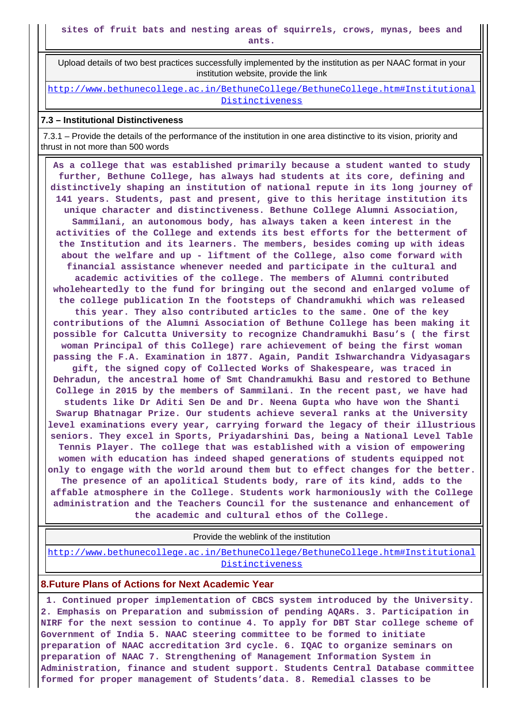Upload details of two best practices successfully implemented by the institution as per NAAC format in your institution website, provide the link

[http://www.bethunecollege.ac.in/BethuneCollege/BethuneCollege.htm#Institutional](http://www.bethunecollege.ac.in/BethuneCollege/BethuneCollege.htm#InstitutionalDistinctiveness) [Distinctiveness](http://www.bethunecollege.ac.in/BethuneCollege/BethuneCollege.htm#InstitutionalDistinctiveness)

### **7.3 – Institutional Distinctiveness**

 7.3.1 – Provide the details of the performance of the institution in one area distinctive to its vision, priority and thrust in not more than 500 words

 **As a college that was established primarily because a student wanted to study further, Bethune College, has always had students at its core, defining and distinctively shaping an institution of national repute in its long journey of 141 years. Students, past and present, give to this heritage institution its unique character and distinctiveness. Bethune College Alumni Association, Sammilani, an autonomous body, has always taken a keen interest in the activities of the College and extends its best efforts for the betterment of the Institution and its learners. The members, besides coming up with ideas about the welfare and up - liftment of the College, also come forward with financial assistance whenever needed and participate in the cultural and academic activities of the college. The members of Alumni contributed wholeheartedly to the fund for bringing out the second and enlarged volume of the college publication In the footsteps of Chandramukhi which was released this year. They also contributed articles to the same. One of the key contributions of the Alumni Association of Bethune College has been making it possible for Calcutta University to recognize Chandramukhi Basu's ( the first woman Principal of this College) rare achievement of being the first woman passing the F.A. Examination in 1877. Again, Pandit Ishwarchandra Vidyasagars gift, the signed copy of Collected Works of Shakespeare, was traced in Dehradun, the ancestral home of Smt Chandramukhi Basu and restored to Bethune College in 2015 by the members of Sammilani. In the recent past, we have had students like Dr Aditi Sen De and Dr. Neena Gupta who have won the Shanti Swarup Bhatnagar Prize. Our students achieve several ranks at the University level examinations every year, carrying forward the legacy of their illustrious seniors. They excel in Sports, Priyadarshini Das, being a National Level Table Tennis Player. The college that was established with a vision of empowering women with education has indeed shaped generations of students equipped not only to engage with the world around them but to effect changes for the better. The presence of an apolitical Students body, rare of its kind, adds to the affable atmosphere in the College. Students work harmoniously with the College administration and the Teachers Council for the sustenance and enhancement of the academic and cultural ethos of the College.**

Provide the weblink of the institution

[http://www.bethunecollege.ac.in/BethuneCollege/BethuneCollege.htm#Institutional](http://www.bethunecollege.ac.in/BethuneCollege/BethuneCollege.htm#InstitutionalDistinctiveness) [Distinctiveness](http://www.bethunecollege.ac.in/BethuneCollege/BethuneCollege.htm#InstitutionalDistinctiveness)

#### **8.Future Plans of Actions for Next Academic Year**

 **1. Continued proper implementation of CBCS system introduced by the University. 2. Emphasis on Preparation and submission of pending AQARs. 3. Participation in NIRF for the next session to continue 4. To apply for DBT Star college scheme of Government of India 5. NAAC steering committee to be formed to initiate preparation of NAAC accreditation 3rd cycle. 6. IQAC to organize seminars on preparation of NAAC 7. Strengthening of Management Information System in Administration, finance and student support. Students Central Database committee formed for proper management of Students'data. 8. Remedial classes to be**